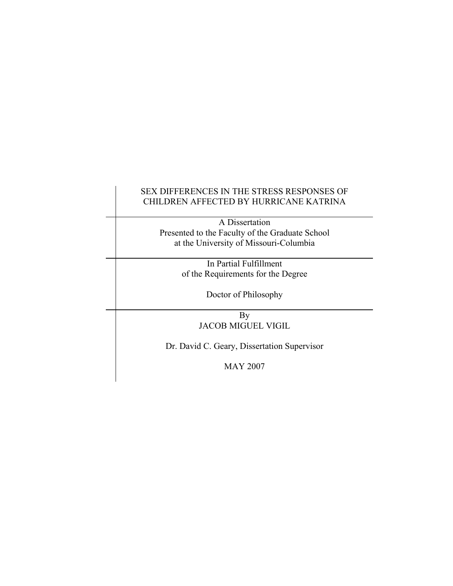# SEX DIFFERENCES IN THE STRESS RESPONSES OF CHILDREN AFFECTED BY HURRICANE KATRINA

 A Dissertation Presented to the Faculty of the Graduate School at the University of Missouri-Columbia

> In Partial Fulfillment of the Requirements for the Degree

> > Doctor of Philosophy

**By** JACOB MIGUEL VIGIL

Dr. David C. Geary, Dissertation Supervisor

MAY 2007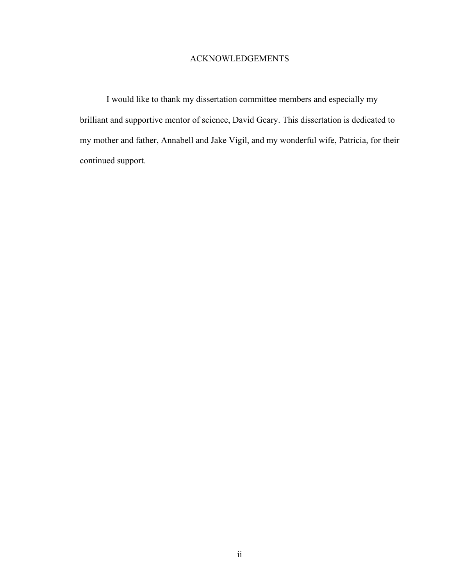### ACKNOWLEDGEMENTS

I would like to thank my dissertation committee members and especially my brilliant and supportive mentor of science, David Geary. This dissertation is dedicated to my mother and father, Annabell and Jake Vigil, and my wonderful wife, Patricia, for their continued support.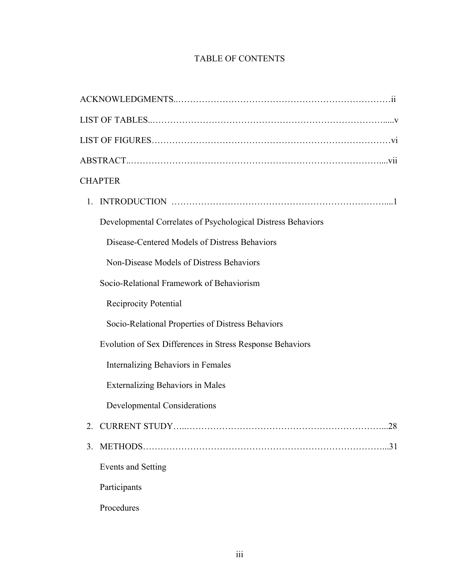# TABLE OF CONTENTS

| <b>CHAPTER</b>                                               |
|--------------------------------------------------------------|
| 1.                                                           |
| Developmental Correlates of Psychological Distress Behaviors |
| Disease-Centered Models of Distress Behaviors                |
| Non-Disease Models of Distress Behaviors                     |
| Socio-Relational Framework of Behaviorism                    |
| <b>Reciprocity Potential</b>                                 |
| Socio-Relational Properties of Distress Behaviors            |
| Evolution of Sex Differences in Stress Response Behaviors    |
| Internalizing Behaviors in Females                           |
| <b>Externalizing Behaviors in Males</b>                      |
| <b>Developmental Considerations</b>                          |
| CURRENT STUDY<br>28<br>2.                                    |
| 3.<br>.31                                                    |
| Events and Setting                                           |
| Participants                                                 |
| Procedures                                                   |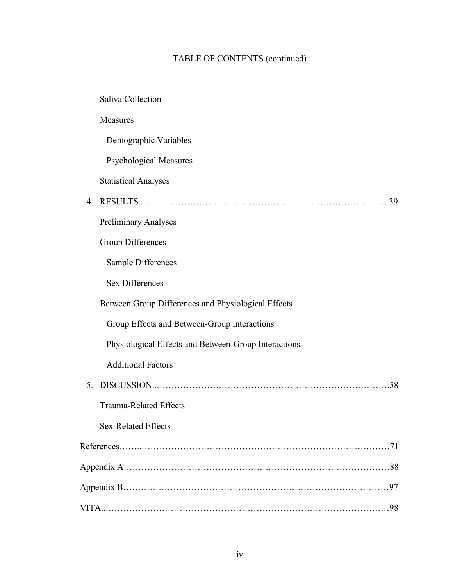# TABLE OF CONTENTS (continued)

|    | <b>Saliva Collection</b>                             |
|----|------------------------------------------------------|
|    | Measures                                             |
|    | Demographic Variables                                |
|    | <b>Psychological Measures</b>                        |
|    | <b>Statistical Analyses</b>                          |
| 4  | .39                                                  |
|    | <b>Preliminary Analyses</b>                          |
|    | <b>Group Differences</b>                             |
|    | Sample Differences                                   |
|    | <b>Sex Differences</b>                               |
|    | Between Group Differences and Physiological Effects  |
|    | Group Effects and Between-Group interactions         |
|    | Physiological Effects and Between-Group Interactions |
|    | <b>Additional Factors</b>                            |
| 5. |                                                      |
|    | <b>Trauma-Related Effects</b>                        |
|    | Sex-Related Effects                                  |
|    |                                                      |
|    |                                                      |
|    |                                                      |
|    |                                                      |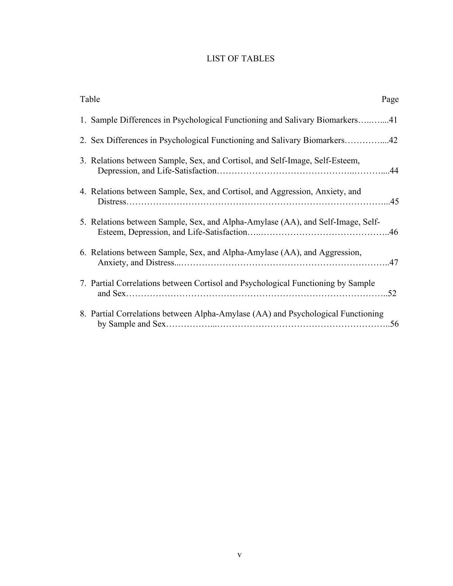# LIST OF TABLES

| Table<br>Page                                                                    |  |  |
|----------------------------------------------------------------------------------|--|--|
| 1. Sample Differences in Psychological Functioning and Salivary Biomarkers41     |  |  |
| 2. Sex Differences in Psychological Functioning and Salivary Biomarkers42        |  |  |
| 3. Relations between Sample, Sex, and Cortisol, and Self-Image, Self-Esteem,     |  |  |
| 4. Relations between Sample, Sex, and Cortisol, and Aggression, Anxiety, and     |  |  |
| 5. Relations between Sample, Sex, and Alpha-Amylase (AA), and Self-Image, Self-  |  |  |
| 6. Relations between Sample, Sex, and Alpha-Amylase (AA), and Aggression,        |  |  |
| 7. Partial Correlations between Cortisol and Psychological Functioning by Sample |  |  |
| 8. Partial Correlations between Alpha-Amylase (AA) and Psychological Functioning |  |  |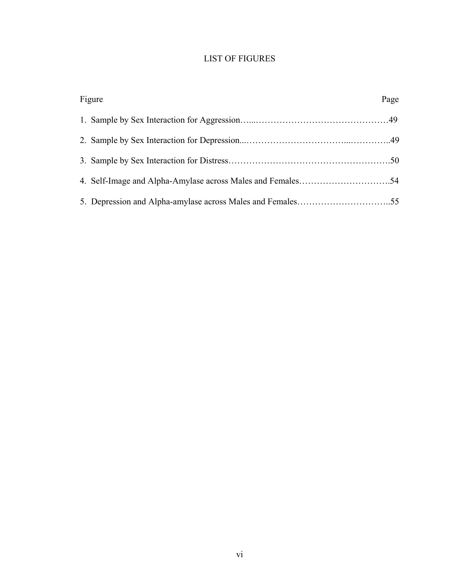# LIST OF FIGURES

| Figure |  | Page |
|--------|--|------|
|        |  |      |
|        |  |      |
|        |  |      |
|        |  |      |
|        |  |      |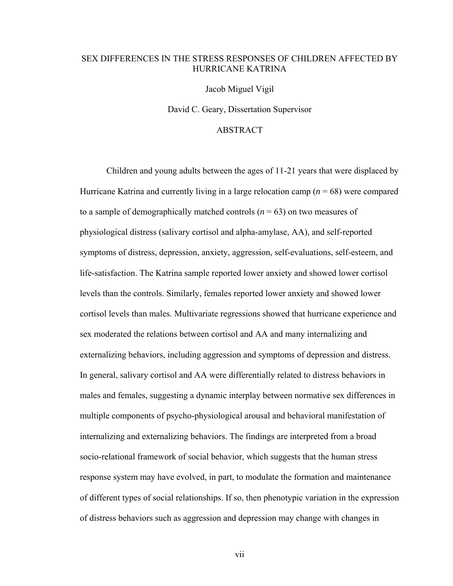### SEX DIFFERENCES IN THE STRESS RESPONSES OF CHILDREN AFFECTED BY HURRICANE KATRINA

Jacob Miguel Vigil

David C. Geary, Dissertation Supervisor

### ABSTRACT

Children and young adults between the ages of 11-21 years that were displaced by Hurricane Katrina and currently living in a large relocation camp (*n* = 68) were compared to a sample of demographically matched controls  $(n = 63)$  on two measures of physiological distress (salivary cortisol and alpha-amylase, AA), and self-reported symptoms of distress, depression, anxiety, aggression, self-evaluations, self-esteem, and life-satisfaction. The Katrina sample reported lower anxiety and showed lower cortisol levels than the controls. Similarly, females reported lower anxiety and showed lower cortisol levels than males. Multivariate regressions showed that hurricane experience and sex moderated the relations between cortisol and AA and many internalizing and externalizing behaviors, including aggression and symptoms of depression and distress. In general, salivary cortisol and AA were differentially related to distress behaviors in males and females, suggesting a dynamic interplay between normative sex differences in multiple components of psycho-physiological arousal and behavioral manifestation of internalizing and externalizing behaviors. The findings are interpreted from a broad socio-relational framework of social behavior, which suggests that the human stress response system may have evolved, in part, to modulate the formation and maintenance of different types of social relationships. If so, then phenotypic variation in the expression of distress behaviors such as aggression and depression may change with changes in

vii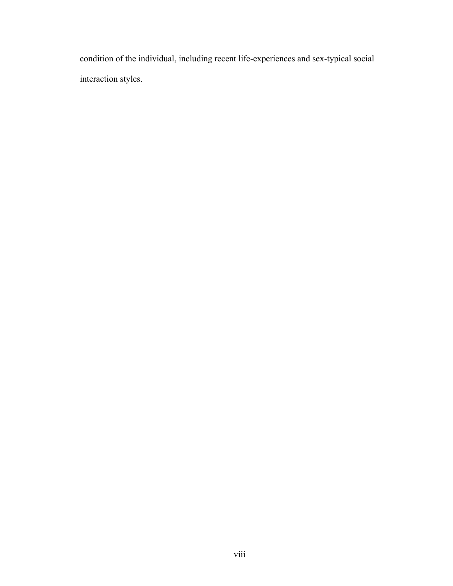condition of the individual, including recent life-experiences and sex-typical social interaction styles.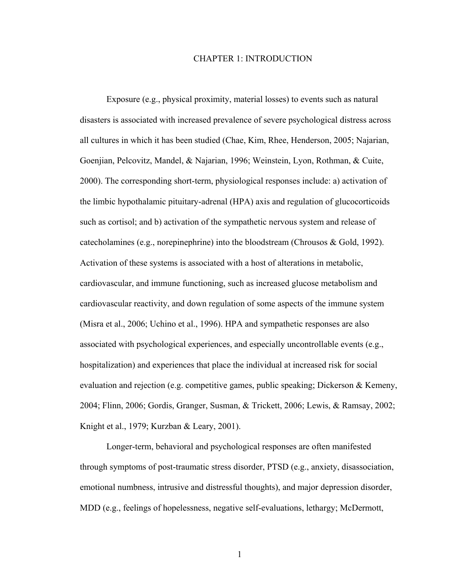#### CHAPTER 1: INTRODUCTION

Exposure (e.g., physical proximity, material losses) to events such as natural disasters is associated with increased prevalence of severe psychological distress across all cultures in which it has been studied (Chae, Kim, Rhee, Henderson, 2005; Najarian, Goenjian, Pelcovitz, Mandel, & Najarian, 1996; Weinstein, Lyon, Rothman, & Cuite, 2000). The corresponding short-term, physiological responses include: a) activation of the limbic hypothalamic pituitary-adrenal (HPA) axis and regulation of glucocorticoids such as cortisol; and b) activation of the sympathetic nervous system and release of catecholamines (e.g., norepinephrine) into the bloodstream (Chrousos & Gold, 1992). Activation of these systems is associated with a host of alterations in metabolic, cardiovascular, and immune functioning, such as increased glucose metabolism and cardiovascular reactivity, and down regulation of some aspects of the immune system (Misra et al., 2006; Uchino et al., 1996). HPA and sympathetic responses are also associated with psychological experiences, and especially uncontrollable events (e.g., hospitalization) and experiences that place the individual at increased risk for social evaluation and rejection (e.g. competitive games, public speaking; Dickerson & Kemeny, 2004; Flinn, 2006; Gordis, Granger, Susman, & Trickett, 2006; Lewis, & Ramsay, 2002; Knight et al., 1979; Kurzban & Leary, 2001).

Longer-term, behavioral and psychological responses are often manifested through symptoms of post-traumatic stress disorder, PTSD (e.g., anxiety, disassociation, emotional numbness, intrusive and distressful thoughts), and major depression disorder, MDD (e.g., feelings of hopelessness, negative self-evaluations, lethargy; McDermott,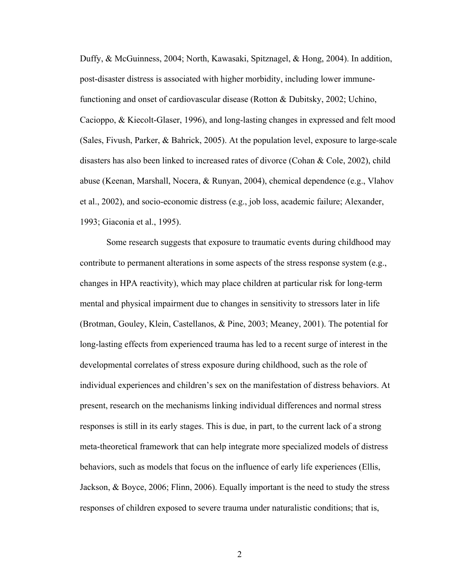Duffy, & McGuinness, 2004; North, Kawasaki, Spitznagel, & Hong, 2004). In addition, post-disaster distress is associated with higher morbidity, including lower immunefunctioning and onset of cardiovascular disease (Rotton & Dubitsky, 2002; Uchino, Cacioppo, & Kiecolt-Glaser, 1996), and long-lasting changes in expressed and felt mood (Sales, Fivush, Parker, & Bahrick, 2005). At the population level, exposure to large-scale disasters has also been linked to increased rates of divorce (Cohan & Cole, 2002), child abuse (Keenan, Marshall, Nocera, & Runyan, 2004), chemical dependence (e.g., Vlahov et al., 2002), and socio-economic distress (e.g., job loss, academic failure; Alexander, 1993; Giaconia et al., 1995).

Some research suggests that exposure to traumatic events during childhood may contribute to permanent alterations in some aspects of the stress response system (e.g., changes in HPA reactivity), which may place children at particular risk for long-term mental and physical impairment due to changes in sensitivity to stressors later in life (Brotman, Gouley, Klein, Castellanos, & Pine, 2003; Meaney, 2001). The potential for long-lasting effects from experienced trauma has led to a recent surge of interest in the developmental correlates of stress exposure during childhood, such as the role of individual experiences and children's sex on the manifestation of distress behaviors. At present, research on the mechanisms linking individual differences and normal stress responses is still in its early stages. This is due, in part, to the current lack of a strong meta-theoretical framework that can help integrate more specialized models of distress behaviors, such as models that focus on the influence of early life experiences (Ellis, Jackson, & Boyce, 2006; Flinn, 2006). Equally important is the need to study the stress responses of children exposed to severe trauma under naturalistic conditions; that is,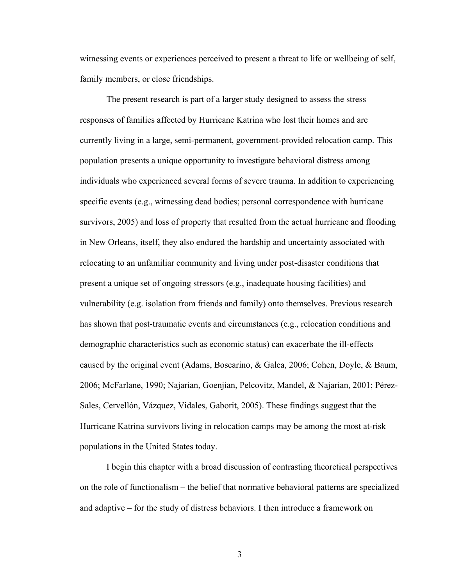witnessing events or experiences perceived to present a threat to life or wellbeing of self, family members, or close friendships.

The present research is part of a larger study designed to assess the stress responses of families affected by Hurricane Katrina who lost their homes and are currently living in a large, semi-permanent, government-provided relocation camp. This population presents a unique opportunity to investigate behavioral distress among individuals who experienced several forms of severe trauma. In addition to experiencing specific events (e.g., witnessing dead bodies; personal correspondence with hurricane survivors, 2005) and loss of property that resulted from the actual hurricane and flooding in New Orleans, itself, they also endured the hardship and uncertainty associated with relocating to an unfamiliar community and living under post-disaster conditions that present a unique set of ongoing stressors (e.g., inadequate housing facilities) and vulnerability (e.g. isolation from friends and family) onto themselves. Previous research has shown that post-traumatic events and circumstances (e.g., relocation conditions and demographic characteristics such as economic status) can exacerbate the ill-effects caused by the original event (Adams, Boscarino, & Galea, 2006; Cohen, Doyle, & Baum, 2006; McFarlane, 1990; Najarian, Goenjian, Pelcovitz, Mandel, & Najarian, 2001; Pérez-Sales, Cervellón, Vázquez, Vidales, Gaborit, 2005). These findings suggest that the Hurricane Katrina survivors living in relocation camps may be among the most at-risk populations in the United States today.

I begin this chapter with a broad discussion of contrasting theoretical perspectives on the role of functionalism – the belief that normative behavioral patterns are specialized and adaptive – for the study of distress behaviors. I then introduce a framework on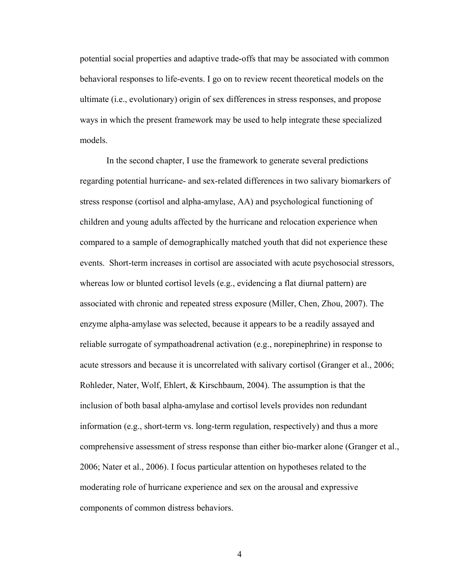potential social properties and adaptive trade-offs that may be associated with common behavioral responses to life-events. I go on to review recent theoretical models on the ultimate (i.e., evolutionary) origin of sex differences in stress responses, and propose ways in which the present framework may be used to help integrate these specialized models.

In the second chapter, I use the framework to generate several predictions regarding potential hurricane- and sex-related differences in two salivary biomarkers of stress response (cortisol and alpha-amylase, AA) and psychological functioning of children and young adults affected by the hurricane and relocation experience when compared to a sample of demographically matched youth that did not experience these events. Short-term increases in cortisol are associated with acute psychosocial stressors, whereas low or blunted cortisol levels (e.g., evidencing a flat diurnal pattern) are associated with chronic and repeated stress exposure (Miller, Chen, Zhou, 2007). The enzyme alpha-amylase was selected, because it appears to be a readily assayed and reliable surrogate of sympathoadrenal activation (e.g., norepinephrine) in response to acute stressors and because it is uncorrelated with salivary cortisol (Granger et al., 2006; Rohleder, Nater, Wolf, Ehlert, & Kirschbaum, 2004). The assumption is that the inclusion of both basal alpha-amylase and cortisol levels provides non redundant information (e.g., short-term vs. long-term regulation, respectively) and thus a more comprehensive assessment of stress response than either bio-marker alone (Granger et al., 2006; Nater et al., 2006). I focus particular attention on hypotheses related to the moderating role of hurricane experience and sex on the arousal and expressive components of common distress behaviors.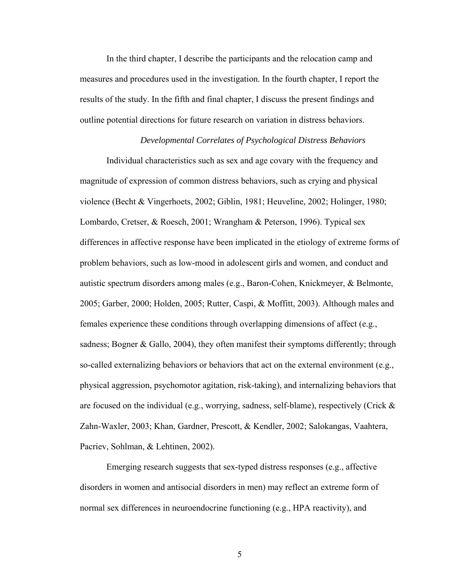In the third chapter, I describe the participants and the relocation camp and measures and procedures used in the investigation. In the fourth chapter, I report the results of the study. In the fifth and final chapter, I discuss the present findings and outline potential directions for future research on variation in distress behaviors.

# *Developmental Correlates of Psychological Distress Behaviors*

Individual characteristics such as sex and age covary with the frequency and magnitude of expression of common distress behaviors, such as crying and physical violence (Becht & Vingerhoets, 2002; Giblin, 1981; Heuveline, 2002; Holinger, 1980; Lombardo, Cretser, & Roesch, 2001; Wrangham & Peterson, 1996). Typical sex differences in affective response have been implicated in the etiology of extreme forms of problem behaviors, such as low-mood in adolescent girls and women, and conduct and autistic spectrum disorders among males (e.g., Baron-Cohen, Knickmeyer, & Belmonte, 2005; Garber, 2000; Holden, 2005; Rutter, Caspi, & Moffitt, 2003). Although males and females experience these conditions through overlapping dimensions of affect (e.g., sadness; Bogner & Gallo, 2004), they often manifest their symptoms differently; through so-called externalizing behaviors or behaviors that act on the external environment (e.g., physical aggression, psychomotor agitation, risk-taking), and internalizing behaviors that are focused on the individual (e.g., worrying, sadness, self-blame), respectively (Crick & Zahn-Waxler, 2003; Khan, Gardner, Prescott, & Kendler, 2002; Salokangas, Vaahtera, Pacriev, Sohlman, & Lehtinen, 2002).

Emerging research suggests that sex-typed distress responses (e.g., affective disorders in women and antisocial disorders in men) may reflect an extreme form of normal sex differences in neuroendocrine functioning (e.g., HPA reactivity), and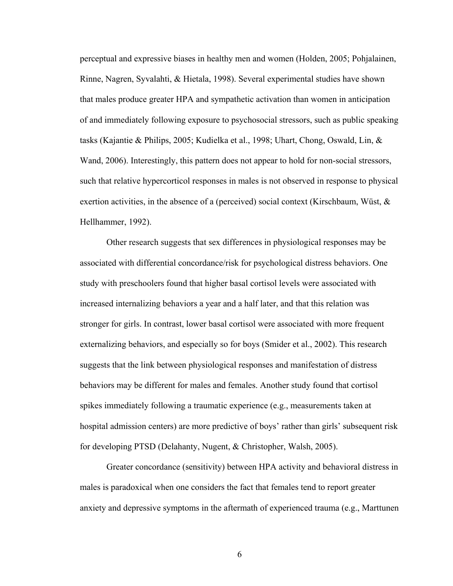perceptual and expressive biases in healthy men and women (Holden, 2005; Pohjalainen, Rinne, Nagren, Syvalahti, & Hietala, 1998). Several experimental studies have shown that males produce greater HPA and sympathetic activation than women in anticipation of and immediately following exposure to psychosocial stressors, such as public speaking tasks (Kajantie & Philips, 2005; Kudielka et al., 1998; Uhart, Chong, Oswald, Lin, & Wand, 2006). Interestingly, this pattern does not appear to hold for non-social stressors, such that relative hypercorticol responses in males is not observed in response to physical exertion activities, in the absence of a (perceived) social context (Kirschbaum, Wüst, & Hellhammer, 1992).

Other research suggests that sex differences in physiological responses may be associated with differential concordance/risk for psychological distress behaviors. One study with preschoolers found that higher basal cortisol levels were associated with increased internalizing behaviors a year and a half later, and that this relation was stronger for girls. In contrast, lower basal cortisol were associated with more frequent externalizing behaviors, and especially so for boys (Smider et al., 2002). This research suggests that the link between physiological responses and manifestation of distress behaviors may be different for males and females. Another study found that cortisol spikes immediately following a traumatic experience (e.g., measurements taken at hospital admission centers) are more predictive of boys' rather than girls' subsequent risk for developing PTSD (Delahanty, Nugent, & Christopher, Walsh, 2005).

Greater concordance (sensitivity) between HPA activity and behavioral distress in males is paradoxical when one considers the fact that females tend to report greater anxiety and depressive symptoms in the aftermath of experienced trauma (e.g., Marttunen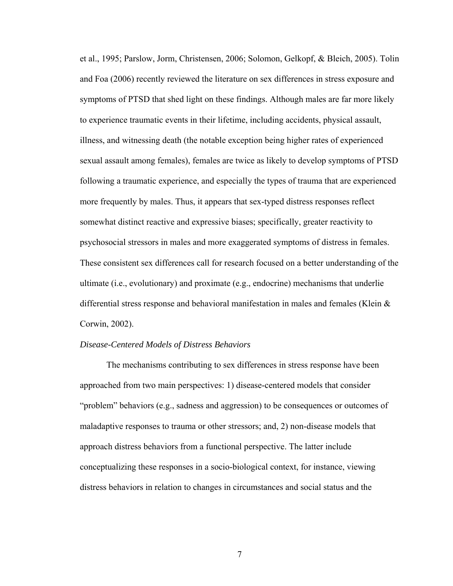et al., 1995; Parslow, Jorm, Christensen, 2006; Solomon, Gelkopf, & Bleich, 2005). Tolin and Foa (2006) recently reviewed the literature on sex differences in stress exposure and symptoms of PTSD that shed light on these findings. Although males are far more likely to experience traumatic events in their lifetime, including accidents, physical assault, illness, and witnessing death (the notable exception being higher rates of experienced sexual assault among females), females are twice as likely to develop symptoms of PTSD following a traumatic experience, and especially the types of trauma that are experienced more frequently by males. Thus, it appears that sex-typed distress responses reflect somewhat distinct reactive and expressive biases; specifically, greater reactivity to psychosocial stressors in males and more exaggerated symptoms of distress in females. These consistent sex differences call for research focused on a better understanding of the ultimate (i.e., evolutionary) and proximate (e.g., endocrine) mechanisms that underlie differential stress response and behavioral manifestation in males and females (Klein & Corwin, 2002).

#### *Disease-Centered Models of Distress Behaviors*

The mechanisms contributing to sex differences in stress response have been approached from two main perspectives: 1) disease-centered models that consider "problem" behaviors (e.g., sadness and aggression) to be consequences or outcomes of maladaptive responses to trauma or other stressors; and, 2) non-disease models that approach distress behaviors from a functional perspective. The latter include conceptualizing these responses in a socio-biological context, for instance, viewing distress behaviors in relation to changes in circumstances and social status and the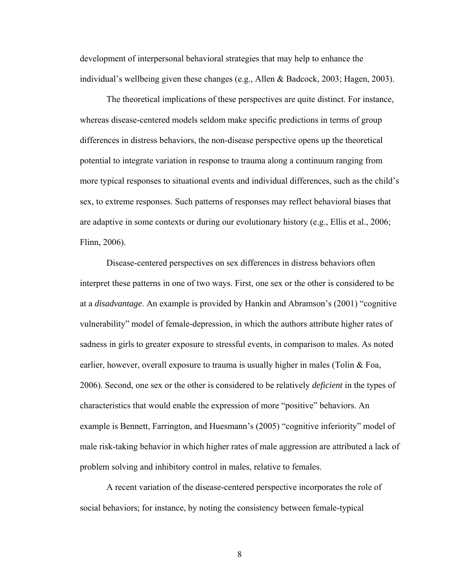development of interpersonal behavioral strategies that may help to enhance the individual's wellbeing given these changes (e.g., Allen & Badcock, 2003; Hagen, 2003).

The theoretical implications of these perspectives are quite distinct. For instance, whereas disease-centered models seldom make specific predictions in terms of group differences in distress behaviors, the non-disease perspective opens up the theoretical potential to integrate variation in response to trauma along a continuum ranging from more typical responses to situational events and individual differences, such as the child's sex, to extreme responses. Such patterns of responses may reflect behavioral biases that are adaptive in some contexts or during our evolutionary history (e.g., Ellis et al., 2006; Flinn, 2006).

Disease-centered perspectives on sex differences in distress behaviors often interpret these patterns in one of two ways. First, one sex or the other is considered to be at a *disadvantage*. An example is provided by Hankin and Abramson's (2001) "cognitive vulnerability" model of female-depression, in which the authors attribute higher rates of sadness in girls to greater exposure to stressful events, in comparison to males. As noted earlier, however, overall exposure to trauma is usually higher in males (Tolin  $\&$  Foa, 2006). Second, one sex or the other is considered to be relatively *deficient* in the types of characteristics that would enable the expression of more "positive" behaviors. An example is Bennett, Farrington, and Huesmann's (2005) "cognitive inferiority" model of male risk-taking behavior in which higher rates of male aggression are attributed a lack of problem solving and inhibitory control in males, relative to females.

A recent variation of the disease-centered perspective incorporates the role of social behaviors; for instance, by noting the consistency between female-typical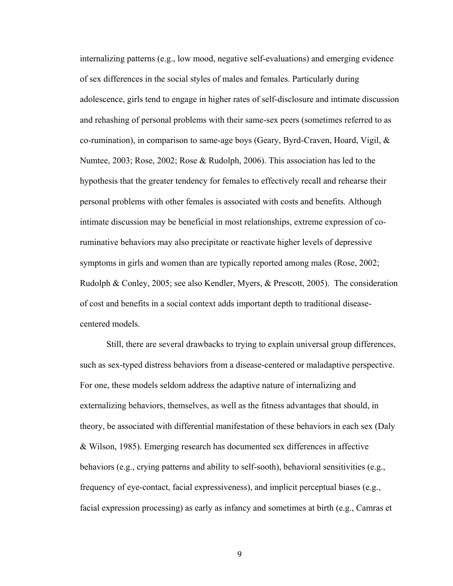internalizing patterns (e.g., low mood, negative self-evaluations) and emerging evidence of sex differences in the social styles of males and females. Particularly during adolescence, girls tend to engage in higher rates of self-disclosure and intimate discussion and rehashing of personal problems with their same-sex peers (sometimes referred to as co-rumination), in comparison to same-age boys (Geary, Byrd-Craven, Hoard, Vigil, & Numtee, 2003; Rose, 2002; Rose & Rudolph, 2006). This association has led to the hypothesis that the greater tendency for females to effectively recall and rehearse their personal problems with other females is associated with costs and benefits. Although intimate discussion may be beneficial in most relationships, extreme expression of coruminative behaviors may also precipitate or reactivate higher levels of depressive symptoms in girls and women than are typically reported among males (Rose, 2002; Rudolph & Conley, 2005; see also Kendler, Myers, & Prescott, 2005). The consideration of cost and benefits in a social context adds important depth to traditional diseasecentered models.

Still, there are several drawbacks to trying to explain universal group differences, such as sex-typed distress behaviors from a disease-centered or maladaptive perspective. For one, these models seldom address the adaptive nature of internalizing and externalizing behaviors, themselves, as well as the fitness advantages that should, in theory, be associated with differential manifestation of these behaviors in each sex (Daly & Wilson, 1985). Emerging research has documented sex differences in affective behaviors (e.g., crying patterns and ability to self-sooth), behavioral sensitivities (e.g., frequency of eye-contact, facial expressiveness), and implicit perceptual biases (e.g., facial expression processing) as early as infancy and sometimes at birth (e.g., Camras et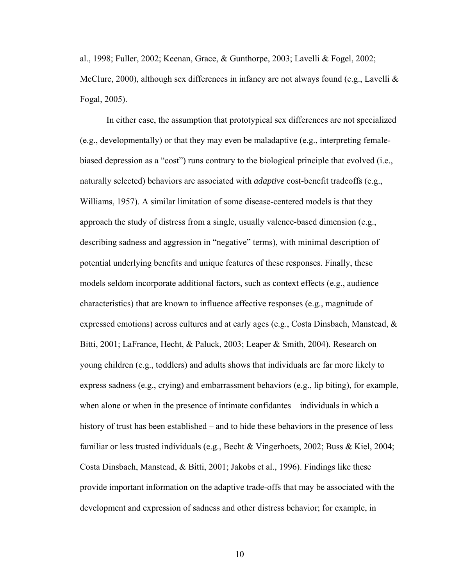al., 1998; Fuller, 2002; Keenan, Grace, & Gunthorpe, 2003; Lavelli & Fogel, 2002; McClure, 2000), although sex differences in infancy are not always found (e.g., Lavelli  $\&$ Fogal, 2005).

In either case, the assumption that prototypical sex differences are not specialized (e.g., developmentally) or that they may even be maladaptive (e.g., interpreting femalebiased depression as a "cost") runs contrary to the biological principle that evolved (i.e., naturally selected) behaviors are associated with *adaptive* cost-benefit tradeoffs (e.g., Williams, 1957). A similar limitation of some disease-centered models is that they approach the study of distress from a single, usually valence-based dimension (e.g., describing sadness and aggression in "negative" terms), with minimal description of potential underlying benefits and unique features of these responses. Finally, these models seldom incorporate additional factors, such as context effects (e.g., audience characteristics) that are known to influence affective responses (e.g., magnitude of expressed emotions) across cultures and at early ages (e.g., Costa Dinsbach, Manstead,  $\&$ Bitti, 2001; LaFrance, Hecht, & Paluck, 2003; Leaper & Smith, 2004). Research on young children (e.g., toddlers) and adults shows that individuals are far more likely to express sadness (e.g., crying) and embarrassment behaviors (e.g., lip biting), for example, when alone or when in the presence of intimate confidantes – individuals in which a history of trust has been established – and to hide these behaviors in the presence of less familiar or less trusted individuals (e.g., Becht & Vingerhoets, 2002; Buss & Kiel, 2004; Costa Dinsbach, Manstead, & Bitti, 2001; Jakobs et al., 1996). Findings like these provide important information on the adaptive trade-offs that may be associated with the development and expression of sadness and other distress behavior; for example, in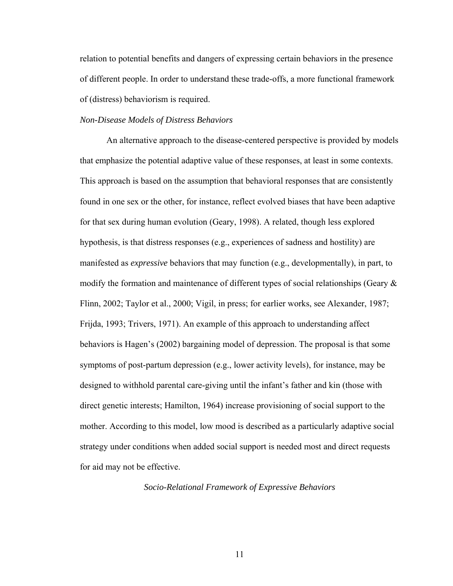relation to potential benefits and dangers of expressing certain behaviors in the presence of different people. In order to understand these trade-offs, a more functional framework of (distress) behaviorism is required.

#### *Non-Disease Models of Distress Behaviors*

An alternative approach to the disease-centered perspective is provided by models that emphasize the potential adaptive value of these responses, at least in some contexts. This approach is based on the assumption that behavioral responses that are consistently found in one sex or the other, for instance, reflect evolved biases that have been adaptive for that sex during human evolution (Geary, 1998). A related, though less explored hypothesis, is that distress responses (e.g., experiences of sadness and hostility) are manifested as *expressive* behaviors that may function (e.g., developmentally), in part, to modify the formation and maintenance of different types of social relationships (Geary  $\&$ Flinn, 2002; Taylor et al., 2000; Vigil, in press; for earlier works, see Alexander, 1987; Frijda, 1993; Trivers, 1971). An example of this approach to understanding affect behaviors is Hagen's (2002) bargaining model of depression. The proposal is that some symptoms of post-partum depression (e.g., lower activity levels), for instance, may be designed to withhold parental care-giving until the infant's father and kin (those with direct genetic interests; Hamilton, 1964) increase provisioning of social support to the mother. According to this model, low mood is described as a particularly adaptive social strategy under conditions when added social support is needed most and direct requests for aid may not be effective.

*Socio-Relational Framework of Expressive Behaviors*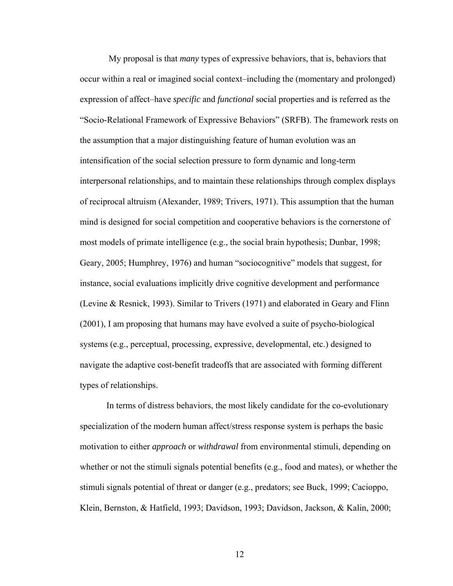My proposal is that *many* types of expressive behaviors, that is, behaviors that occur within a real or imagined social context–including the (momentary and prolonged) expression of affect–have *specific* and *functional* social properties and is referred as the "Socio-Relational Framework of Expressive Behaviors" (SRFB). The framework rests on the assumption that a major distinguishing feature of human evolution was an intensification of the social selection pressure to form dynamic and long-term interpersonal relationships, and to maintain these relationships through complex displays of reciprocal altruism (Alexander, 1989; Trivers, 1971). This assumption that the human mind is designed for social competition and cooperative behaviors is the cornerstone of most models of primate intelligence (e.g., the social brain hypothesis; Dunbar, 1998; Geary, 2005; Humphrey, 1976) and human "sociocognitive" models that suggest, for instance, social evaluations implicitly drive cognitive development and performance (Levine & Resnick, 1993). Similar to Trivers (1971) and elaborated in Geary and Flinn (2001), I am proposing that humans may have evolved a suite of psycho-biological systems (e.g., perceptual, processing, expressive, developmental, etc.) designed to navigate the adaptive cost-benefit tradeoffs that are associated with forming different types of relationships.

In terms of distress behaviors, the most likely candidate for the co-evolutionary specialization of the modern human affect/stress response system is perhaps the basic motivation to either *approach* or *withdrawal* from environmental stimuli, depending on whether or not the stimuli signals potential benefits (e.g., food and mates), or whether the stimuli signals potential of threat or danger (e.g., predators; see Buck, 1999; Cacioppo, Klein, Bernston, & Hatfield, 1993; Davidson, 1993; Davidson, Jackson, & Kalin, 2000;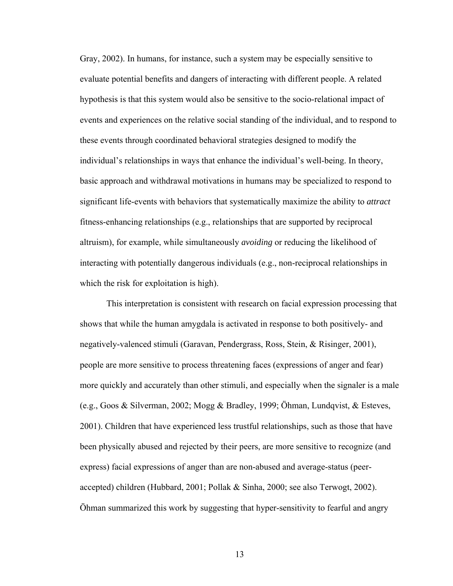Gray, 2002). In humans, for instance, such a system may be especially sensitive to evaluate potential benefits and dangers of interacting with different people. A related hypothesis is that this system would also be sensitive to the socio-relational impact of events and experiences on the relative social standing of the individual, and to respond to these events through coordinated behavioral strategies designed to modify the individual's relationships in ways that enhance the individual's well-being. In theory, basic approach and withdrawal motivations in humans may be specialized to respond to significant life-events with behaviors that systematically maximize the ability to *attract*  fitness-enhancing relationships (e.g., relationships that are supported by reciprocal altruism), for example, while simultaneously *avoiding* or reducing the likelihood of interacting with potentially dangerous individuals (e.g., non-reciprocal relationships in which the risk for exploitation is high).

This interpretation is consistent with research on facial expression processing that shows that while the human amygdala is activated in response to both positively- and negatively-valenced stimuli (Garavan, Pendergrass, Ross, Stein, & Risinger, 2001), people are more sensitive to process threatening faces (expressions of anger and fear) more quickly and accurately than other stimuli, and especially when the signaler is a male (e.g., Goos & Silverman, 2002; Mogg & Bradley, 1999; Öhman, Lundqvist, & Esteves, 2001). Children that have experienced less trustful relationships, such as those that have been physically abused and rejected by their peers, are more sensitive to recognize (and express) facial expressions of anger than are non-abused and average-status (peeraccepted) children (Hubbard, 2001; Pollak & Sinha, 2000; see also Terwogt, 2002). Öhman summarized this work by suggesting that hyper-sensitivity to fearful and angry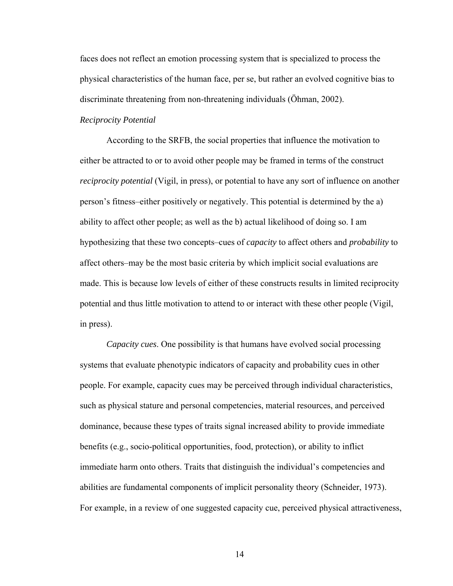faces does not reflect an emotion processing system that is specialized to process the physical characteristics of the human face, per se, but rather an evolved cognitive bias to discriminate threatening from non-threatening individuals (Öhman, 2002).

#### *Reciprocity Potential*

According to the SRFB, the social properties that influence the motivation to either be attracted to or to avoid other people may be framed in terms of the construct *reciprocity potential* (Vigil, in press), or potential to have any sort of influence on another person's fitness–either positively or negatively. This potential is determined by the a) ability to affect other people; as well as the b) actual likelihood of doing so. I am hypothesizing that these two concepts–cues of *capacity* to affect others and *probability* to affect others–may be the most basic criteria by which implicit social evaluations are made. This is because low levels of either of these constructs results in limited reciprocity potential and thus little motivation to attend to or interact with these other people (Vigil, in press).

*Capacity cues*. One possibility is that humans have evolved social processing systems that evaluate phenotypic indicators of capacity and probability cues in other people. For example, capacity cues may be perceived through individual characteristics, such as physical stature and personal competencies, material resources, and perceived dominance, because these types of traits signal increased ability to provide immediate benefits (e.g., socio-political opportunities, food, protection), or ability to inflict immediate harm onto others. Traits that distinguish the individual's competencies and abilities are fundamental components of implicit personality theory (Schneider, 1973). For example, in a review of one suggested capacity cue, perceived physical attractiveness,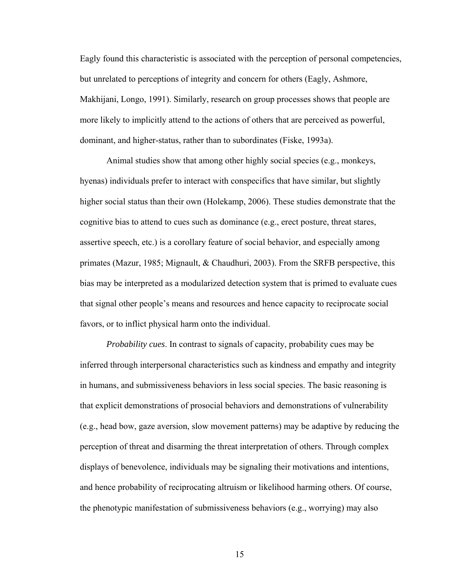Eagly found this characteristic is associated with the perception of personal competencies, but unrelated to perceptions of integrity and concern for others (Eagly, Ashmore, Makhijani, Longo, 1991). Similarly, research on group processes shows that people are more likely to implicitly attend to the actions of others that are perceived as powerful, dominant, and higher-status, rather than to subordinates (Fiske, 1993a).

Animal studies show that among other highly social species (e.g., monkeys, hyenas) individuals prefer to interact with conspecifics that have similar, but slightly higher social status than their own (Holekamp, 2006). These studies demonstrate that the cognitive bias to attend to cues such as dominance (e.g., erect posture, threat stares, assertive speech, etc.) is a corollary feature of social behavior, and especially among primates (Mazur, 1985; Mignault, & Chaudhuri, 2003). From the SRFB perspective, this bias may be interpreted as a modularized detection system that is primed to evaluate cues that signal other people's means and resources and hence capacity to reciprocate social favors, or to inflict physical harm onto the individual.

*Probability cues*. In contrast to signals of capacity, probability cues may be inferred through interpersonal characteristics such as kindness and empathy and integrity in humans, and submissiveness behaviors in less social species. The basic reasoning is that explicit demonstrations of prosocial behaviors and demonstrations of vulnerability (e.g., head bow, gaze aversion, slow movement patterns) may be adaptive by reducing the perception of threat and disarming the threat interpretation of others. Through complex displays of benevolence, individuals may be signaling their motivations and intentions, and hence probability of reciprocating altruism or likelihood harming others. Of course, the phenotypic manifestation of submissiveness behaviors (e.g., worrying) may also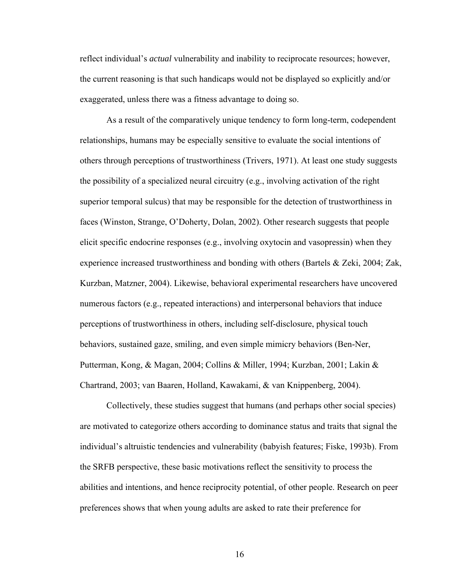reflect individual's *actual* vulnerability and inability to reciprocate resources; however, the current reasoning is that such handicaps would not be displayed so explicitly and/or exaggerated, unless there was a fitness advantage to doing so.

As a result of the comparatively unique tendency to form long-term, codependent relationships, humans may be especially sensitive to evaluate the social intentions of others through perceptions of trustworthiness (Trivers, 1971). At least one study suggests the possibility of a specialized neural circuitry (e.g., involving activation of the right superior temporal sulcus) that may be responsible for the detection of trustworthiness in faces (Winston, Strange, O'Doherty, Dolan, 2002). Other research suggests that people elicit specific endocrine responses (e.g., involving oxytocin and vasopressin) when they experience increased trustworthiness and bonding with others (Bartels & Zeki, 2004; Zak, Kurzban, Matzner, 2004). Likewise, behavioral experimental researchers have uncovered numerous factors (e.g., repeated interactions) and interpersonal behaviors that induce perceptions of trustworthiness in others, including self-disclosure, physical touch behaviors, sustained gaze, smiling, and even simple mimicry behaviors (Ben-Ner, Putterman, Kong, & Magan, 2004; Collins & Miller, 1994; Kurzban, 2001; Lakin & Chartrand, 2003; van Baaren, Holland, Kawakami, & van Knippenberg, 2004).

Collectively, these studies suggest that humans (and perhaps other social species) are motivated to categorize others according to dominance status and traits that signal the individual's altruistic tendencies and vulnerability (babyish features; Fiske, 1993b). From the SRFB perspective, these basic motivations reflect the sensitivity to process the abilities and intentions, and hence reciprocity potential, of other people. Research on peer preferences shows that when young adults are asked to rate their preference for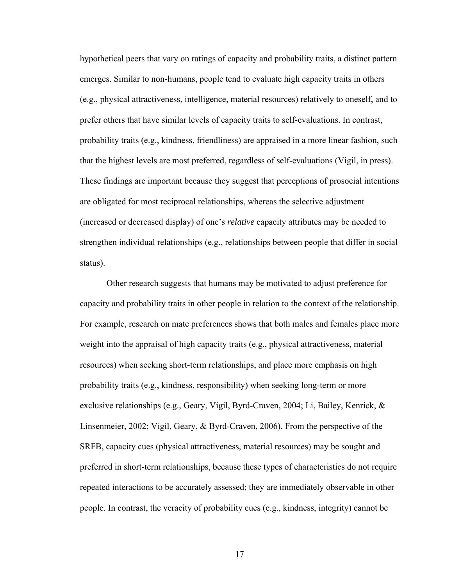hypothetical peers that vary on ratings of capacity and probability traits, a distinct pattern emerges. Similar to non-humans, people tend to evaluate high capacity traits in others (e.g., physical attractiveness, intelligence, material resources) relatively to oneself, and to prefer others that have similar levels of capacity traits to self-evaluations. In contrast, probability traits (e.g., kindness, friendliness) are appraised in a more linear fashion, such that the highest levels are most preferred, regardless of self-evaluations (Vigil, in press). These findings are important because they suggest that perceptions of prosocial intentions are obligated for most reciprocal relationships, whereas the selective adjustment (increased or decreased display) of one's *relative* capacity attributes may be needed to strengthen individual relationships (e.g., relationships between people that differ in social status).

Other research suggests that humans may be motivated to adjust preference for capacity and probability traits in other people in relation to the context of the relationship. For example, research on mate preferences shows that both males and females place more weight into the appraisal of high capacity traits (e.g., physical attractiveness, material resources) when seeking short-term relationships, and place more emphasis on high probability traits (e.g., kindness, responsibility) when seeking long-term or more exclusive relationships (e.g., Geary, Vigil, Byrd-Craven, 2004; Li, Bailey, Kenrick, & Linsenmeier, 2002; Vigil, Geary, & Byrd-Craven, 2006). From the perspective of the SRFB, capacity cues (physical attractiveness, material resources) may be sought and preferred in short-term relationships, because these types of characteristics do not require repeated interactions to be accurately assessed; they are immediately observable in other people. In contrast, the veracity of probability cues (e.g., kindness, integrity) cannot be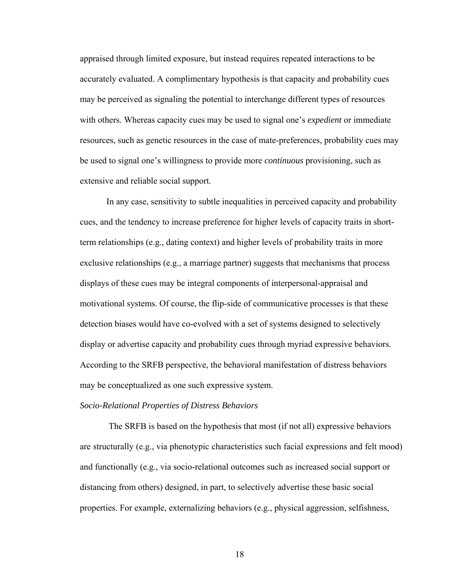appraised through limited exposure, but instead requires repeated interactions to be accurately evaluated. A complimentary hypothesis is that capacity and probability cues may be perceived as signaling the potential to interchange different types of resources with others. Whereas capacity cues may be used to signal one's *expedient* or immediate resources, such as genetic resources in the case of mate-preferences, probability cues may be used to signal one's willingness to provide more *continuous* provisioning, such as extensive and reliable social support.

In any case, sensitivity to subtle inequalities in perceived capacity and probability cues, and the tendency to increase preference for higher levels of capacity traits in shortterm relationships (e.g., dating context) and higher levels of probability traits in more exclusive relationships (e.g., a marriage partner) suggests that mechanisms that process displays of these cues may be integral components of interpersonal-appraisal and motivational systems. Of course, the flip-side of communicative processes is that these detection biases would have co-evolved with a set of systems designed to selectively display or advertise capacity and probability cues through myriad expressive behaviors. According to the SRFB perspective, the behavioral manifestation of distress behaviors may be conceptualized as one such expressive system.

#### *Socio-Relational Properties of Distress Behaviors*

 The SRFB is based on the hypothesis that most (if not all) expressive behaviors are structurally (e.g., via phenotypic characteristics such facial expressions and felt mood) and functionally (e.g., via socio-relational outcomes such as increased social support or distancing from others) designed, in part, to selectively advertise these basic social properties. For example, externalizing behaviors (e.g., physical aggression, selfishness,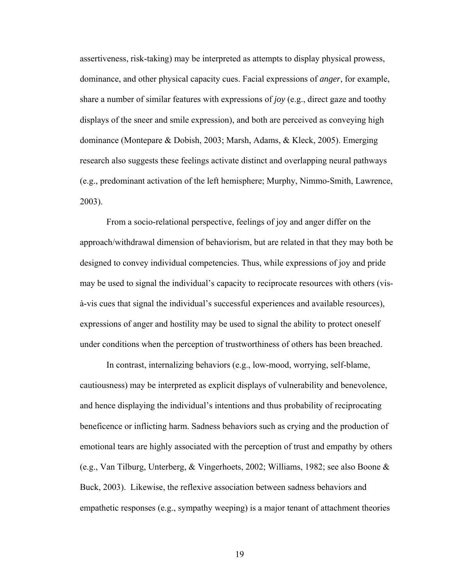assertiveness, risk-taking) may be interpreted as attempts to display physical prowess, dominance, and other physical capacity cues. Facial expressions of *anger*, for example, share a number of similar features with expressions of *joy* (e.g., direct gaze and toothy displays of the sneer and smile expression), and both are perceived as conveying high dominance (Montepare & Dobish, 2003; Marsh, Adams, & Kleck, 2005). Emerging research also suggests these feelings activate distinct and overlapping neural pathways (e.g., predominant activation of the left hemisphere; Murphy, Nimmo-Smith, Lawrence, 2003).

From a socio-relational perspective, feelings of joy and anger differ on the approach/withdrawal dimension of behaviorism, but are related in that they may both be designed to convey individual competencies. Thus, while expressions of joy and pride may be used to signal the individual's capacity to reciprocate resources with others (visà-vis cues that signal the individual's successful experiences and available resources), expressions of anger and hostility may be used to signal the ability to protect oneself under conditions when the perception of trustworthiness of others has been breached.

In contrast, internalizing behaviors (e.g., low-mood, worrying, self-blame, cautiousness) may be interpreted as explicit displays of vulnerability and benevolence, and hence displaying the individual's intentions and thus probability of reciprocating beneficence or inflicting harm. Sadness behaviors such as crying and the production of emotional tears are highly associated with the perception of trust and empathy by others (e.g., Van Tilburg, Unterberg, & Vingerhoets, 2002; Williams, 1982; see also Boone & Buck, 2003). Likewise, the reflexive association between sadness behaviors and empathetic responses (e.g., sympathy weeping) is a major tenant of attachment theories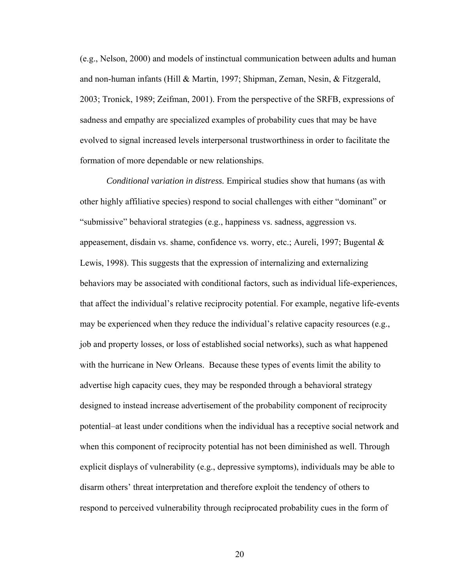(e.g., Nelson, 2000) and models of instinctual communication between adults and human and non-human infants (Hill & Martin, 1997; Shipman, Zeman, Nesin, & Fitzgerald, 2003; Tronick, 1989; Zeifman, 2001). From the perspective of the SRFB, expressions of sadness and empathy are specialized examples of probability cues that may be have evolved to signal increased levels interpersonal trustworthiness in order to facilitate the formation of more dependable or new relationships.

*Conditional variation in distress.* Empirical studies show that humans (as with other highly affiliative species) respond to social challenges with either "dominant" or "submissive" behavioral strategies (e.g., happiness vs. sadness, aggression vs. appeasement, disdain vs. shame, confidence vs. worry, etc.; Aureli, 1997; Bugental  $\&$ Lewis, 1998). This suggests that the expression of internalizing and externalizing behaviors may be associated with conditional factors, such as individual life-experiences, that affect the individual's relative reciprocity potential. For example, negative life-events may be experienced when they reduce the individual's relative capacity resources (e.g., job and property losses, or loss of established social networks), such as what happened with the hurricane in New Orleans. Because these types of events limit the ability to advertise high capacity cues, they may be responded through a behavioral strategy designed to instead increase advertisement of the probability component of reciprocity potential–at least under conditions when the individual has a receptive social network and when this component of reciprocity potential has not been diminished as well. Through explicit displays of vulnerability (e.g., depressive symptoms), individuals may be able to disarm others' threat interpretation and therefore exploit the tendency of others to respond to perceived vulnerability through reciprocated probability cues in the form of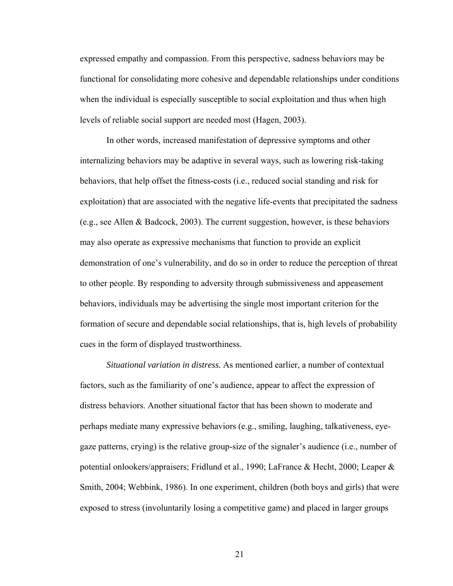expressed empathy and compassion. From this perspective, sadness behaviors may be functional for consolidating more cohesive and dependable relationships under conditions when the individual is especially susceptible to social exploitation and thus when high levels of reliable social support are needed most (Hagen, 2003).

In other words, increased manifestation of depressive symptoms and other internalizing behaviors may be adaptive in several ways, such as lowering risk-taking behaviors, that help offset the fitness-costs (i.e., reduced social standing and risk for exploitation) that are associated with the negative life-events that precipitated the sadness (e.g., see Allen & Badcock, 2003). The current suggestion, however, is these behaviors may also operate as expressive mechanisms that function to provide an explicit demonstration of one's vulnerability, and do so in order to reduce the perception of threat to other people. By responding to adversity through submissiveness and appeasement behaviors, individuals may be advertising the single most important criterion for the formation of secure and dependable social relationships, that is, high levels of probability cues in the form of displayed trustworthiness.

*Situational variation in distress.* As mentioned earlier, a number of contextual factors, such as the familiarity of one's audience, appear to affect the expression of distress behaviors. Another situational factor that has been shown to moderate and perhaps mediate many expressive behaviors (e.g., smiling, laughing, talkativeness, eyegaze patterns, crying) is the relative group-size of the signaler's audience (i.e., number of potential onlookers/appraisers; Fridlund et al., 1990; LaFrance & Hecht, 2000; Leaper & Smith, 2004; Webbink, 1986). In one experiment, children (both boys and girls) that were exposed to stress (involuntarily losing a competitive game) and placed in larger groups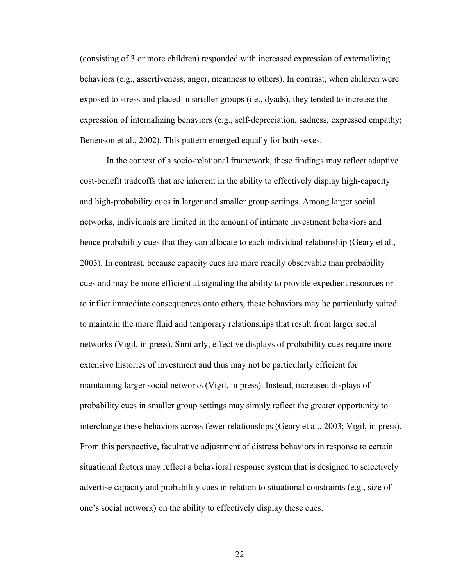(consisting of 3 or more children) responded with increased expression of externalizing behaviors (e.g., assertiveness, anger, meanness to others). In contrast, when children were exposed to stress and placed in smaller groups (i.e., dyads), they tended to increase the expression of internalizing behaviors (e.g., self-depreciation, sadness, expressed empathy; Benenson et al., 2002). This pattern emerged equally for both sexes.

In the context of a socio-relational framework, these findings may reflect adaptive cost-benefit tradeoffs that are inherent in the ability to effectively display high-capacity and high-probability cues in larger and smaller group settings. Among larger social networks, individuals are limited in the amount of intimate investment behaviors and hence probability cues that they can allocate to each individual relationship (Geary et al., 2003). In contrast, because capacity cues are more readily observable than probability cues and may be more efficient at signaling the ability to provide expedient resources or to inflict immediate consequences onto others, these behaviors may be particularly suited to maintain the more fluid and temporary relationships that result from larger social networks (Vigil, in press). Similarly, effective displays of probability cues require more extensive histories of investment and thus may not be particularly efficient for maintaining larger social networks (Vigil, in press). Instead, increased displays of probability cues in smaller group settings may simply reflect the greater opportunity to interchange these behaviors across fewer relationships (Geary et al., 2003; Vigil, in press). From this perspective, facultative adjustment of distress behaviors in response to certain situational factors may reflect a behavioral response system that is designed to selectively advertise capacity and probability cues in relation to situational constraints (e.g., size of one's social network) on the ability to effectively display these cues.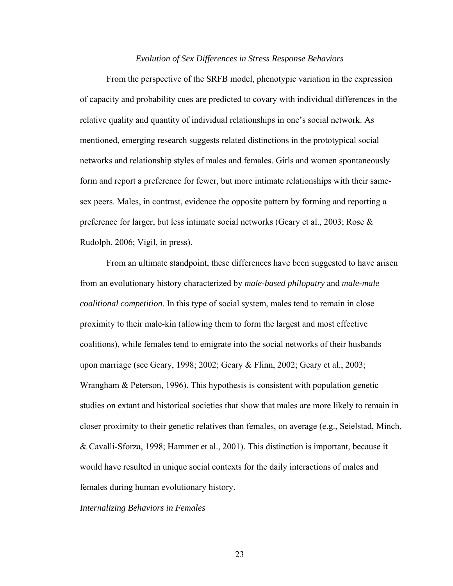#### *Evolution of Sex Differences in Stress Response Behaviors*

From the perspective of the SRFB model, phenotypic variation in the expression of capacity and probability cues are predicted to covary with individual differences in the relative quality and quantity of individual relationships in one's social network. As mentioned, emerging research suggests related distinctions in the prototypical social networks and relationship styles of males and females. Girls and women spontaneously form and report a preference for fewer, but more intimate relationships with their samesex peers. Males, in contrast, evidence the opposite pattern by forming and reporting a preference for larger, but less intimate social networks (Geary et al., 2003; Rose & Rudolph, 2006; Vigil, in press).

From an ultimate standpoint, these differences have been suggested to have arisen from an evolutionary history characterized by *male-based philopatry* and *male-male coalitional competition*. In this type of social system, males tend to remain in close proximity to their male-kin (allowing them to form the largest and most effective coalitions), while females tend to emigrate into the social networks of their husbands upon marriage (see Geary, 1998; 2002; Geary & Flinn, 2002; Geary et al., 2003; Wrangham & Peterson, 1996). This hypothesis is consistent with population genetic studies on extant and historical societies that show that males are more likely to remain in closer proximity to their genetic relatives than females, on average (e.g., Seielstad, Minch, & Cavalli-Sforza, 1998; Hammer et al., 2001). This distinction is important, because it would have resulted in unique social contexts for the daily interactions of males and females during human evolutionary history.

*Internalizing Behaviors in Females*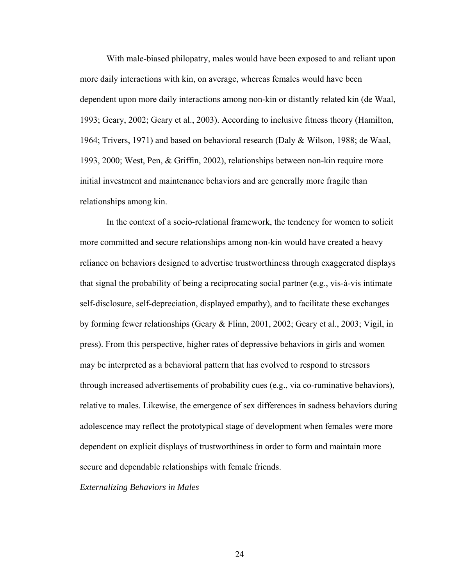With male-biased philopatry, males would have been exposed to and reliant upon more daily interactions with kin, on average, whereas females would have been dependent upon more daily interactions among non-kin or distantly related kin (de Waal, 1993; Geary, 2002; Geary et al., 2003). According to inclusive fitness theory (Hamilton, 1964; Trivers, 1971) and based on behavioral research (Daly & Wilson, 1988; de Waal, 1993, 2000; West, Pen, & Griffin, 2002), relationships between non*-*kin require more initial investment and maintenance behaviors and are generally more fragile than relationships among kin.

In the context of a socio-relational framework, the tendency for women to solicit more committed and secure relationships among non-kin would have created a heavy reliance on behaviors designed to advertise trustworthiness through exaggerated displays that signal the probability of being a reciprocating social partner (e.g., vis-à-vis intimate self-disclosure, self-depreciation, displayed empathy), and to facilitate these exchanges by forming fewer relationships (Geary & Flinn, 2001, 2002; Geary et al., 2003; Vigil, in press). From this perspective, higher rates of depressive behaviors in girls and women may be interpreted as a behavioral pattern that has evolved to respond to stressors through increased advertisements of probability cues (e.g., via co-ruminative behaviors), relative to males. Likewise, the emergence of sex differences in sadness behaviors during adolescence may reflect the prototypical stage of development when females were more dependent on explicit displays of trustworthiness in order to form and maintain more secure and dependable relationships with female friends.

*Externalizing Behaviors in Males*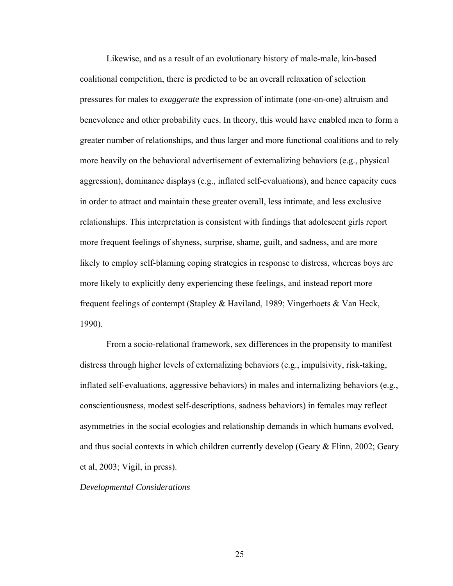Likewise, and as a result of an evolutionary history of male-male, kin-based coalitional competition, there is predicted to be an overall relaxation of selection pressures for males to *exaggerate* the expression of intimate (one-on-one) altruism and benevolence and other probability cues. In theory, this would have enabled men to form a greater number of relationships, and thus larger and more functional coalitions and to rely more heavily on the behavioral advertisement of externalizing behaviors (e.g., physical aggression), dominance displays (e.g., inflated self-evaluations), and hence capacity cues in order to attract and maintain these greater overall, less intimate, and less exclusive relationships. This interpretation is consistent with findings that adolescent girls report more frequent feelings of shyness, surprise, shame, guilt, and sadness, and are more likely to employ self-blaming coping strategies in response to distress, whereas boys are more likely to explicitly deny experiencing these feelings, and instead report more frequent feelings of contempt (Stapley & Haviland, 1989; Vingerhoets & Van Heck, 1990).

From a socio-relational framework, sex differences in the propensity to manifest distress through higher levels of externalizing behaviors (e.g., impulsivity, risk-taking, inflated self-evaluations, aggressive behaviors) in males and internalizing behaviors (e.g., conscientiousness, modest self-descriptions, sadness behaviors) in females may reflect asymmetries in the social ecologies and relationship demands in which humans evolved, and thus social contexts in which children currently develop (Geary & Flinn, 2002; Geary et al, 2003; Vigil, in press).

*Developmental Considerations*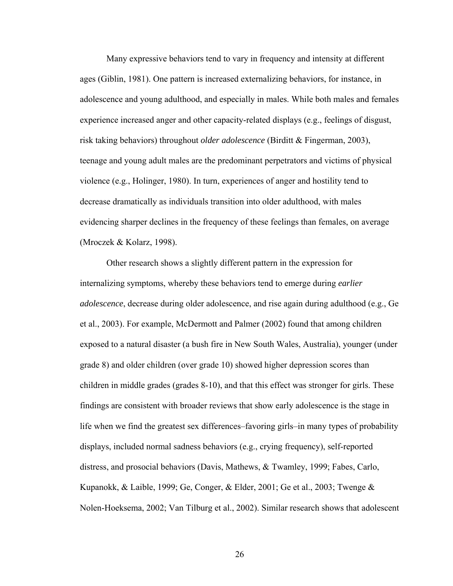Many expressive behaviors tend to vary in frequency and intensity at different ages (Giblin, 1981). One pattern is increased externalizing behaviors, for instance, in adolescence and young adulthood, and especially in males. While both males and females experience increased anger and other capacity-related displays (e.g., feelings of disgust, risk taking behaviors) throughout *older adolescence* (Birditt & Fingerman, 2003), teenage and young adult males are the predominant perpetrators and victims of physical violence (e.g., Holinger, 1980). In turn, experiences of anger and hostility tend to decrease dramatically as individuals transition into older adulthood, with males evidencing sharper declines in the frequency of these feelings than females, on average (Mroczek & Kolarz, 1998).

Other research shows a slightly different pattern in the expression for internalizing symptoms, whereby these behaviors tend to emerge during *earlier adolescence*, decrease during older adolescence, and rise again during adulthood (e.g., Ge et al., 2003). For example, McDermott and Palmer (2002) found that among children exposed to a natural disaster (a bush fire in New South Wales, Australia), younger (under grade 8) and older children (over grade 10) showed higher depression scores than children in middle grades (grades 8-10), and that this effect was stronger for girls. These findings are consistent with broader reviews that show early adolescence is the stage in life when we find the greatest sex differences–favoring girls–in many types of probability displays, included normal sadness behaviors (e.g., crying frequency), self-reported distress, and prosocial behaviors (Davis, Mathews, & Twamley, 1999; Fabes, Carlo, Kupanokk, & Laible, 1999; Ge, Conger, & Elder, 2001; Ge et al., 2003; Twenge & Nolen-Hoeksema, 2002; Van Tilburg et al., 2002). Similar research shows that adolescent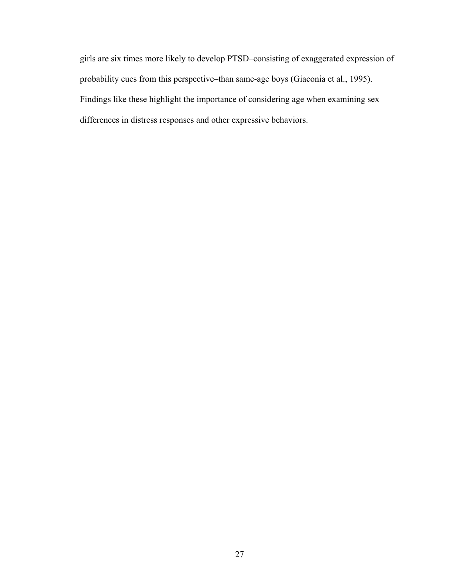girls are six times more likely to develop PTSD–consisting of exaggerated expression of probability cues from this perspective–than same-age boys (Giaconia et al., 1995). Findings like these highlight the importance of considering age when examining sex differences in distress responses and other expressive behaviors.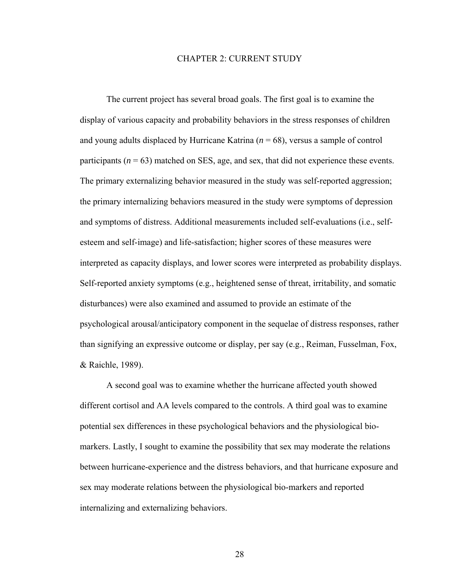#### CHAPTER 2: CURRENT STUDY

The current project has several broad goals. The first goal is to examine the display of various capacity and probability behaviors in the stress responses of children and young adults displaced by Hurricane Katrina (*n* = 68), versus a sample of control participants ( $n = 63$ ) matched on SES, age, and sex, that did not experience these events. The primary externalizing behavior measured in the study was self-reported aggression; the primary internalizing behaviors measured in the study were symptoms of depression and symptoms of distress. Additional measurements included self-evaluations (i.e., selfesteem and self-image) and life-satisfaction; higher scores of these measures were interpreted as capacity displays, and lower scores were interpreted as probability displays. Self-reported anxiety symptoms (e.g., heightened sense of threat, irritability, and somatic disturbances) were also examined and assumed to provide an estimate of the psychological arousal/anticipatory component in the sequelae of distress responses, rather than signifying an expressive outcome or display, per say (e.g., Reiman, Fusselman, Fox, & Raichle, 1989).

A second goal was to examine whether the hurricane affected youth showed different cortisol and AA levels compared to the controls. A third goal was to examine potential sex differences in these psychological behaviors and the physiological biomarkers. Lastly, I sought to examine the possibility that sex may moderate the relations between hurricane-experience and the distress behaviors, and that hurricane exposure and sex may moderate relations between the physiological bio-markers and reported internalizing and externalizing behaviors.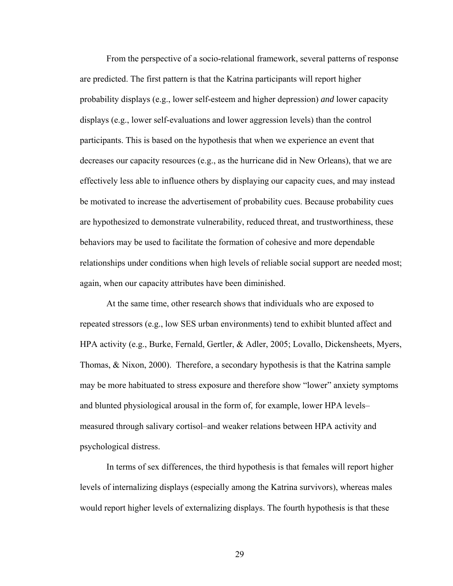From the perspective of a socio-relational framework, several patterns of response are predicted. The first pattern is that the Katrina participants will report higher probability displays (e.g., lower self-esteem and higher depression) *and* lower capacity displays (e.g., lower self-evaluations and lower aggression levels) than the control participants. This is based on the hypothesis that when we experience an event that decreases our capacity resources (e.g., as the hurricane did in New Orleans), that we are effectively less able to influence others by displaying our capacity cues, and may instead be motivated to increase the advertisement of probability cues. Because probability cues are hypothesized to demonstrate vulnerability, reduced threat, and trustworthiness, these behaviors may be used to facilitate the formation of cohesive and more dependable relationships under conditions when high levels of reliable social support are needed most; again, when our capacity attributes have been diminished.

At the same time, other research shows that individuals who are exposed to repeated stressors (e.g., low SES urban environments) tend to exhibit blunted affect and HPA activity (e.g., Burke, Fernald, Gertler, & Adler, 2005; Lovallo, Dickensheets, Myers, Thomas, & Nixon, 2000). Therefore, a secondary hypothesis is that the Katrina sample may be more habituated to stress exposure and therefore show "lower" anxiety symptoms and blunted physiological arousal in the form of, for example, lower HPA levels– measured through salivary cortisol–and weaker relations between HPA activity and psychological distress.

 In terms of sex differences, the third hypothesis is that females will report higher levels of internalizing displays (especially among the Katrina survivors), whereas males would report higher levels of externalizing displays. The fourth hypothesis is that these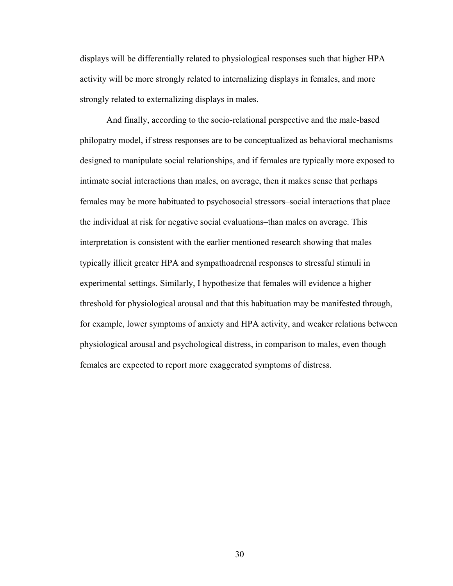displays will be differentially related to physiological responses such that higher HPA activity will be more strongly related to internalizing displays in females, and more strongly related to externalizing displays in males.

And finally, according to the socio-relational perspective and the male-based philopatry model, if stress responses are to be conceptualized as behavioral mechanisms designed to manipulate social relationships, and if females are typically more exposed to intimate social interactions than males, on average, then it makes sense that perhaps females may be more habituated to psychosocial stressors–social interactions that place the individual at risk for negative social evaluations–than males on average. This interpretation is consistent with the earlier mentioned research showing that males typically illicit greater HPA and sympathoadrenal responses to stressful stimuli in experimental settings. Similarly, I hypothesize that females will evidence a higher threshold for physiological arousal and that this habituation may be manifested through, for example, lower symptoms of anxiety and HPA activity, and weaker relations between physiological arousal and psychological distress, in comparison to males, even though females are expected to report more exaggerated symptoms of distress.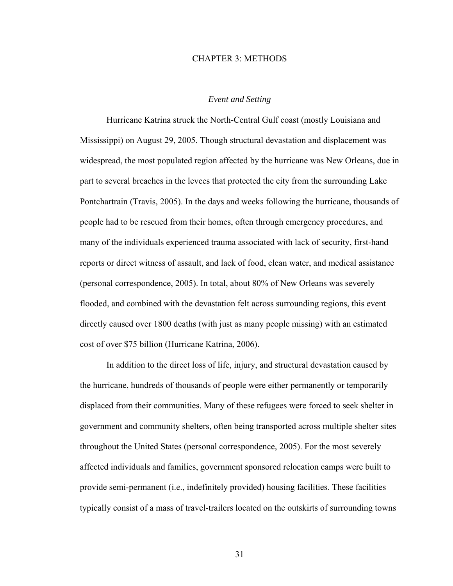### CHAPTER 3: METHODS

## *Event and Setting*

 Hurricane Katrina struck the North-Central Gulf coast (mostly Louisiana and Mississippi) on August 29, 2005. Though structural devastation and displacement was widespread, the most populated region affected by the hurricane was New Orleans, due in part to several breaches in the levees that protected the city from the surrounding Lake Pontchartrain (Travis, 2005). In the days and weeks following the hurricane, thousands of people had to be rescued from their homes, often through emergency procedures, and many of the individuals experienced trauma associated with lack of security, first-hand reports or direct witness of assault, and lack of food, clean water, and medical assistance (personal correspondence, 2005). In total, about 80% of New Orleans was severely flooded, and combined with the devastation felt across surrounding regions, this event directly caused over 1800 deaths (with just as many people missing) with an estimated cost of over \$75 billion (Hurricane Katrina, 2006).

 In addition to the direct loss of life, injury, and structural devastation caused by the hurricane, hundreds of thousands of people were either permanently or temporarily displaced from their communities. Many of these refugees were forced to seek shelter in government and community shelters, often being transported across multiple shelter sites throughout the United States (personal correspondence, 2005). For the most severely affected individuals and families, government sponsored relocation camps were built to provide semi-permanent (i.e., indefinitely provided) housing facilities. These facilities typically consist of a mass of travel-trailers located on the outskirts of surrounding towns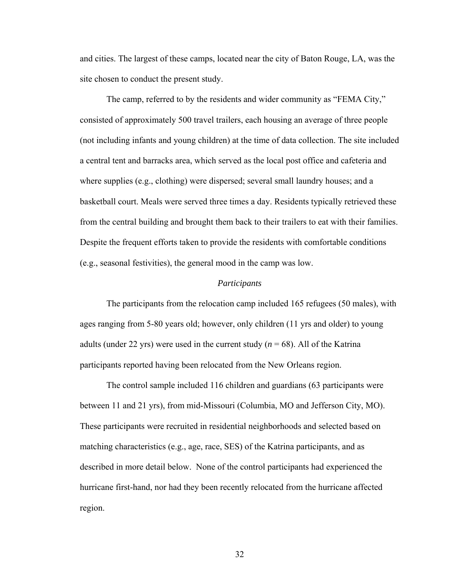and cities. The largest of these camps, located near the city of Baton Rouge, LA, was the site chosen to conduct the present study.

 The camp, referred to by the residents and wider community as "FEMA City," consisted of approximately 500 travel trailers, each housing an average of three people (not including infants and young children) at the time of data collection. The site included a central tent and barracks area, which served as the local post office and cafeteria and where supplies (e.g., clothing) were dispersed; several small laundry houses; and a basketball court. Meals were served three times a day. Residents typically retrieved these from the central building and brought them back to their trailers to eat with their families. Despite the frequent efforts taken to provide the residents with comfortable conditions (e.g., seasonal festivities), the general mood in the camp was low.

#### *Participants*

 The participants from the relocation camp included 165 refugees (50 males), with ages ranging from 5-80 years old; however, only children (11 yrs and older) to young adults (under 22 yrs) were used in the current study  $(n = 68)$ . All of the Katrina participants reported having been relocated from the New Orleans region.

 The control sample included 116 children and guardians (63 participants were between 11 and 21 yrs), from mid-Missouri (Columbia, MO and Jefferson City, MO). These participants were recruited in residential neighborhoods and selected based on matching characteristics (e.g., age, race, SES) of the Katrina participants, and as described in more detail below. None of the control participants had experienced the hurricane first-hand, nor had they been recently relocated from the hurricane affected region.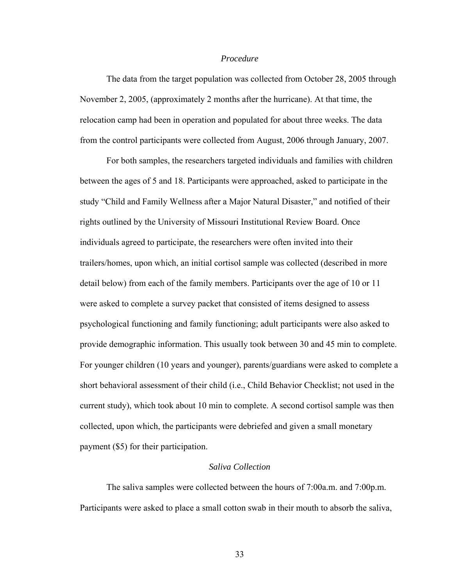### *Procedure*

 The data from the target population was collected from October 28, 2005 through November 2, 2005, (approximately 2 months after the hurricane). At that time, the relocation camp had been in operation and populated for about three weeks. The data from the control participants were collected from August, 2006 through January, 2007.

For both samples, the researchers targeted individuals and families with children between the ages of 5 and 18. Participants were approached, asked to participate in the study "Child and Family Wellness after a Major Natural Disaster," and notified of their rights outlined by the University of Missouri Institutional Review Board. Once individuals agreed to participate, the researchers were often invited into their trailers/homes, upon which, an initial cortisol sample was collected (described in more detail below) from each of the family members. Participants over the age of 10 or 11 were asked to complete a survey packet that consisted of items designed to assess psychological functioning and family functioning; adult participants were also asked to provide demographic information. This usually took between 30 and 45 min to complete. For younger children (10 years and younger), parents/guardians were asked to complete a short behavioral assessment of their child (i.e., Child Behavior Checklist; not used in the current study), which took about 10 min to complete. A second cortisol sample was then collected, upon which, the participants were debriefed and given a small monetary payment (\$5) for their participation.

# *Saliva Collection*

 The saliva samples were collected between the hours of 7:00a.m. and 7:00p.m. Participants were asked to place a small cotton swab in their mouth to absorb the saliva,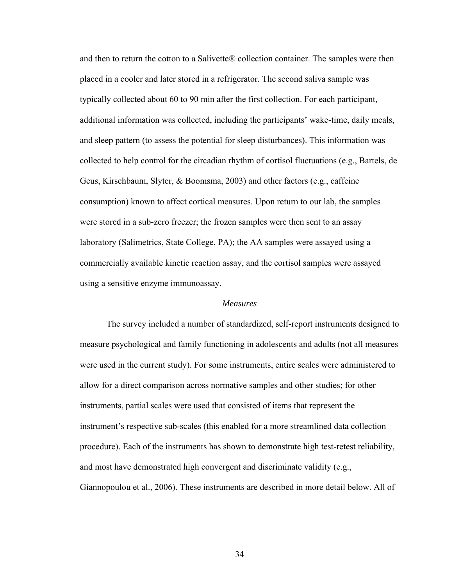and then to return the cotton to a Salivette® collection container. The samples were then placed in a cooler and later stored in a refrigerator. The second saliva sample was typically collected about 60 to 90 min after the first collection. For each participant, additional information was collected, including the participants' wake-time, daily meals, and sleep pattern (to assess the potential for sleep disturbances). This information was collected to help control for the circadian rhythm of cortisol fluctuations (e.g., Bartels, de Geus, Kirschbaum, Slyter, & Boomsma, 2003) and other factors (e.g., caffeine consumption) known to affect cortical measures. Upon return to our lab, the samples were stored in a sub-zero freezer; the frozen samples were then sent to an assay laboratory (Salimetrics, State College, PA); the AA samples were assayed using a commercially available kinetic reaction assay, and the cortisol samples were assayed using a sensitive enzyme immunoassay.

### *Measures*

 The survey included a number of standardized, self-report instruments designed to measure psychological and family functioning in adolescents and adults (not all measures were used in the current study). For some instruments, entire scales were administered to allow for a direct comparison across normative samples and other studies; for other instruments, partial scales were used that consisted of items that represent the instrument's respective sub-scales (this enabled for a more streamlined data collection procedure). Each of the instruments has shown to demonstrate high test-retest reliability, and most have demonstrated high convergent and discriminate validity (e.g., Giannopoulou et al., 2006). These instruments are described in more detail below. All of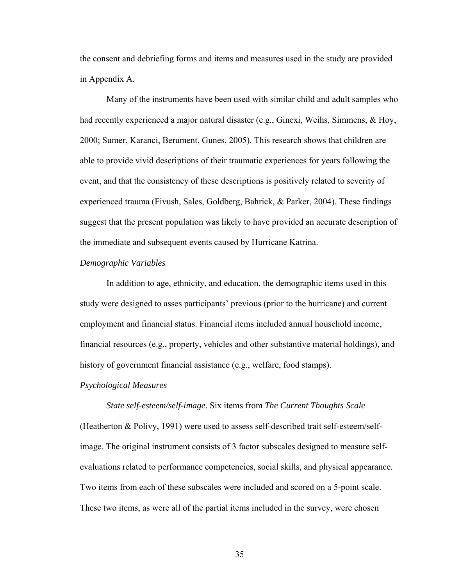the consent and debriefing forms and items and measures used in the study are provided in Appendix A.

Many of the instruments have been used with similar child and adult samples who had recently experienced a major natural disaster (e.g., Ginexi, Weihs, Simmens, & Hoy, 2000; Sumer, Karanci, Berument, Gunes, 2005). This research shows that children are able to provide vivid descriptions of their traumatic experiences for years following the event, and that the consistency of these descriptions is positively related to severity of experienced trauma (Fivush, Sales, Goldberg, Bahrick, & Parker, 2004). These findings suggest that the present population was likely to have provided an accurate description of the immediate and subsequent events caused by Hurricane Katrina.

### *Demographic Variables*

 In addition to age, ethnicity, and education, the demographic items used in this study were designed to asses participants' previous (prior to the hurricane) and current employment and financial status. Financial items included annual household income, financial resources (e.g., property, vehicles and other substantive material holdings), and history of government financial assistance (e.g., welfare, food stamps).

### *Psychological Measures*

#### *State self-esteem/self-image*. Six items from *The Current Thoughts Scale*

(Heatherton & Polivy, 1991) were used to assess self-described trait self-esteem/selfimage. The original instrument consists of 3 factor subscales designed to measure selfevaluations related to performance competencies, social skills, and physical appearance. Two items from each of these subscales were included and scored on a 5-point scale. These two items, as were all of the partial items included in the survey, were chosen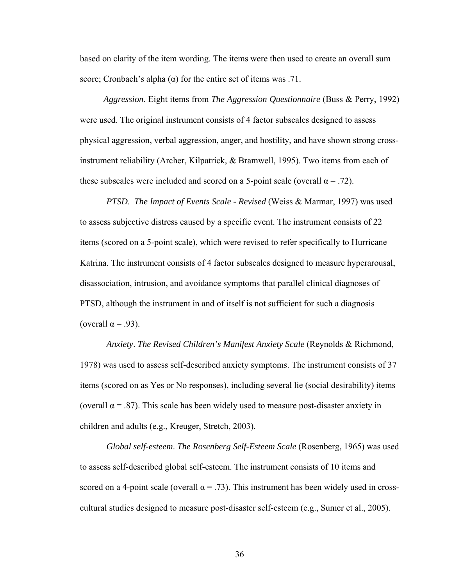based on clarity of the item wording. The items were then used to create an overall sum score; Cronbach's alpha  $(\alpha)$  for the entire set of items was .71.

*Aggression*. Eight items from *The Aggression Questionnaire* (Buss & Perry, 1992) were used. The original instrument consists of 4 factor subscales designed to assess physical aggression, verbal aggression, anger, and hostility, and have shown strong crossinstrument reliability (Archer, Kilpatrick, & Bramwell, 1995). Two items from each of these subscales were included and scored on a 5-point scale (overall  $\alpha = .72$ ).

*PTSD*. *The Impact of Events Scale - Revised* (Weiss & Marmar, 1997) was used to assess subjective distress caused by a specific event. The instrument consists of 22 items (scored on a 5-point scale), which were revised to refer specifically to Hurricane Katrina. The instrument consists of 4 factor subscales designed to measure hyperarousal, disassociation, intrusion, and avoidance symptoms that parallel clinical diagnoses of PTSD, although the instrument in and of itself is not sufficient for such a diagnosis (overall  $\alpha$  = .93).

*Anxiety*. *The Revised Children's Manifest Anxiety Scale* (Reynolds & Richmond, 1978) was used to assess self-described anxiety symptoms. The instrument consists of 37 items (scored on as Yes or No responses), including several lie (social desirability) items (overall  $\alpha$  = .87). This scale has been widely used to measure post-disaster anxiety in children and adults (e.g., Kreuger, Stretch, 2003).

*Global self-esteem*. *The Rosenberg Self-Esteem Scale* (Rosenberg, 1965) was used to assess self-described global self-esteem. The instrument consists of 10 items and scored on a 4-point scale (overall  $\alpha = .73$ ). This instrument has been widely used in crosscultural studies designed to measure post-disaster self-esteem (e.g., Sumer et al., 2005).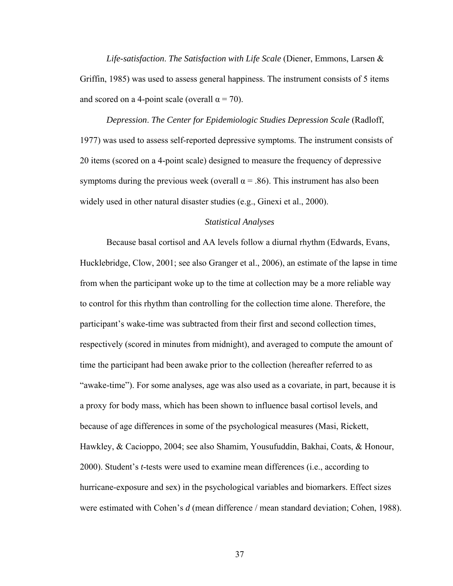*Life-satisfaction*. *The Satisfaction with Life Scale* (Diener, Emmons, Larsen & Griffin, 1985) was used to assess general happiness. The instrument consists of 5 items and scored on a 4-point scale (overall  $\alpha$  = 70).

*Depression*. *The Center for Epidemiologic Studies Depression Scale* (Radloff, 1977) was used to assess self-reported depressive symptoms. The instrument consists of 20 items (scored on a 4-point scale) designed to measure the frequency of depressive symptoms during the previous week (overall  $\alpha$  = .86). This instrument has also been widely used in other natural disaster studies (e.g., Ginexi et al., 2000).

# *Statistical Analyses*

 Because basal cortisol and AA levels follow a diurnal rhythm (Edwards, Evans, Hucklebridge, Clow, 2001; see also Granger et al., 2006), an estimate of the lapse in time from when the participant woke up to the time at collection may be a more reliable way to control for this rhythm than controlling for the collection time alone. Therefore, the participant's wake-time was subtracted from their first and second collection times, respectively (scored in minutes from midnight), and averaged to compute the amount of time the participant had been awake prior to the collection (hereafter referred to as "awake-time"). For some analyses, age was also used as a covariate, in part, because it is a proxy for body mass, which has been shown to influence basal cortisol levels, and because of age differences in some of the psychological measures (Masi, Rickett, Hawkley, & Cacioppo, 2004; see also Shamim, Yousufuddin, Bakhai, Coats, & Honour, 2000). Student's *t*-tests were used to examine mean differences (i.e., according to hurricane-exposure and sex) in the psychological variables and biomarkers. Effect sizes were estimated with Cohen's *d* (mean difference / mean standard deviation; Cohen, 1988).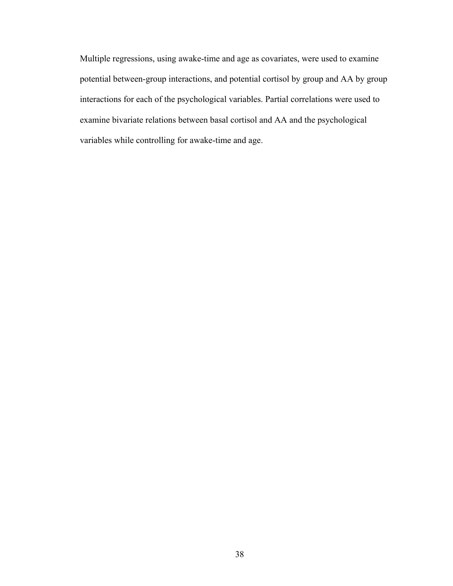Multiple regressions, using awake-time and age as covariates, were used to examine potential between-group interactions, and potential cortisol by group and AA by group interactions for each of the psychological variables. Partial correlations were used to examine bivariate relations between basal cortisol and AA and the psychological variables while controlling for awake-time and age.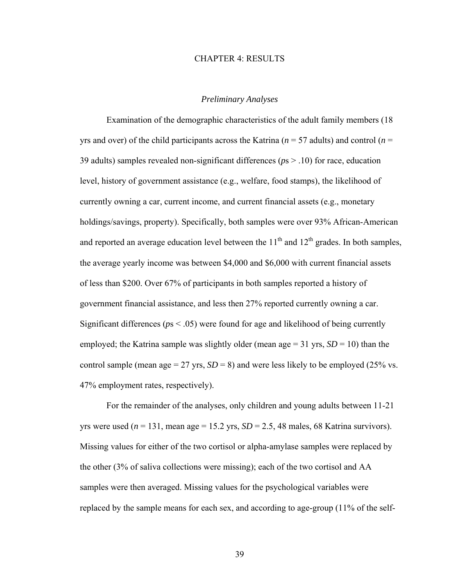#### CHAPTER 4: RESULTS

### *Preliminary Analyses*

 Examination of the demographic characteristics of the adult family members (18 yrs and over) of the child participants across the Katrina (*n* = 57 adults) and control (*n* = 39 adults) samples revealed non-significant differences (*p*s > .10) for race, education level, history of government assistance (e.g., welfare, food stamps), the likelihood of currently owning a car, current income, and current financial assets (e.g., monetary holdings/savings, property). Specifically, both samples were over 93% African-American and reported an average education level between the  $11<sup>th</sup>$  and  $12<sup>th</sup>$  grades. In both samples, the average yearly income was between \$4,000 and \$6,000 with current financial assets of less than \$200. Over 67% of participants in both samples reported a history of government financial assistance, and less then 27% reported currently owning a car. Significant differences ( $p_s < .05$ ) were found for age and likelihood of being currently employed; the Katrina sample was slightly older (mean age  $=$  31 yrs,  $SD = 10$ ) than the control sample (mean age  $= 27$  yrs,  $SD = 8$ ) and were less likely to be employed (25% vs. 47% employment rates, respectively).

 For the remainder of the analyses, only children and young adults between 11-21 yrs were used  $(n = 131, \text{ mean age} = 15.2 \text{ yrs}, SD = 2.5, 48 \text{ males}, 68 \text{ Katrina survives}).$ Missing values for either of the two cortisol or alpha-amylase samples were replaced by the other (3% of saliva collections were missing); each of the two cortisol and AA samples were then averaged. Missing values for the psychological variables were replaced by the sample means for each sex, and according to age-group (11% of the self-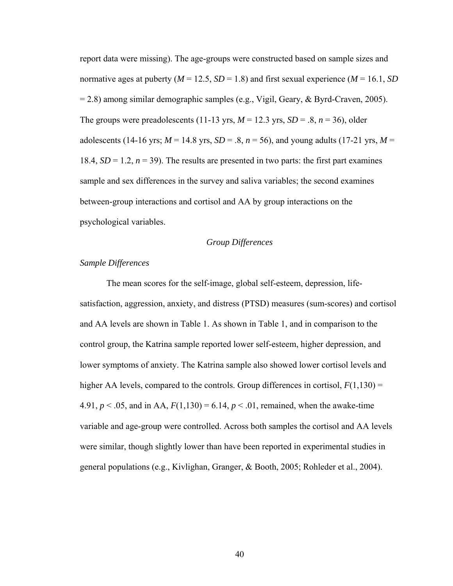report data were missing). The age-groups were constructed based on sample sizes and normative ages at puberty ( $M = 12.5$ ,  $SD = 1.8$ ) and first sexual experience ( $M = 16.1$ ,  $SD$ = 2.8) among similar demographic samples (e.g., Vigil, Geary, & Byrd-Craven, 2005). The groups were preadolescents (11-13 yrs,  $M = 12.3$  yrs,  $SD = .8$ ,  $n = 36$ ), older adolescents (14-16 yrs;  $M = 14.8$  yrs,  $SD = .8$ ,  $n = 56$ ), and young adults (17-21 yrs,  $M =$ 18.4,  $SD = 1.2$ ,  $n = 39$ ). The results are presented in two parts: the first part examines sample and sex differences in the survey and saliva variables; the second examines between-group interactions and cortisol and AA by group interactions on the psychological variables.

## *Group Differences*

### *Sample Differences*

The mean scores for the self-image, global self-esteem, depression, lifesatisfaction, aggression, anxiety, and distress (PTSD) measures (sum-scores) and cortisol and AA levels are shown in Table 1. As shown in Table 1, and in comparison to the control group, the Katrina sample reported lower self-esteem, higher depression, and lower symptoms of anxiety. The Katrina sample also showed lower cortisol levels and higher AA levels, compared to the controls. Group differences in cortisol,  $F(1,130) =$ 4.91,  $p < .05$ , and in AA,  $F(1,130) = 6.14$ ,  $p < .01$ , remained, when the awake-time variable and age-group were controlled. Across both samples the cortisol and AA levels were similar, though slightly lower than have been reported in experimental studies in general populations (e.g., Kivlighan, Granger, & Booth, 2005; Rohleder et al., 2004).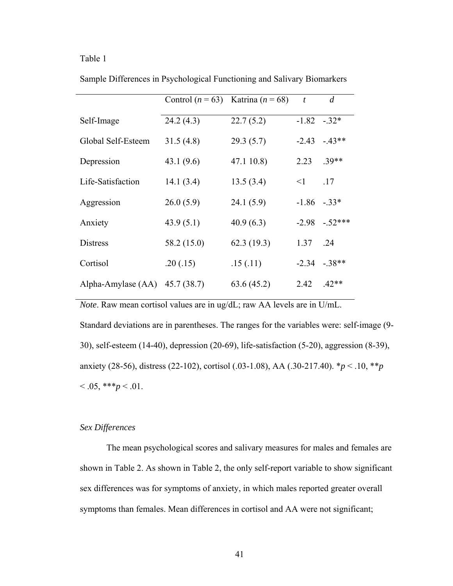# Table 1

|                                  | Control $(n = 63)$ Katrina $(n = 68)$ |            | $\boldsymbol{t}$ | $\overline{d}$ |
|----------------------------------|---------------------------------------|------------|------------------|----------------|
| Self-Image                       | 24.2(4.3)                             | 22.7(5.2)  | $-1.82 - 32*$    |                |
| Global Self-Esteem               | 31.5(4.8)                             | 29.3(5.7)  | $-2.43$          | $-43**$        |
| Depression                       | 43.1(9.6)                             | 47.1 10.8) | 2.23             | $.39**$        |
| Life-Satisfaction                | 14.1(3.4)                             | 13.5(3.4)  | $\leq$ 1         | .17            |
| Aggression                       | 26.0(5.9)                             | 24.1(5.9)  | $-1.86$          | $-.33*$        |
| Anxiety                          | 43.9(5.1)                             | 40.9(6.3)  | $-2.98$          | $-.52***$      |
| <b>Distress</b>                  | 58.2 (15.0)                           | 62.3(19.3) | 1.37             | .24            |
| Cortisol                         | .20(.15)                              | .15(.11)   |                  | $-2.34 - 38**$ |
| Alpha-Amylase $(AA)$ 45.7 (38.7) |                                       | 63.6(45.2) | 2.42             | $.42**$        |

Sample Differences in Psychological Functioning and Salivary Biomarkers

*Note*. Raw mean cortisol values are in ug/dL; raw AA levels are in U/mL.

Standard deviations are in parentheses. The ranges for the variables were: self-image (9- 30), self-esteem (14-40), depression (20-69), life-satisfaction (5-20), aggression (8-39), anxiety (28-56), distress (22-102), cortisol (.03-1.08), AA (.30-217.40). \**p* < .10, \*\**p*  $< 0.05, **p < 0.01.$ 

# *Sex Differences*

The mean psychological scores and salivary measures for males and females are shown in Table 2. As shown in Table 2, the only self-report variable to show significant sex differences was for symptoms of anxiety, in which males reported greater overall symptoms than females. Mean differences in cortisol and AA were not significant;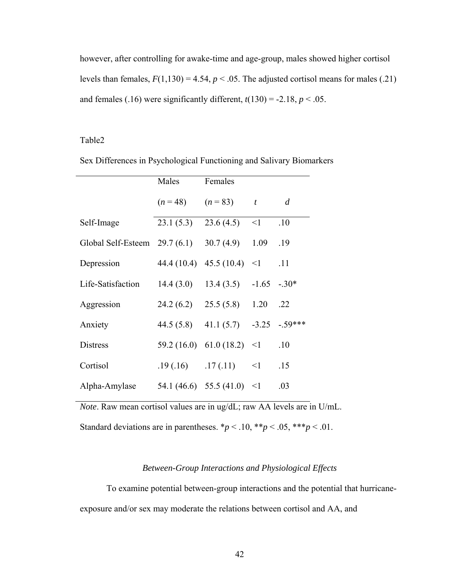however, after controlling for awake-time and age-group, males showed higher cortisol levels than females,  $F(1,130) = 4.54$ ,  $p < .05$ . The adjusted cortisol means for males (.21) and females (.16) were significantly different,  $t(130) = -2.18$ ,  $p < .05$ .

# Table2

| Sex Differences in Psychological Functioning and Salivary Biomarkers |  |  |  |
|----------------------------------------------------------------------|--|--|--|
|                                                                      |  |  |  |

|                                | Males      | Females                          |          |                |
|--------------------------------|------------|----------------------------------|----------|----------------|
|                                | $(n=48)$   | $(n = 83)$ t                     |          | $\overline{d}$ |
| Self-Image                     | 23.1(5.3)  | $23.6(4.5)$ <1                   |          | .10            |
| Global Self-Esteem $29.7(6.1)$ |            | 30.7(4.9)                        | 1.09     | .19            |
| Depression                     |            | $44.4(10.4)$ $45.5(10.4)$ <1     |          | .11            |
| Life-Satisfaction              | 14.4(3.0)  | $13.4(3.5) -1.65$                |          | $-.30*$        |
| Aggression                     |            | $24.2(6.2)$ $25.5(5.8)$ 1.20     |          | .22            |
| Anxiety                        | 44.5 (5.8) | $41.1(5.7) -3.25$                |          | $-.59***$      |
| <b>Distress</b>                |            | $59.2(16.0)$ 61.0 (18.2) <1      |          | .10            |
| Cortisol                       |            | $.19(.16)$ $.17(.11)$            | $\leq$ 1 | .15            |
| Alpha-Amylase                  |            | 54.1 (46.6) 55.5 (41.0) $\leq$ 1 |          | .03            |

*Note*. Raw mean cortisol values are in ug/dL; raw AA levels are in U/mL.

Standard deviations are in parentheses.  $* p < .10, ** p < .05, *** p < .01$ .

# *Between-Group Interactions and Physiological Effects*

To examine potential between-group interactions and the potential that hurricaneexposure and/or sex may moderate the relations between cortisol and AA, and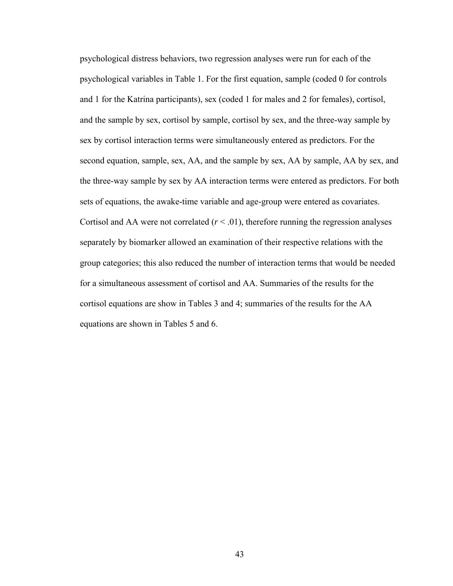psychological distress behaviors, two regression analyses were run for each of the psychological variables in Table 1. For the first equation, sample (coded 0 for controls and 1 for the Katrina participants), sex (coded 1 for males and 2 for females), cortisol, and the sample by sex, cortisol by sample, cortisol by sex, and the three-way sample by sex by cortisol interaction terms were simultaneously entered as predictors. For the second equation, sample, sex, AA, and the sample by sex, AA by sample, AA by sex, and the three-way sample by sex by AA interaction terms were entered as predictors. For both sets of equations, the awake-time variable and age-group were entered as covariates. Cortisol and AA were not correlated  $(r < .01)$ , therefore running the regression analyses separately by biomarker allowed an examination of their respective relations with the group categories; this also reduced the number of interaction terms that would be needed for a simultaneous assessment of cortisol and AA. Summaries of the results for the cortisol equations are show in Tables 3 and 4; summaries of the results for the AA equations are shown in Tables 5 and 6.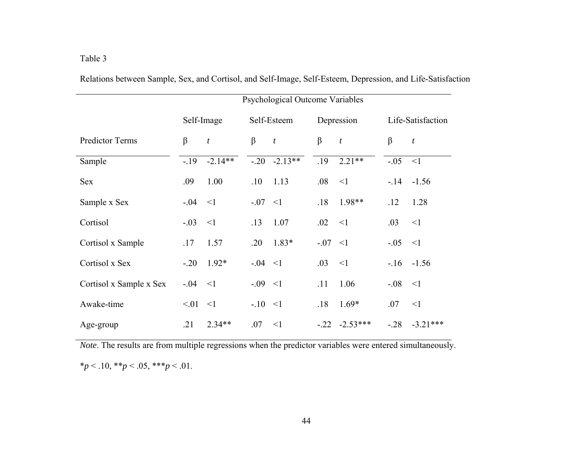|                         | Psychological Outcome Variables |                  |             |                  |           |                  |             |                   |  |
|-------------------------|---------------------------------|------------------|-------------|------------------|-----------|------------------|-------------|-------------------|--|
|                         |                                 | Self-Image       |             | Self-Esteem      |           | Depression       |             | Life-Satisfaction |  |
| <b>Predictor Terms</b>  | $\beta$                         | $\boldsymbol{t}$ | β           | $\boldsymbol{t}$ | $\beta$   | $\boldsymbol{t}$ | $\beta$     | $\boldsymbol{t}$  |  |
| Sample                  | $-.19$                          | $-2.14**$        |             | $-0.20 -2.13**$  | .19       | $2.21**$         | $-.05$      | $\leq$ 1          |  |
| <b>Sex</b>              | .09                             | 1.00             | .10         | 1.13             | .08       | $\leq$ 1         | $-14$       | $-1.56$           |  |
| Sample x Sex            | $-0.04$                         | $\leq$ 1         | $-07 < 1$   |                  | .18       | 1.98**           | .12         | 1.28              |  |
| Cortisol                | $-0.03$                         | $\leq$ 1         | .13         | 1.07             | .02       | $\leq$ 1         | .03         | $\leq$ 1          |  |
| Cortisol x Sample       | .17                             | 1.57             | .20         | $1.83*$          | $-07 < 1$ |                  | $-.05$      | $\leq$ 1          |  |
| Cortisol x Sex          | $-.20$                          | $1.92*$          | $-0.04 < 1$ |                  | .03       | <1               |             | $-16 - 1.56$      |  |
| Cortisol x Sample x Sex | $-0.04$                         | $\leq$ 1         | $-0.09 < 1$ |                  | .11       | 1.06             | $-0.08 < 1$ |                   |  |
| Awake-time              | $< 01 \le 1$                    |                  | $-10 < 1$   |                  | .18       | $1.69*$          | .07         | $\leq$ 1          |  |
| Age-group               | .21                             | $2.34**$         | .07         | $\leq$ 1         | $-.22$    | $-2.53***$       | $-.28$      | $-3.21***$        |  |

Relations between Sample, Sex, and Cortisol, and Self-Image, Self-Esteem, Depression, and Life-Satisfaction

*Note*. The results are from multiple regressions when the predictor variables were entered simultaneously. \**p* < .10, \*\**p* < .05, \*\*\**p* < .01.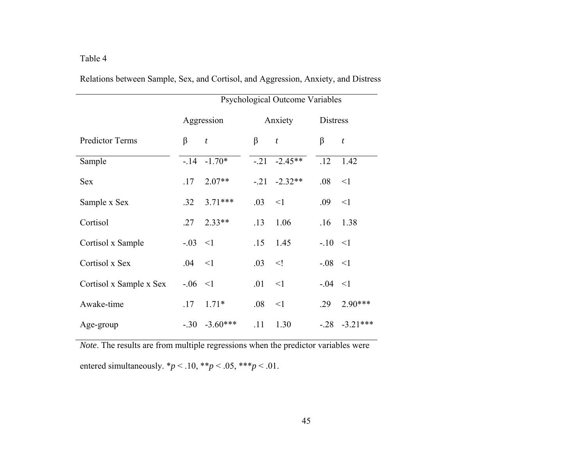|                         | Psychological Outcome Variables |                  |         |                  |                 |                    |
|-------------------------|---------------------------------|------------------|---------|------------------|-----------------|--------------------|
|                         |                                 | Aggression       |         | Anxiety          | <b>Distress</b> |                    |
| <b>Predictor Terms</b>  | β                               | $\boldsymbol{t}$ | $\beta$ | $\boldsymbol{t}$ | β               | $\boldsymbol{t}$   |
| Sample                  |                                 | $-14 - 1.70*$    |         | $-21 -2.45**$    | .12             | 1.42               |
| <b>Sex</b>              | .17                             | $2.07**$         |         | $-21$ $-2.32**$  | .08             | $\leq$ 1           |
| Sample x Sex            | .32                             | $3.71***$        | .03     | $\leq$ 1         | .09             | $\leq$ 1           |
| Cortisol                | .27                             | $2.33**$         | .13     | 1.06             |                 | $.16$ 1.38         |
| Cortisol x Sample       | $-0.03 < 1$                     |                  | .15     | 1.45             | $-10 < 1$       |                    |
| Cortisol x Sex          | $.04 \le 1$                     |                  | .03     | $\leq$           | $-.08 < 1$      |                    |
| Cortisol x Sample x Sex | $-0.06 < 1$                     |                  | .01     | $\leq$ 1         | $-0.04 < 1$     |                    |
| Awake-time              | .17                             | $1.71*$          | .08     | $\leq$ 1         | .29             | $2.90***$          |
| Age-group               |                                 | $-.30 -3.60***$  | .11     | 1.30             |                 | $-0.28$ $-3.21***$ |

Relations between Sample, Sex, and Cortisol, and Aggression, Anxiety, and Distress

*Note*. The results are from multiple regressions when the predictor variables were entered simultaneously.  $* p < .10, ** p < .05, *** p < .01$ .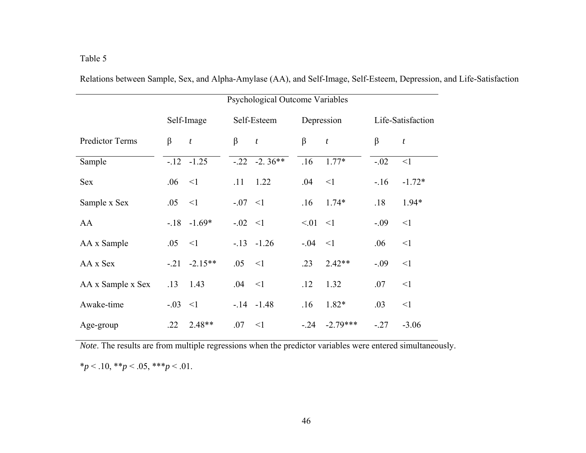|                        | Psychological Outcome Variables |                  |             |                  |            |                  |                   |          |
|------------------------|---------------------------------|------------------|-------------|------------------|------------|------------------|-------------------|----------|
|                        |                                 | Self-Image       | Self-Esteem |                  | Depression |                  | Life-Satisfaction |          |
| <b>Predictor Terms</b> | β                               | $\boldsymbol{t}$ | $\beta$     | $\boldsymbol{t}$ | $\beta$    | $\boldsymbol{t}$ | $\beta$           | t        |
| Sample                 |                                 | $-12 - 1.25$     |             | $-.22 -2.36**$   | .16        | $1.77*$          | $-.02$            | $\leq$ 1 |
| <b>Sex</b>             | .06                             | $\leq$ 1         | .11         | 1.22             | .04        | <1               | $-16$             | $-1.72*$ |
| Sample x Sex           | .05                             | $\leq$ 1         | $-07 < 1$   |                  | .16        | $1.74*$          | .18               | $1.94*$  |
| AA                     |                                 | $-18 - 1.69*$    | $-0.02 < 1$ |                  | < 01       | $\leq$ 1         | $-0.09$           | $\leq$ 1 |
| AA x Sample            | .05                             | $\leq$ 1         |             | $-13 - 1.26$     | $-.04$     | $\leq$ 1         | .06               | $\leq$ 1 |
| AA x Sex               | $-.21$                          | $-2.15**$        | .05         | $\leq$ 1         | .23        | $2.42**$         | $-0.09$           | $\leq$ 1 |
| AA x Sample x Sex      | .13                             | 1.43             | .04         | $\leq$ 1         | .12        | 1.32             | .07               | $\leq$ 1 |
| Awake-time             | $-0.03 < 1$                     |                  |             | $-14 - 1.48$     | .16        | $1.82*$          | .03               | <1       |
| Age-group              | .22                             | $2.48**$         | .07         | $\leq$ 1         | $-.24$     | $-2.79***$       | $-27$             | $-3.06$  |

Relations between Sample, Sex, and Alpha-Amylase (AA), and Self-Image, Self-Esteem, Depression, and Life-Satisfaction

*Note*. The results are from multiple regressions when the predictor variables were entered simultaneously.  $**p* < .10, ***p* < .05, ****p* < .01.$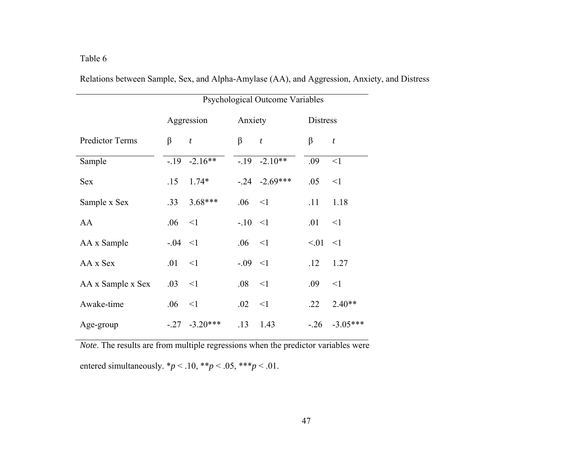|                        | Psychological Outcome Variables |                  |             |                   |                 |                  |  |  |
|------------------------|---------------------------------|------------------|-------------|-------------------|-----------------|------------------|--|--|
|                        | Aggression                      |                  | Anxiety     |                   | <b>Distress</b> |                  |  |  |
| <b>Predictor Terms</b> | $\beta$                         | $\boldsymbol{t}$ | $\beta$ $t$ |                   | β               | $\boldsymbol{t}$ |  |  |
| Sample                 |                                 | $-19 - 2.16**$   |             | $-19 - 2.10**$    | .09             | $<$ 1            |  |  |
| <b>Sex</b>             |                                 | $.15 \t1.74*$    |             | $-0.24 - 2.69***$ | .05             | <1               |  |  |
| Sample x Sex           | .33                             | $3.68***$        | $.06 \le 1$ |                   | .11             | 1.18             |  |  |
| AA                     | .06 < 1                         |                  | $-10 < 1$   |                   | .01             | $\leq$ 1         |  |  |
| AA x Sample            | $-0.04 < 1$                     |                  | $.06 \le 1$ |                   | $< 01 \le 1$    |                  |  |  |
| AA x Sex               | $.01 \le 1$                     |                  | $-0.09 < 1$ |                   | .12             | 1.27             |  |  |
| AA x Sample x Sex      | .03                             | $\leq$ 1         | $.08\,$     | $\leq$ 1          | .09             | $\leq$ 1         |  |  |
| Awake-time             | .06                             | $\leq$ 1         | .02         | $\leq$ 1          | .22             | $2.40**$         |  |  |
| Age-group              |                                 | $-.27 -3.20***$  | .13         | 1.43              | $-.26$          | $-3.05***$       |  |  |

Relations between Sample, Sex, and Alpha-Amylase (AA), and Aggression, Anxiety, and Distress

*Note*. The results are from multiple regressions when the predictor variables were entered simultaneously.  $* p < .10, ** p < .05, *** p < .01$ .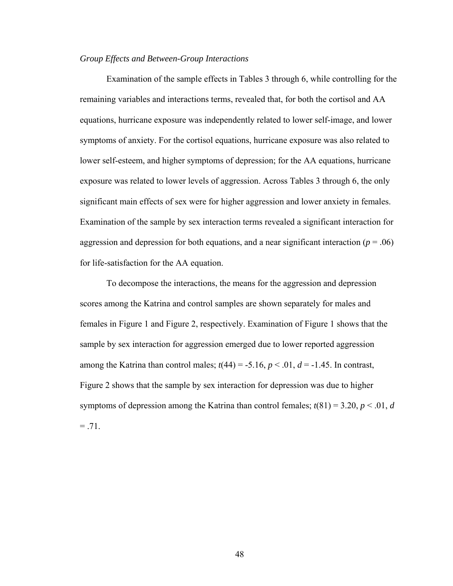# *Group Effects and Between-Group Interactions*

 Examination of the sample effects in Tables 3 through 6, while controlling for the remaining variables and interactions terms, revealed that, for both the cortisol and AA equations, hurricane exposure was independently related to lower self-image, and lower symptoms of anxiety. For the cortisol equations, hurricane exposure was also related to lower self-esteem, and higher symptoms of depression; for the AA equations, hurricane exposure was related to lower levels of aggression. Across Tables 3 through 6, the only significant main effects of sex were for higher aggression and lower anxiety in females. Examination of the sample by sex interaction terms revealed a significant interaction for aggression and depression for both equations, and a near significant interaction ( $p = .06$ ) for life-satisfaction for the AA equation.

To decompose the interactions, the means for the aggression and depression scores among the Katrina and control samples are shown separately for males and females in Figure 1 and Figure 2, respectively. Examination of Figure 1 shows that the sample by sex interaction for aggression emerged due to lower reported aggression among the Katrina than control males;  $t(44) = -5.16$ ,  $p < .01$ ,  $d = -1.45$ . In contrast, Figure 2 shows that the sample by sex interaction for depression was due to higher symptoms of depression among the Katrina than control females;  $t(81) = 3.20$ ,  $p < .01$ , *d*  $= .71.$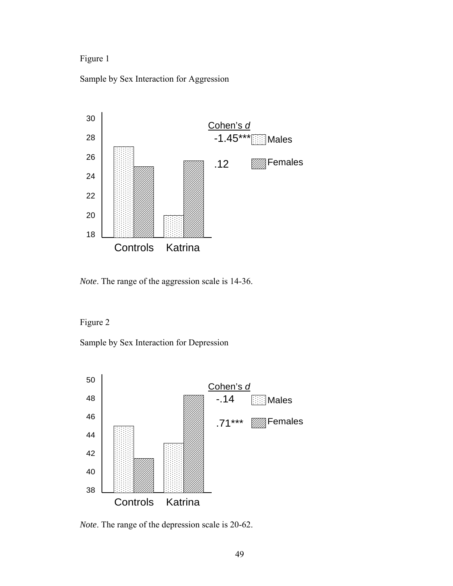# Figure 1

Sample by Sex Interaction for Aggression



*Note*. The range of the aggression scale is 14-36.

Figure 2

Sample by Sex Interaction for Depression



*Note*. The range of the depression scale is 20-62.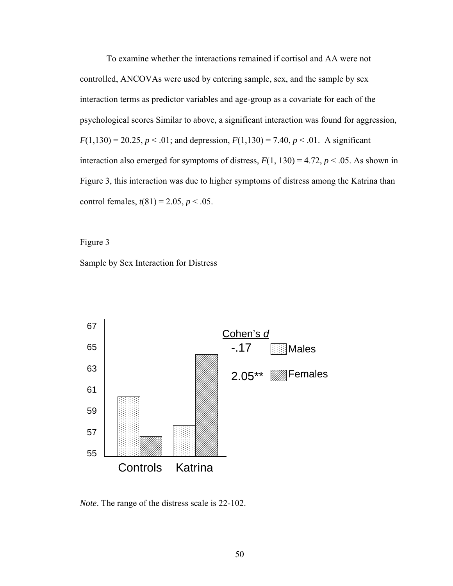To examine whether the interactions remained if cortisol and AA were not controlled, ANCOVAs were used by entering sample, sex, and the sample by sex interaction terms as predictor variables and age-group as a covariate for each of the psychological scores Similar to above, a significant interaction was found for aggression,  $F(1,130) = 20.25, p < .01$ ; and depression,  $F(1,130) = 7.40, p < .01$ . A significant interaction also emerged for symptoms of distress,  $F(1, 130) = 4.72$ ,  $p < .05$ . As shown in Figure 3, this interaction was due to higher symptoms of distress among the Katrina than control females,  $t(81) = 2.05$ ,  $p < .05$ .

Figure 3

Sample by Sex Interaction for Distress



*Note*. The range of the distress scale is 22-102.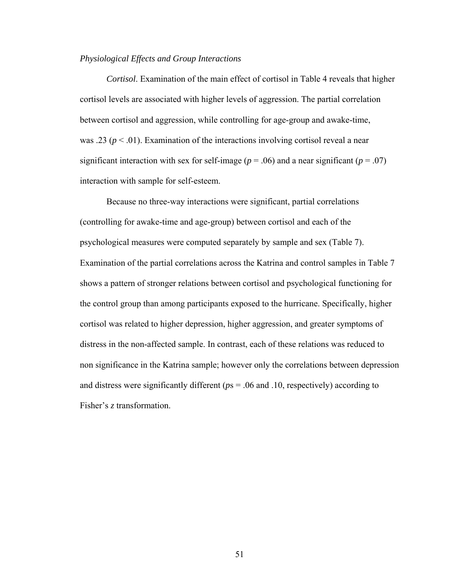# *Physiological Effects and Group Interactions*

*Cortisol*. Examination of the main effect of cortisol in Table 4 reveals that higher cortisol levels are associated with higher levels of aggression. The partial correlation between cortisol and aggression, while controlling for age-group and awake-time, was .23 ( $p < .01$ ). Examination of the interactions involving cortisol reveal a near significant interaction with sex for self-image ( $p = .06$ ) and a near significant ( $p = .07$ ) interaction with sample for self-esteem.

Because no three-way interactions were significant, partial correlations (controlling for awake-time and age-group) between cortisol and each of the psychological measures were computed separately by sample and sex (Table 7). Examination of the partial correlations across the Katrina and control samples in Table 7 shows a pattern of stronger relations between cortisol and psychological functioning for the control group than among participants exposed to the hurricane. Specifically, higher cortisol was related to higher depression, higher aggression, and greater symptoms of distress in the non-affected sample. In contrast, each of these relations was reduced to non significance in the Katrina sample; however only the correlations between depression and distress were significantly different (*p*s = .06 and .10, respectively) according to Fisher's *z* transformation.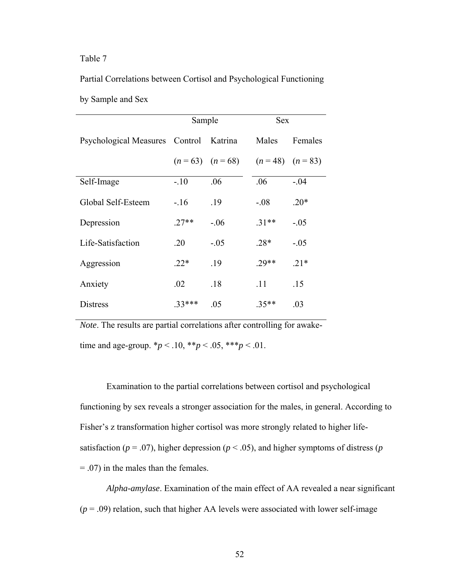# Table 7

Partial Correlations between Cortisol and Psychological Functioning by Sample and Sex

|                                        | Sample  |                   | <b>Sex</b>        |         |  |
|----------------------------------------|---------|-------------------|-------------------|---------|--|
| Psychological Measures Control Katrina |         |                   | Males             | Females |  |
|                                        |         | $(n=63)$ $(n=68)$ | $(n=48)$ $(n=83)$ |         |  |
| Self-Image                             | $-.10$  | .06               | .06               | $-.04$  |  |
| Global Self-Esteem                     | $-16$   | .19               | $-.08$            | $.20*$  |  |
| Depression                             | $.27**$ | $-.06$            | $.31**$           | $-.05$  |  |
| Life-Satisfaction                      | .20     | $-.05$            | $.28*$            | $-.05$  |  |
| Aggression                             | $22*$   | .19               | 29**              | $21*$   |  |
| Anxiety                                | .02     | .18               | .11               | .15     |  |
| <b>Distress</b>                        | $33***$ | .05               | $.35**$           | .03     |  |

*Note*. The results are partial correlations after controlling for awaketime and age-group.  $*_{p}$  < .10,  $*_{p}$  < .05,  $*_{p}$  < .01.

Examination to the partial correlations between cortisol and psychological functioning by sex reveals a stronger association for the males, in general. According to Fisher's z transformation higher cortisol was more strongly related to higher lifesatisfaction ( $p = .07$ ), higher depression ( $p < .05$ ), and higher symptoms of distress ( $p$ = .07) in the males than the females.

*Alpha-amylase*. Examination of the main effect of AA revealed a near significant  $(p = .09)$  relation, such that higher AA levels were associated with lower self-image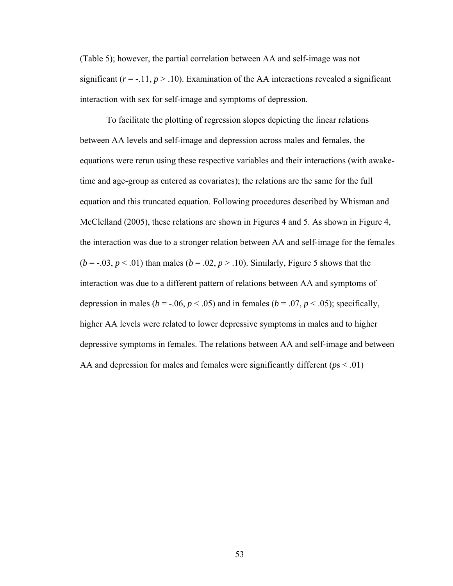(Table 5); however, the partial correlation between AA and self-image was not significant  $(r = -11, p > 0.10)$ . Examination of the AA interactions revealed a significant interaction with sex for self-image and symptoms of depression.

To facilitate the plotting of regression slopes depicting the linear relations between AA levels and self-image and depression across males and females, the equations were rerun using these respective variables and their interactions (with awaketime and age-group as entered as covariates); the relations are the same for the full equation and this truncated equation. Following procedures described by Whisman and McClelland (2005), these relations are shown in Figures 4 and 5. As shown in Figure 4, the interaction was due to a stronger relation between AA and self-image for the females  $(b = -0.03, p < 0.01)$  than males  $(b = 0.02, p > 0.10)$ . Similarly, Figure 5 shows that the interaction was due to a different pattern of relations between AA and symptoms of depression in males ( $b = -.06$ ,  $p < .05$ ) and in females ( $b = .07$ ,  $p < .05$ ); specifically, higher AA levels were related to lower depressive symptoms in males and to higher depressive symptoms in females. The relations between AA and self-image and between AA and depression for males and females were significantly different ( $p_s$  < .01)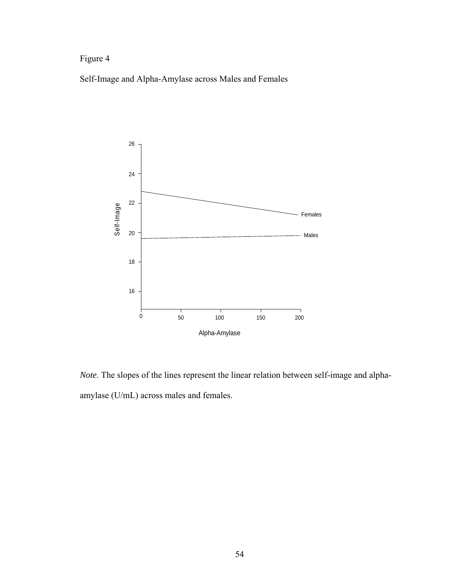# Figure 4

Self-Image and Alpha-Amylase across Males and Females



*Note*. The slopes of the lines represent the linear relation between self-image and alphaamylase (U/mL) across males and females.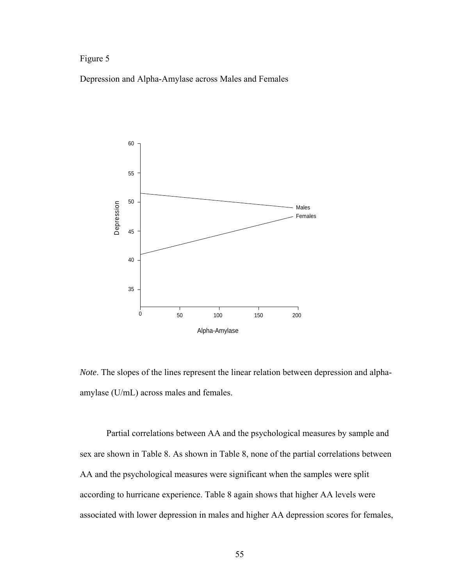# Figure 5

Depression and Alpha-Amylase across Males and Females



*Note*. The slopes of the lines represent the linear relation between depression and alphaamylase (U/mL) across males and females.

Partial correlations between AA and the psychological measures by sample and sex are shown in Table 8. As shown in Table 8, none of the partial correlations between AA and the psychological measures were significant when the samples were split according to hurricane experience. Table 8 again shows that higher AA levels were associated with lower depression in males and higher AA depression scores for females,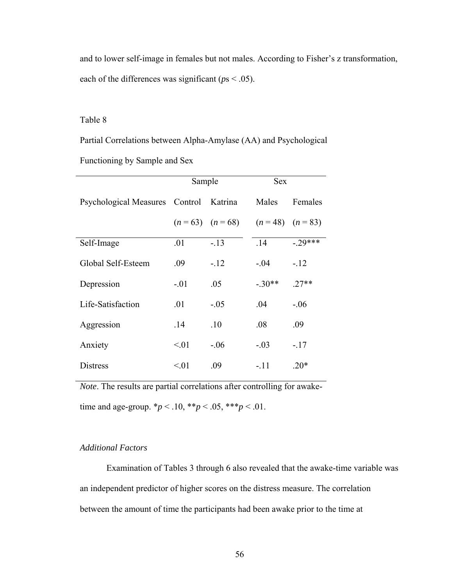and to lower self-image in females but not males. According to Fisher's z transformation, each of the differences was significant ( $ps < .05$ ).

# Table 8

Partial Correlations between Alpha-Amylase (AA) and Psychological

Functioning by Sample and Sex

|                                | Sample |                   | <b>Sex</b>        |           |
|--------------------------------|--------|-------------------|-------------------|-----------|
| Psychological Measures Control |        | Katrina           | Males             | Females   |
|                                |        | $(n=63)$ $(n=68)$ | $(n=48)$ $(n=83)$ |           |
| Self-Image                     | .01    | $-.13$            | .14               | $-.29***$ |
| Global Self-Esteem             | .09    | $-.12$            | $-.04$            | $-12$     |
| Depression                     | $-.01$ | .05               | $-.30**$          | $.27**$   |
| Life-Satisfaction              | .01    | $-.05$            | .04               | $-.06$    |
| Aggression                     | .14    | .10               | .08               | .09       |
| Anxiety                        | < 01   | $-.06$            | $-.03$            | $-17$     |
| <b>Distress</b>                | < 01   | .09               | $-.11$            | $20*$     |

*Note*. The results are partial correlations after controlling for awaketime and age-group.  $*_{p}$  < .10,  $*_{p}$  < .05,  $*_{p}$  < .01.

# *Additional Factors*

Examination of Tables 3 through 6 also revealed that the awake-time variable was an independent predictor of higher scores on the distress measure. The correlation between the amount of time the participants had been awake prior to the time at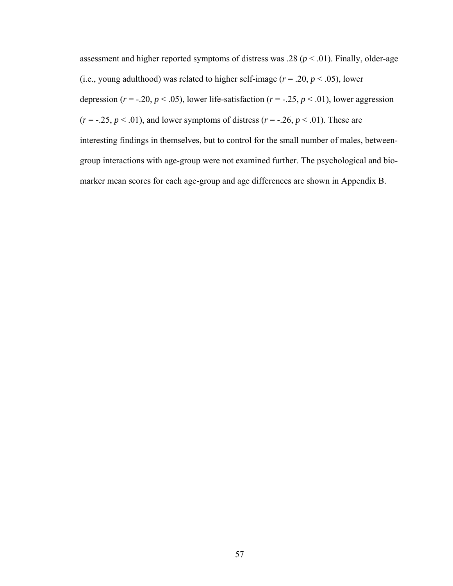assessment and higher reported symptoms of distress was .28 ( $p < .01$ ). Finally, older-age (i.e., young adulthood) was related to higher self-image ( $r = .20$ ,  $p < .05$ ), lower depression ( $r = -0.20$ ,  $p < 0.05$ ), lower life-satisfaction ( $r = -0.25$ ,  $p < 0.01$ ), lower aggression  $(r = -.25, p < .01)$ , and lower symptoms of distress  $(r = -.26, p < .01)$ . These are interesting findings in themselves, but to control for the small number of males, betweengroup interactions with age-group were not examined further. The psychological and biomarker mean scores for each age-group and age differences are shown in Appendix B.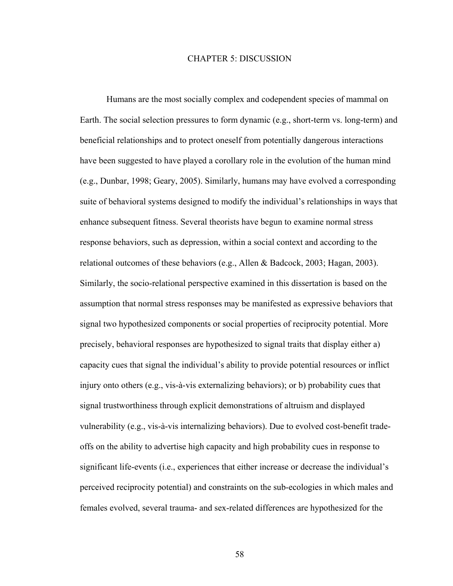### CHAPTER 5: DISCUSSION

Humans are the most socially complex and codependent species of mammal on Earth. The social selection pressures to form dynamic (e.g., short-term vs. long-term) and beneficial relationships and to protect oneself from potentially dangerous interactions have been suggested to have played a corollary role in the evolution of the human mind (e.g., Dunbar, 1998; Geary, 2005). Similarly, humans may have evolved a corresponding suite of behavioral systems designed to modify the individual's relationships in ways that enhance subsequent fitness. Several theorists have begun to examine normal stress response behaviors, such as depression, within a social context and according to the relational outcomes of these behaviors (e.g., Allen & Badcock, 2003; Hagan, 2003). Similarly, the socio-relational perspective examined in this dissertation is based on the assumption that normal stress responses may be manifested as expressive behaviors that signal two hypothesized components or social properties of reciprocity potential. More precisely, behavioral responses are hypothesized to signal traits that display either a) capacity cues that signal the individual's ability to provide potential resources or inflict injury onto others (e.g., vis-à-vis externalizing behaviors); or b) probability cues that signal trustworthiness through explicit demonstrations of altruism and displayed vulnerability (e.g., vis-à-vis internalizing behaviors). Due to evolved cost-benefit tradeoffs on the ability to advertise high capacity and high probability cues in response to significant life-events (i.e., experiences that either increase or decrease the individual's perceived reciprocity potential) and constraints on the sub-ecologies in which males and females evolved, several trauma- and sex-related differences are hypothesized for the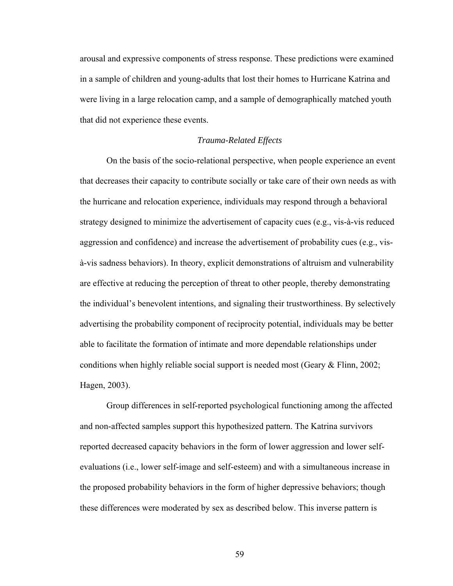arousal and expressive components of stress response. These predictions were examined in a sample of children and young-adults that lost their homes to Hurricane Katrina and were living in a large relocation camp, and a sample of demographically matched youth that did not experience these events.

#### *Trauma-Related Effects*

 On the basis of the socio-relational perspective, when people experience an event that decreases their capacity to contribute socially or take care of their own needs as with the hurricane and relocation experience, individuals may respond through a behavioral strategy designed to minimize the advertisement of capacity cues (e.g., vis-à-vis reduced aggression and confidence) and increase the advertisement of probability cues (e.g., visà-vis sadness behaviors). In theory, explicit demonstrations of altruism and vulnerability are effective at reducing the perception of threat to other people, thereby demonstrating the individual's benevolent intentions, and signaling their trustworthiness. By selectively advertising the probability component of reciprocity potential, individuals may be better able to facilitate the formation of intimate and more dependable relationships under conditions when highly reliable social support is needed most (Geary & Flinn, 2002; Hagen, 2003).

Group differences in self-reported psychological functioning among the affected and non-affected samples support this hypothesized pattern. The Katrina survivors reported decreased capacity behaviors in the form of lower aggression and lower selfevaluations (i.e., lower self-image and self-esteem) and with a simultaneous increase in the proposed probability behaviors in the form of higher depressive behaviors; though these differences were moderated by sex as described below. This inverse pattern is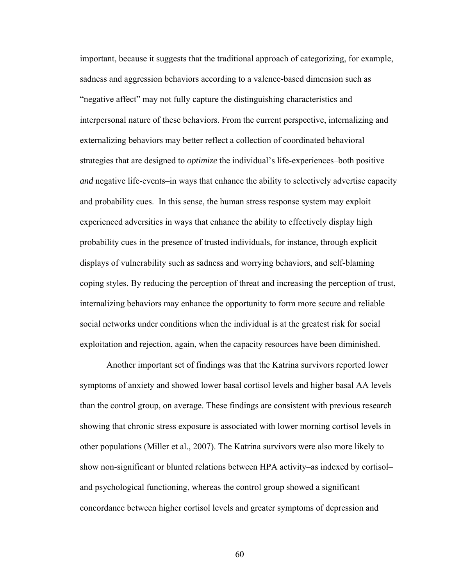important, because it suggests that the traditional approach of categorizing, for example, sadness and aggression behaviors according to a valence-based dimension such as "negative affect" may not fully capture the distinguishing characteristics and interpersonal nature of these behaviors. From the current perspective, internalizing and externalizing behaviors may better reflect a collection of coordinated behavioral strategies that are designed to *optimize* the individual's life-experiences–both positive *and* negative life-events–in ways that enhance the ability to selectively advertise capacity and probability cues. In this sense, the human stress response system may exploit experienced adversities in ways that enhance the ability to effectively display high probability cues in the presence of trusted individuals, for instance, through explicit displays of vulnerability such as sadness and worrying behaviors, and self-blaming coping styles. By reducing the perception of threat and increasing the perception of trust, internalizing behaviors may enhance the opportunity to form more secure and reliable social networks under conditions when the individual is at the greatest risk for social exploitation and rejection, again, when the capacity resources have been diminished.

Another important set of findings was that the Katrina survivors reported lower symptoms of anxiety and showed lower basal cortisol levels and higher basal AA levels than the control group, on average. These findings are consistent with previous research showing that chronic stress exposure is associated with lower morning cortisol levels in other populations (Miller et al., 2007). The Katrina survivors were also more likely to show non-significant or blunted relations between HPA activity–as indexed by cortisol– and psychological functioning, whereas the control group showed a significant concordance between higher cortisol levels and greater symptoms of depression and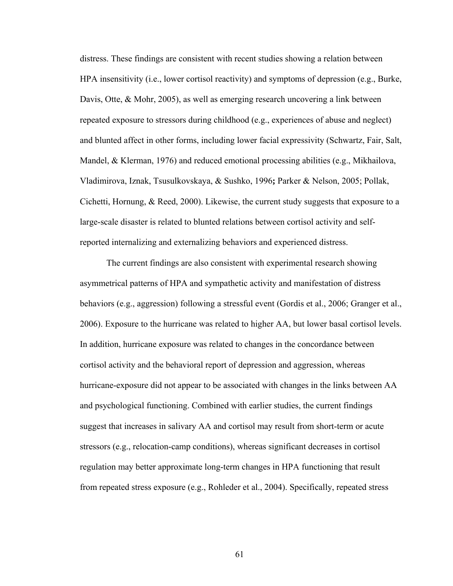distress. These findings are consistent with recent studies showing a relation between HPA insensitivity (i.e., lower cortisol reactivity) and symptoms of depression (e.g., Burke, Davis, Otte, & Mohr, 2005), as well as emerging research uncovering a link between repeated exposure to stressors during childhood (e.g., experiences of abuse and neglect) and blunted affect in other forms, including lower facial expressivity (Schwartz, Fair, Salt, Mandel, & Klerman, 1976) and reduced emotional processing abilities (e.g., Mikhailova, Vladimirova, Iznak, Tsusulkovskaya, & Sushko, 1996**;** Parker & Nelson, 2005; Pollak, Cichetti, Hornung, & Reed, 2000). Likewise, the current study suggests that exposure to a large-scale disaster is related to blunted relations between cortisol activity and selfreported internalizing and externalizing behaviors and experienced distress.

The current findings are also consistent with experimental research showing asymmetrical patterns of HPA and sympathetic activity and manifestation of distress behaviors (e.g., aggression) following a stressful event (Gordis et al., 2006; Granger et al., 2006). Exposure to the hurricane was related to higher AA, but lower basal cortisol levels. In addition, hurricane exposure was related to changes in the concordance between cortisol activity and the behavioral report of depression and aggression, whereas hurricane-exposure did not appear to be associated with changes in the links between AA and psychological functioning. Combined with earlier studies, the current findings suggest that increases in salivary AA and cortisol may result from short-term or acute stressors (e.g., relocation-camp conditions), whereas significant decreases in cortisol regulation may better approximate long-term changes in HPA functioning that result from repeated stress exposure (e.g., Rohleder et al., 2004). Specifically, repeated stress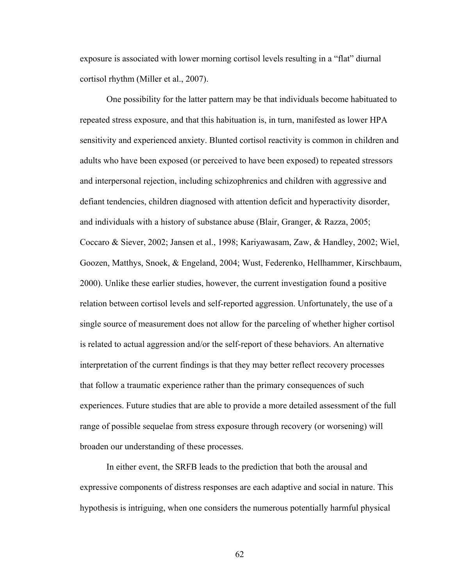exposure is associated with lower morning cortisol levels resulting in a "flat" diurnal cortisol rhythm (Miller et al., 2007).

One possibility for the latter pattern may be that individuals become habituated to repeated stress exposure, and that this habituation is, in turn, manifested as lower HPA sensitivity and experienced anxiety. Blunted cortisol reactivity is common in children and adults who have been exposed (or perceived to have been exposed) to repeated stressors and interpersonal rejection, including schizophrenics and children with aggressive and defiant tendencies, children diagnosed with attention deficit and hyperactivity disorder, and individuals with a history of substance abuse (Blair, Granger, & Razza, 2005; Coccaro & Siever, 2002; Jansen et al., 1998; Kariyawasam, Zaw, & Handley, 2002; Wiel, Goozen, Matthys, Snoek, & Engeland, 2004; Wust, Federenko, Hellhammer, Kirschbaum, 2000). Unlike these earlier studies, however, the current investigation found a positive relation between cortisol levels and self-reported aggression. Unfortunately, the use of a single source of measurement does not allow for the parceling of whether higher cortisol is related to actual aggression and/or the self-report of these behaviors. An alternative interpretation of the current findings is that they may better reflect recovery processes that follow a traumatic experience rather than the primary consequences of such experiences. Future studies that are able to provide a more detailed assessment of the full range of possible sequelae from stress exposure through recovery (or worsening) will broaden our understanding of these processes.

In either event, the SRFB leads to the prediction that both the arousal and expressive components of distress responses are each adaptive and social in nature. This hypothesis is intriguing, when one considers the numerous potentially harmful physical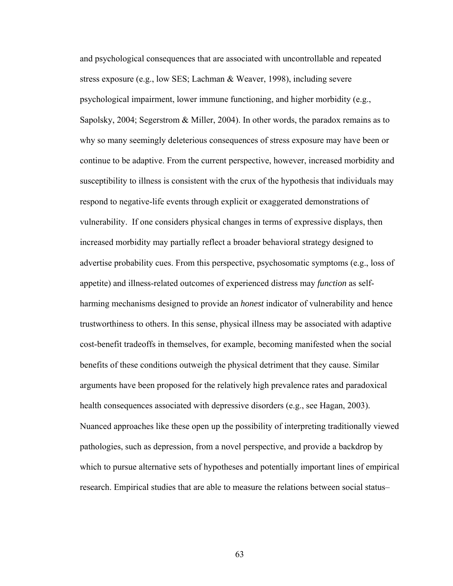and psychological consequences that are associated with uncontrollable and repeated stress exposure (e.g., low SES; Lachman & Weaver, 1998), including severe psychological impairment, lower immune functioning, and higher morbidity (e.g., Sapolsky, 2004; Segerstrom & Miller, 2004). In other words, the paradox remains as to why so many seemingly deleterious consequences of stress exposure may have been or continue to be adaptive. From the current perspective, however, increased morbidity and susceptibility to illness is consistent with the crux of the hypothesis that individuals may respond to negative-life events through explicit or exaggerated demonstrations of vulnerability. If one considers physical changes in terms of expressive displays, then increased morbidity may partially reflect a broader behavioral strategy designed to advertise probability cues. From this perspective, psychosomatic symptoms (e.g., loss of appetite) and illness-related outcomes of experienced distress may *function* as selfharming mechanisms designed to provide an *honest* indicator of vulnerability and hence trustworthiness to others. In this sense, physical illness may be associated with adaptive cost-benefit tradeoffs in themselves, for example, becoming manifested when the social benefits of these conditions outweigh the physical detriment that they cause. Similar arguments have been proposed for the relatively high prevalence rates and paradoxical health consequences associated with depressive disorders (e.g., see Hagan, 2003). Nuanced approaches like these open up the possibility of interpreting traditionally viewed pathologies, such as depression, from a novel perspective, and provide a backdrop by which to pursue alternative sets of hypotheses and potentially important lines of empirical research. Empirical studies that are able to measure the relations between social status–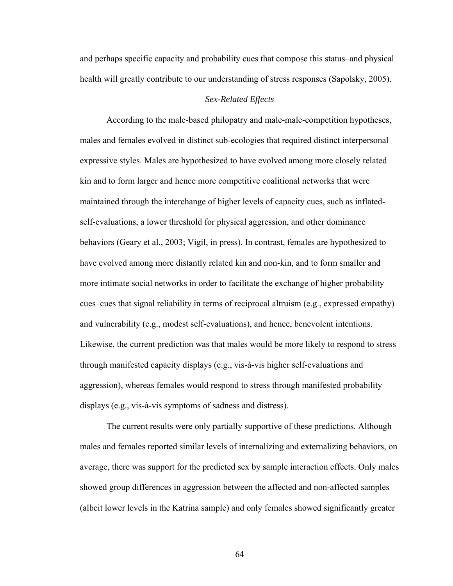and perhaps specific capacity and probability cues that compose this status–and physical health will greatly contribute to our understanding of stress responses (Sapolsky, 2005).

# *Sex-Related Effects*

 According to the male-based philopatry and male-male-competition hypotheses, males and females evolved in distinct sub-ecologies that required distinct interpersonal expressive styles. Males are hypothesized to have evolved among more closely related kin and to form larger and hence more competitive coalitional networks that were maintained through the interchange of higher levels of capacity cues, such as inflatedself-evaluations, a lower threshold for physical aggression, and other dominance behaviors (Geary et al., 2003; Vigil, in press). In contrast, females are hypothesized to have evolved among more distantly related kin and non-kin, and to form smaller and more intimate social networks in order to facilitate the exchange of higher probability cues–cues that signal reliability in terms of reciprocal altruism (e.g., expressed empathy) and vulnerability (e.g., modest self-evaluations), and hence, benevolent intentions. Likewise, the current prediction was that males would be more likely to respond to stress through manifested capacity displays (e.g., vis-à-vis higher self-evaluations and aggression), whereas females would respond to stress through manifested probability displays (e.g., vis-à-vis symptoms of sadness and distress).

The current results were only partially supportive of these predictions. Although males and females reported similar levels of internalizing and externalizing behaviors, on average, there was support for the predicted sex by sample interaction effects. Only males showed group differences in aggression between the affected and non-affected samples (albeit lower levels in the Katrina sample) and only females showed significantly greater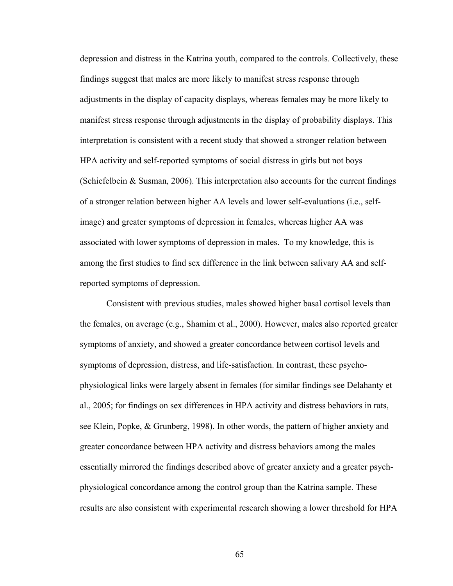depression and distress in the Katrina youth, compared to the controls. Collectively, these findings suggest that males are more likely to manifest stress response through adjustments in the display of capacity displays, whereas females may be more likely to manifest stress response through adjustments in the display of probability displays. This interpretation is consistent with a recent study that showed a stronger relation between HPA activity and self-reported symptoms of social distress in girls but not boys (Schiefelbein & Susman, 2006). This interpretation also accounts for the current findings of a stronger relation between higher AA levels and lower self-evaluations (i.e., selfimage) and greater symptoms of depression in females, whereas higher AA was associated with lower symptoms of depression in males. To my knowledge, this is among the first studies to find sex difference in the link between salivary AA and selfreported symptoms of depression.

Consistent with previous studies, males showed higher basal cortisol levels than the females, on average (e.g., Shamim et al., 2000). However, males also reported greater symptoms of anxiety, and showed a greater concordance between cortisol levels and symptoms of depression, distress, and life-satisfaction. In contrast, these psychophysiological links were largely absent in females (for similar findings see Delahanty et al., 2005; for findings on sex differences in HPA activity and distress behaviors in rats, see Klein, Popke, & Grunberg, 1998). In other words, the pattern of higher anxiety and greater concordance between HPA activity and distress behaviors among the males essentially mirrored the findings described above of greater anxiety and a greater psychphysiological concordance among the control group than the Katrina sample. These results are also consistent with experimental research showing a lower threshold for HPA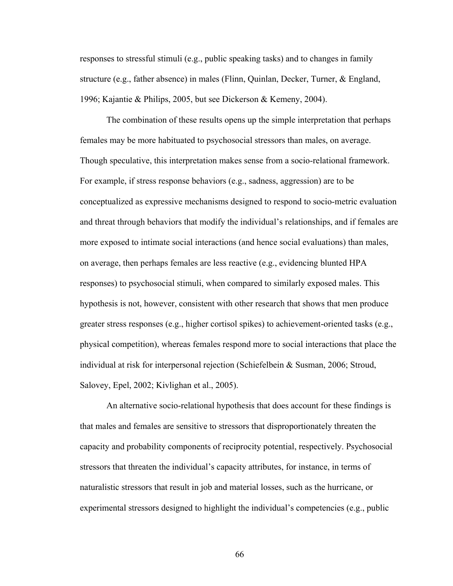responses to stressful stimuli (e.g., public speaking tasks) and to changes in family structure (e.g., father absence) in males (Flinn, Quinlan, Decker, Turner, & England, 1996; Kajantie & Philips, 2005, but see Dickerson & Kemeny, 2004).

The combination of these results opens up the simple interpretation that perhaps females may be more habituated to psychosocial stressors than males, on average. Though speculative, this interpretation makes sense from a socio-relational framework. For example, if stress response behaviors (e.g., sadness, aggression) are to be conceptualized as expressive mechanisms designed to respond to socio-metric evaluation and threat through behaviors that modify the individual's relationships, and if females are more exposed to intimate social interactions (and hence social evaluations) than males, on average, then perhaps females are less reactive (e.g., evidencing blunted HPA responses) to psychosocial stimuli, when compared to similarly exposed males. This hypothesis is not, however, consistent with other research that shows that men produce greater stress responses (e.g., higher cortisol spikes) to achievement-oriented tasks (e.g., physical competition), whereas females respond more to social interactions that place the individual at risk for interpersonal rejection (Schiefelbein & Susman, 2006; Stroud, Salovey, Epel, 2002; Kivlighan et al., 2005).

An alternative socio-relational hypothesis that does account for these findings is that males and females are sensitive to stressors that disproportionately threaten the capacity and probability components of reciprocity potential, respectively. Psychosocial stressors that threaten the individual's capacity attributes, for instance, in terms of naturalistic stressors that result in job and material losses, such as the hurricane, or experimental stressors designed to highlight the individual's competencies (e.g., public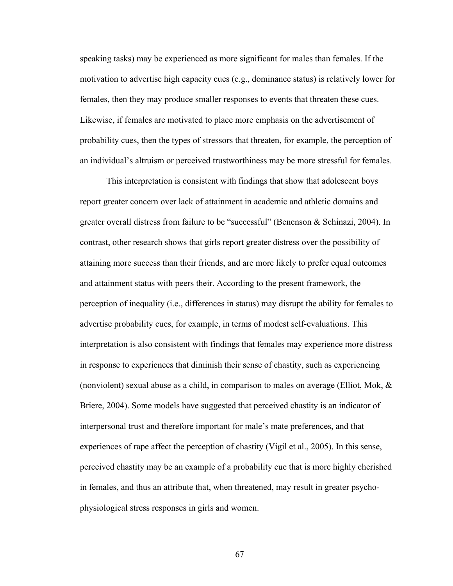speaking tasks) may be experienced as more significant for males than females. If the motivation to advertise high capacity cues (e.g., dominance status) is relatively lower for females, then they may produce smaller responses to events that threaten these cues. Likewise, if females are motivated to place more emphasis on the advertisement of probability cues, then the types of stressors that threaten, for example, the perception of an individual's altruism or perceived trustworthiness may be more stressful for females.

This interpretation is consistent with findings that show that adolescent boys report greater concern over lack of attainment in academic and athletic domains and greater overall distress from failure to be "successful" (Benenson & Schinazi, 2004). In contrast, other research shows that girls report greater distress over the possibility of attaining more success than their friends, and are more likely to prefer equal outcomes and attainment status with peers their. According to the present framework, the perception of inequality (i.e., differences in status) may disrupt the ability for females to advertise probability cues, for example, in terms of modest self-evaluations. This interpretation is also consistent with findings that females may experience more distress in response to experiences that diminish their sense of chastity, such as experiencing (nonviolent) sexual abuse as a child, in comparison to males on average (Elliot, Mok,  $\&$ Briere, 2004). Some models have suggested that perceived chastity is an indicator of interpersonal trust and therefore important for male's mate preferences, and that experiences of rape affect the perception of chastity (Vigil et al., 2005). In this sense, perceived chastity may be an example of a probability cue that is more highly cherished in females, and thus an attribute that, when threatened, may result in greater psychophysiological stress responses in girls and women.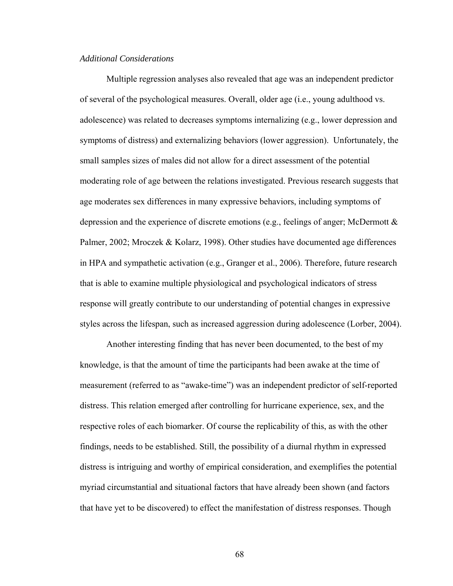### *Additional Considerations*

Multiple regression analyses also revealed that age was an independent predictor of several of the psychological measures. Overall, older age (i.e., young adulthood vs. adolescence) was related to decreases symptoms internalizing (e.g., lower depression and symptoms of distress) and externalizing behaviors (lower aggression). Unfortunately, the small samples sizes of males did not allow for a direct assessment of the potential moderating role of age between the relations investigated. Previous research suggests that age moderates sex differences in many expressive behaviors, including symptoms of depression and the experience of discrete emotions (e.g., feelings of anger; McDermott & Palmer, 2002; Mroczek & Kolarz, 1998). Other studies have documented age differences in HPA and sympathetic activation (e.g., Granger et al., 2006). Therefore, future research that is able to examine multiple physiological and psychological indicators of stress response will greatly contribute to our understanding of potential changes in expressive styles across the lifespan, such as increased aggression during adolescence (Lorber, 2004).

Another interesting finding that has never been documented, to the best of my knowledge, is that the amount of time the participants had been awake at the time of measurement (referred to as "awake-time") was an independent predictor of self-reported distress. This relation emerged after controlling for hurricane experience, sex, and the respective roles of each biomarker. Of course the replicability of this, as with the other findings, needs to be established. Still, the possibility of a diurnal rhythm in expressed distress is intriguing and worthy of empirical consideration, and exemplifies the potential myriad circumstantial and situational factors that have already been shown (and factors that have yet to be discovered) to effect the manifestation of distress responses. Though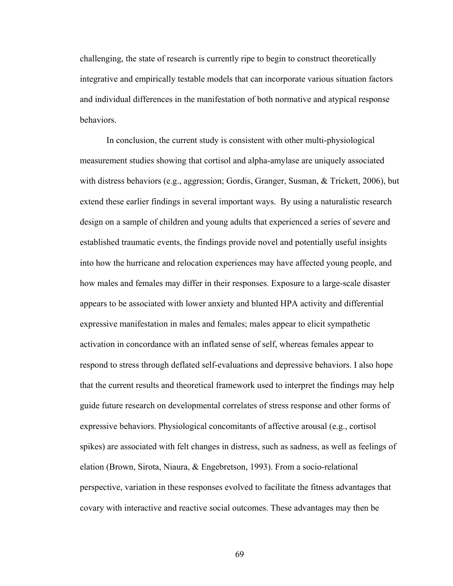challenging, the state of research is currently ripe to begin to construct theoretically integrative and empirically testable models that can incorporate various situation factors and individual differences in the manifestation of both normative and atypical response behaviors.

In conclusion, the current study is consistent with other multi-physiological measurement studies showing that cortisol and alpha-amylase are uniquely associated with distress behaviors (e.g., aggression; Gordis, Granger, Susman, & Trickett, 2006), but extend these earlier findings in several important ways. By using a naturalistic research design on a sample of children and young adults that experienced a series of severe and established traumatic events, the findings provide novel and potentially useful insights into how the hurricane and relocation experiences may have affected young people, and how males and females may differ in their responses. Exposure to a large-scale disaster appears to be associated with lower anxiety and blunted HPA activity and differential expressive manifestation in males and females; males appear to elicit sympathetic activation in concordance with an inflated sense of self, whereas females appear to respond to stress through deflated self-evaluations and depressive behaviors. I also hope that the current results and theoretical framework used to interpret the findings may help guide future research on developmental correlates of stress response and other forms of expressive behaviors. Physiological concomitants of affective arousal (e.g., cortisol spikes) are associated with felt changes in distress, such as sadness, as well as feelings of elation (Brown, Sirota, Niaura, & Engebretson, 1993). From a socio-relational perspective, variation in these responses evolved to facilitate the fitness advantages that covary with interactive and reactive social outcomes. These advantages may then be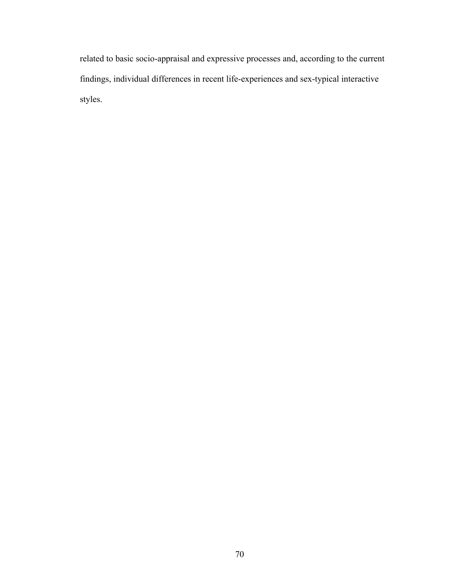related to basic socio-appraisal and expressive processes and, according to the current findings, individual differences in recent life-experiences and sex-typical interactive styles.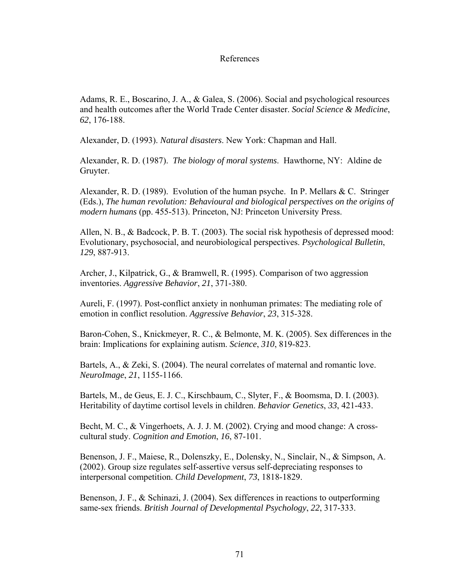## References

Adams, R. E., Boscarino, J. A., & Galea, S. (2006). Social and psychological resources and health outcomes after the World Trade Center disaster. *Social Science & Medicine*, *62*, 176-188.

Alexander, D. (1993). *Natural disasters*. New York: Chapman and Hall.

Alexander, R. D. (1987). *The biology of moral systems*. Hawthorne, NY: Aldine de Gruyter.

Alexander, R. D. (1989). Evolution of the human psyche. In P. Mellars & C. Stringer (Eds.), *The human revolution: Behavioural and biological perspectives on the origins of modern humans* (pp. 455-513). Princeton, NJ: Princeton University Press.

Allen, N. B., & Badcock, P. B. T. (2003). The social risk hypothesis of depressed mood: Evolutionary, psychosocial, and neurobiological perspectives. *Psychological Bulletin*, *129*, 887-913.

Archer, J., Kilpatrick, G., & Bramwell, R. (1995). Comparison of two aggression inventories. *Aggressive Behavior*, *21*, 371-380.

Aureli, F. (1997). Post-conflict anxiety in nonhuman primates: The mediating role of emotion in conflict resolution. *Aggressive Behavior*, *23*, 315-328.

Baron-Cohen, S., Knickmeyer, R. C., & Belmonte, M. K. (2005). Sex differences in the brain: Implications for explaining autism. *Science*, *310*, 819-823.

Bartels, A., & Zeki, S. (2004). The neural correlates of maternal and romantic love. *NeuroImage*, *21*, 1155-1166.

Bartels, M., de Geus, E. J. C., Kirschbaum, C., Slyter, F., & Boomsma, D. I. (2003). Heritability of daytime cortisol levels in children. *Behavior Genetics*, *33*, 421-433.

Becht, M. C., & Vingerhoets, A. J. J. M. (2002). Crying and mood change: A crosscultural study. *Cognition and Emotion*, *16*, 87-101.

Benenson, J. F., Maiese, R., Dolenszky, E., Dolensky, N., Sinclair, N., & Simpson, A. (2002). Group size regulates self-assertive versus self-depreciating responses to interpersonal competition. *Child Development*, *73*, 1818-1829.

Benenson, J. F., & Schinazi, J. (2004). Sex differences in reactions to outperforming same-sex friends. *British Journal of Developmental Psychology*, *22*, 317-333.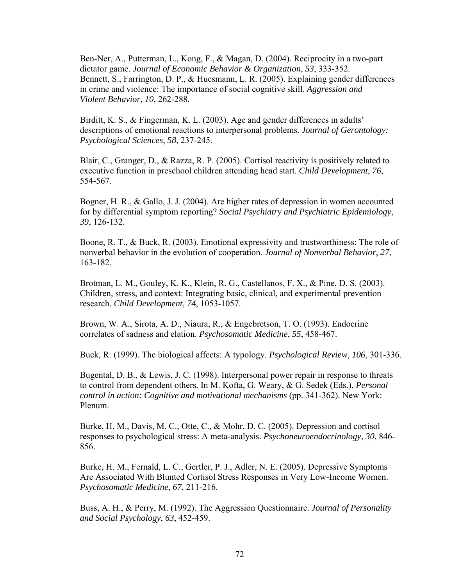Ben-Ner, A., Putterman, L., Kong, F., & Magan, D. (2004). Reciprocity in a two-part dictator game. *Journal of Economic Behavior & Organization*, *53*, 333-352. Bennett, S., Farrington, D. P., & Huesmann, L. R. (2005). Explaining gender differences in crime and violence: The importance of social cognitive skill. *Aggression and Violent Behavior*, *10*, 262-288.

Birditt, K. S., & Fingerman, K. L. (2003). Age and gender differences in adults' descriptions of emotional reactions to interpersonal problems. *Journal of Gerontology: Psychological Sciences*, *58*, 237-245.

Blair, C., Granger, D., & Razza, R. P. (2005). Cortisol reactivity is positively related to executive function in preschool children attending head start. *Child Development*, *76*, 554-567.

Bogner, H. R., & Gallo, J. J. (2004). Are higher rates of depression in women accounted for by differential symptom reporting? *Social Psychiatry and Psychiatric Epidemiology*, *39*, 126-132.

Boone, R. T., & Buck, R. (2003). Emotional expressivity and trustworthiness: The role of nonverbal behavior in the evolution of cooperation. *Journal of Nonverbal Behavior*, *27*, 163-182.

Brotman, L. M., Gouley, K. K., Klein, R. G., Castellanos, F. X., & Pine, D. S. (2003). Children, stress, and context: Integrating basic, clinical, and experimental prevention research. *Child Development*, *74*, 1053-1057.

Brown, W. A., Sirota, A. D., Niaura, R., & Engebretson, T. O. (1993). Endocrine correlates of sadness and elation. *Psychosomatic Medicine*, *55*, 458-467.

Buck, R. (1999). The biological affects: A typology. *Psychological Review*, *106*, 301-336.

Bugental, D. B., & Lewis, J. C. (1998). Interpersonal power repair in response to threats to control from dependent others*.* In M. Kofta, G. Weary, & G. Sedek (Eds.), *Personal control in action: Cognitive and motivational mechanisms* (pp. 341-362). New York: Plenum.

Burke, H. M., Davis, M. C., Otte, C., & Mohr, D. C. (2005). Depression and cortisol responses to psychological stress: A meta-analysis. *Psychoneuroendocrinology*, *30*, 846- 856.

Burke, H. M., Fernald, L. C., Gertler, P. J., Adler, N. E. (2005). Depressive Symptoms Are Associated With Blunted Cortisol Stress Responses in Very Low-Income Women. *Psychosomatic Medicine*, *67*, 211-216.

Buss, A. H., & Perry, M. (1992). The Aggression Questionnaire. *Journal of Personality and Social Psychology*, *63*, 452-459.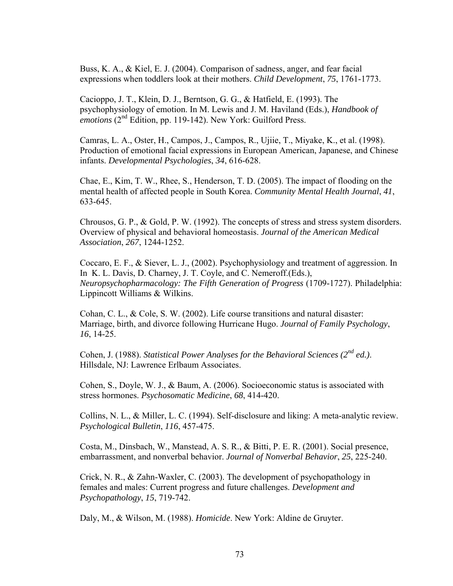Buss, K. A., & Kiel, E. J. (2004). Comparison of sadness, anger, and fear facial expressions when toddlers look at their mothers. *Child Development*, *75*, 1761-1773.

Cacioppo, J. T., Klein, D. J., Berntson, G. G., & Hatfield, E. (1993). The psychophysiology of emotion. In M. Lewis and J. M. Haviland (Eds.), *Handbook of emotions* (2<sup>nd</sup> Edition, pp. 119-142). New York: Guilford Press.

Camras, L. A., Oster, H., Campos, J., Campos, R., Ujiie, T., Miyake, K., et al. (1998). Production of emotional facial expressions in European American, Japanese, and Chinese infants. *Developmental Psychologies*, *34*, 616-628.

Chae, E., Kim, T. W., Rhee, S., Henderson, T. D. (2005). The impact of flooding on the mental health of affected people in South Korea. *Community Mental Health Journal*, *41*, 633-645.

Chrousos, G. P., & Gold, P. W. (1992). The concepts of stress and stress system disorders. Overview of physical and behavioral homeostasis. *Journal of the American Medical Association*, *267*, 1244-1252.

Coccaro, E. F., & Siever, L. J., (2002). Psychophysiology and treatment of aggression. In In K. L. Davis, D. Charney, J. T. Coyle, and C. Nemeroff.(Eds.), *Neuropsychopharmacology: The Fifth Generation of Progress* (1709-1727). Philadelphia: Lippincott Williams & Wilkins.

Cohan, C. L., & Cole, S. W. (2002). Life course transitions and natural disaster: Marriage, birth, and divorce following Hurricane Hugo. *Journal of Family Psychology*, *16*, 14-25.

Cohen, J. (1988). *Statistical Power Analyses for the Behavioral Sciences (2nd ed.)*. Hillsdale, NJ: Lawrence Erlbaum Associates.

Cohen, S., Doyle, W. J., & Baum, A. (2006). Socioeconomic status is associated with stress hormones. *Psychosomatic Medicine*, *68*, 414-420.

Collins, N. L., & Miller, L. C. (1994). Self-disclosure and liking: A meta-analytic review. *Psychological Bulletin*, *116*, 457-475.

Costa, M., Dinsbach, W., Manstead, A. S. R., & Bitti, P. E. R. (2001). Social presence, embarrassment, and nonverbal behavior. *Journal of Nonverbal Behavior*, *25*, 225-240.

Crick, N. R., & Zahn-Waxler, C. (2003). The development of psychopathology in females and males: Current progress and future challenges. *Development and Psychopathology*, *15*, 719-742.

Daly, M., & Wilson, M. (1988). *Homicide*. New York: Aldine de Gruyter.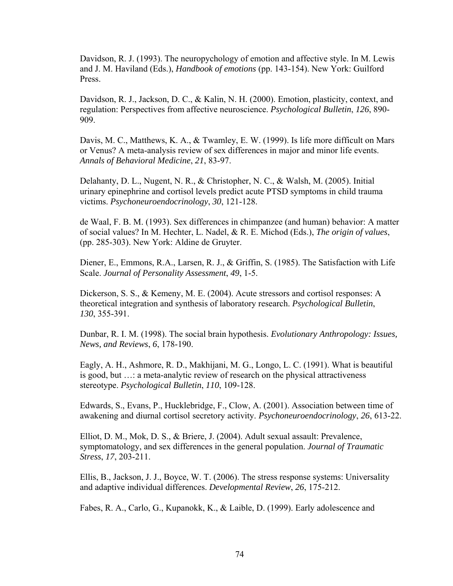Davidson, R. J. (1993). The neuropychology of emotion and affective style. In M. Lewis and J. M. Haviland (Eds.), *Handbook of emotions* (pp. 143-154). New York: Guilford Press.

Davidson, R. J., Jackson, D. C., & Kalin, N. H. (2000). Emotion, plasticity, context, and regulation: Perspectives from affective neuroscience. *Psychological Bulletin*, *126*, 890- 909.

Davis, M. C., Matthews, K. A., & Twamley, E. W. (1999). Is life more difficult on Mars or Venus? A meta-analysis review of sex differences in major and minor life events. *Annals of Behavioral Medicine*, *21*, 83-97.

Delahanty, D. L., Nugent, N. R., & Christopher, N. C., & Walsh, M. (2005). Initial urinary epinephrine and cortisol levels predict acute PTSD symptoms in child trauma victims. *Psychoneuroendocrinology*, *30*, 121-128.

de Waal, F. B. M. (1993). Sex differences in chimpanzee (and human) behavior: A matter of social values? In M. Hechter, L. Nadel, & R. E. Michod (Eds.), *The origin of values*, (pp. 285-303). New York: Aldine de Gruyter.

Diener, E., Emmons, R.A., Larsen, R. J., & Griffin, S. (1985). The Satisfaction with Life Scale. *Journal of Personality Assessment*, *49*, 1-5.

Dickerson, S. S., & Kemeny, M. E. (2004). Acute stressors and cortisol responses: A theoretical integration and synthesis of laboratory research. *Psychological Bulletin*, *130*, 355-391.

Dunbar, R. I. M. (1998). The social brain hypothesis. *Evolutionary Anthropology: Issues, News, and Reviews*, *6*, 178-190.

Eagly, A. H., Ashmore, R. D., Makhijani, M. G., Longo, L. C. (1991). What is beautiful is good, but …: a meta-analytic review of research on the physical attractiveness stereotype. *Psychological Bulletin*, *110*, 109-128.

Edwards, S., Evans, P., Hucklebridge, F., Clow, A. (2001). Association between time of awakening and diurnal cortisol secretory activity. *Psychoneuroendocrinology*, *26*, 613-22.

Elliot, D. M., Mok, D. S., & Briere, J. (2004). Adult sexual assault: Prevalence, symptomatology, and sex differences in the general population. *Journal of Traumatic Stress*, *17*, 203-211.

Ellis, B., Jackson, J. J., Boyce, W. T. (2006). The stress response systems: Universality and adaptive individual differences. *Developmental Review*, *26*, 175-212.

Fabes, R. A., Carlo, G., Kupanokk, K., & Laible, D. (1999). Early adolescence and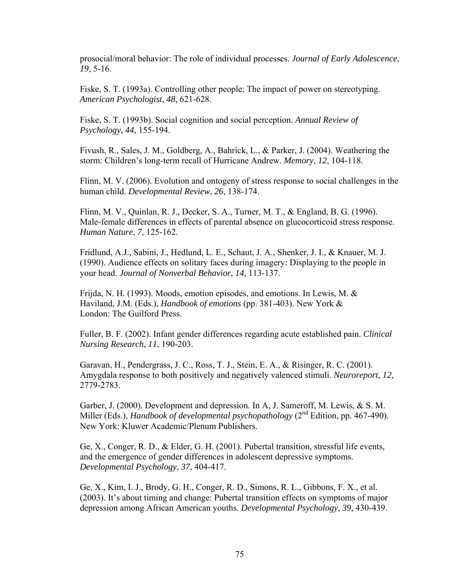prosocial/moral behavior: The role of individual processes. *Journal of Early Adolescence*, *19*, 5-16.

Fiske, S. T. (1993a). Controlling other people: The impact of power on stereotyping. *American Psychologist*, *48*, 621-628.

Fiske, S. T. (1993b). Social cognition and social perception. *Annual Review of Psychology*, *44*, 155-194.

Fivush, R., Sales, J. M., Goldberg, A., Bahrick, L., & Parker, J. (2004). Weathering the storm: Children's long-term recall of Hurricane Andrew. *Memory*, *12*, 104-118.

Flinn, M. V. (2006). Evolution and ontogeny of stress response to social challenges in the human child. *Developmental Review*, *26*, 138-174.

Flinn, M. V., Quinlan, R. J., Decker, S. A., Turner, M. T., & England, B. G. (1996). Male-female differences in effects of parental absence on glucocorticoid stress response. *Human Nature*, *7*, 125-162.

Fridlund, A.J., Sabini, J., Hedlund, L. E., Schaut, J. A., Shenker, J. I., & Knauer, M. J. (1990). Audience effects on solitary faces during imagery: Displaying to the people in your head. *Journal of Nonverbal Behavior*, *14*, 113-137.

Frijda, N. H. (1993). Moods, emotion episodes, and emotions. In Lewis, M.  $\&$ Haviland, J.M. (Eds.), *Handbook of emotions* (pp. 381-403). New York & London: The Guilford Press.

Fuller, B. F. (2002). Infant gender differences regarding acute established pain. *Clinical Nursing Research*, *11*, 190-203.

Garavan, H., Pendergrass, J. C., Ross, T. J., Stein, E. A., & Risinger, R. C. (2001). Amygdala response to both positively and negatively valenced stimuli. *Neuroreport*, *12*, 2779-2783.

Garber, J. (2000). Development and depression. In A, J. Sameroff, M. Lewis, & S. M. Miller (Eds.), *Handbook of developmental psychopathology* (2<sup>nd</sup> Edition, pp. 467-490). New York: Kluwer Academic/Plenum Publishers.

Ge, X., Conger, R. D., & Elder, G. H. (2001). Pubertal transition, stressful life events, and the emergence of gender differences in adolescent depressive symptoms. *Developmental Psychology*, *37*, 404-417.

Ge, X., Kim, I. J., Brody, G. H., Conger, R. D., Simons, R. L., Gibbons, F. X., et al. (2003). It's about timing and change: Pubertal transition effects on symptoms of major depression among African American youths. *Developmental Psychology*, *39*, 430-439.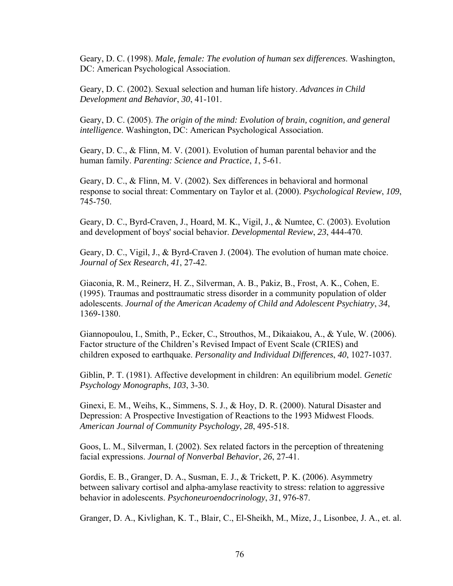Geary, D. C. (1998). *Male, female: The evolution of human sex differences*. Washington, DC: American Psychological Association.

Geary, D. C. (2002). Sexual selection and human life history. *Advances in Child Development and Behavior*, *30*, 41-101.

Geary, D. C. (2005). *The origin of the mind: Evolution of brain, cognition, and general intelligence*. Washington, DC: American Psychological Association.

Geary, D. C., & Flinn, M. V. (2001). Evolution of human parental behavior and the human family. *Parenting: Science and Practice*, *1*, 5-61.

Geary, D. C., & Flinn, M. V. (2002). Sex differences in behavioral and hormonal response to social threat: Commentary on Taylor et al. (2000). *Psychological Review*, *109*, 745-750.

Geary, D. C., Byrd-Craven, J., Hoard, M. K., Vigil, J., & Numtee, C. (2003). Evolution and development of boys' social behavior. *Developmental Review*, *23*, 444-470.

Geary, D. C., Vigil, J., & Byrd-Craven J. (2004). The evolution of human mate choice. *Journal of Sex Research*, *41*, 27-42.

Giaconia, R. M., Reinerz, H. Z., Silverman, A. B., Pakiz, B., Frost, A. K., Cohen, E. (1995). Traumas and posttraumatic stress disorder in a community population of older adolescents. *Journal of the American Academy of Child and Adolescent Psychiatry*, *34*, 1369-1380.

Giannopoulou, I., Smith, P., Ecker, C., Strouthos, M., Dikaiakou, A., & Yule, W. (2006). Factor structure of the Children's Revised Impact of Event Scale (CRIES) and children exposed to earthquake. *Personality and Individual Differences*, *40*, 1027-1037.

Giblin, P. T. (1981). Affective development in children: An equilibrium model. *Genetic Psychology Monographs*, *103*, 3-30.

Ginexi, E. M., Weihs, K., Simmens, S. J., & Hoy, D. R. (2000). Natural Disaster and Depression: A Prospective Investigation of Reactions to the 1993 Midwest Floods. *American Journal of Community Psychology*, *28*, 495-518.

Goos, L. M., Silverman, I. (2002). Sex related factors in the perception of threatening facial expressions. *Journal of Nonverbal Behavior*, *26*, 27-41.

Gordis, E. B., Granger, D. A., Susman, E. J., & Trickett, P. K. (2006). Asymmetry between salivary cortisol and alpha-amylase reactivity to stress: relation to aggressive behavior in adolescents. *Psychoneuroendocrinology*, *31*, 976-87.

Granger, D. A., Kivlighan, K. T., Blair, C., El-Sheikh, M., Mize, J., Lisonbee, J. A., et. al.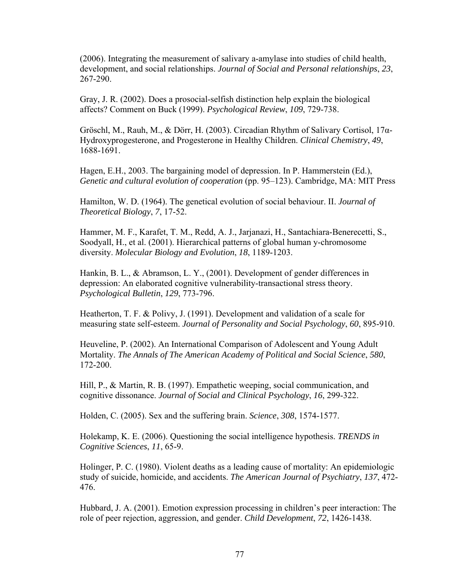(2006). Integrating the measurement of salivary a-amylase into studies of child health, development, and social relationships. *Journal of Social and Personal relationships*, *23*, 267-290.

Gray, J. R. (2002). Does a prosocial-selfish distinction help explain the biological affects? Comment on Buck (1999). *Psychological Review*, *109*, 729-738.

Gröschl, M., Rauh, M., & Dörr, H. (2003). Circadian Rhythm of Salivary Cortisol, 17α-Hydroxyprogesterone, and Progesterone in Healthy Children. *Clinical Chemistry*, *49*, 1688-1691.

Hagen, E.H., 2003. The bargaining model of depression. In P. Hammerstein (Ed.), *Genetic and cultural evolution of cooperation* (pp. 95–123). Cambridge, MA: MIT Press

Hamilton, W. D. (1964). The genetical evolution of social behaviour. II. *Journal of Theoretical Biology*, *7*, 17-52.

Hammer, M. F., Karafet, T. M., Redd, A. J., Jarjanazi, H., Santachiara-Benerecetti, S., Soodyall, H., et al. (2001). Hierarchical patterns of global human y-chromosome diversity. *Molecular Biology and Evolution*, *18*, 1189-1203.

Hankin, B. L., & Abramson, L. Y., (2001). Development of gender differences in depression: An elaborated cognitive vulnerability-transactional stress theory. *Psychological Bulletin*, *129*, 773-796.

Heatherton, T. F. & Polivy, J. (1991). Development and validation of a scale for measuring state self-esteem. *Journal of Personality and Social Psychology*, *60*, 895-910.

Heuveline, P. (2002). An International Comparison of Adolescent and Young Adult Mortality. *The Annals of The American Academy of Political and Social Science*, *580*, 172-200.

Hill, P., & Martin, R. B. (1997). Empathetic weeping, social communication, and cognitive dissonance. *Journal of Social and Clinical Psychology*, *16*, 299-322.

Holden, C. (2005). Sex and the suffering brain. *Science*, *308*, 1574-1577.

Holekamp, K. E. (2006). Questioning the social intelligence hypothesis. *TRENDS in Cognitive Sciences*, *11*, 65-9.

Holinger, P. C. (1980). Violent deaths as a leading cause of mortality: An epidemiologic study of suicide, homicide, and accidents. *The American Journal of Psychiatry*, *137*, 472- 476.

Hubbard, J. A. (2001). Emotion expression processing in children's peer interaction: The role of peer rejection, aggression, and gender. *Child Development*, *72*, 1426-1438.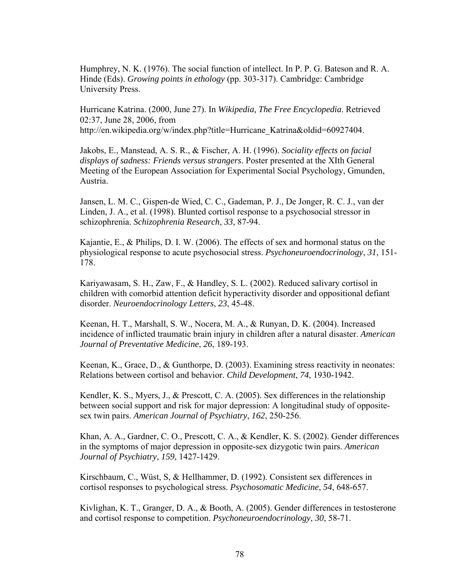Humphrey, N. K. (1976). The social function of intellect. In P. P. G. Bateson and R. A. Hinde (Eds). *Growing points in ethology* (pp. 303-317). Cambridge: Cambridge University Press.

Hurricane Katrina. (2000, June 27). In *Wikipedia, The Free Encyclopedia*. Retrieved 02:37, June 28, 2006, from

http://en.wikipedia.org/w/index.php?title=Hurricane\_Katrina&oldid=60927404.

Jakobs, E., Manstead, A. S. R., & Fischer, A. H. (1996). *Sociality effects on facial displays of sadness: Friends versus strangers*. Poster presented at the XIth General Meeting of the European Association for Experimental Social Psychology, Gmunden, Austria.

Jansen, L. M. C., Gispen-de Wied, C. C., Gademan, P. J., De Jonger, R. C. J., van der Linden, J. A., et al. (1998). Blunted cortisol response to a psychosocial stressor in schizophrenia. *Schizophrenia Research*, *33*, 87-94.

Kajantie, E., & Philips, D. I. W. (2006). The effects of sex and hormonal status on the physiological response to acute psychosocial stress. *Psychoneuroendocrinology*, *31*, 151- 178.

Kariyawasam, S. H., Zaw, F., & Handley, S. L. (2002). Reduced salivary cortisol in children with comorbid attention deficit hyperactivity disorder and oppositional defiant disorder. *Neuroendocrinology Letters*, *23*, 45-48.

Keenan, H. T., Marshall, S. W., Nocera, M. A., & Runyan, D. K. (2004). Increased incidence of inflicted traumatic brain injury in children after a natural disaster. *American Journal of Preventative Medicine*, *26*, 189-193.

Keenan, K., Grace, D., & Gunthorpe, D. (2003). Examining stress reactivity in neonates: Relations between cortisol and behavior. *Child Development*, *74*, 1930-1942.

Kendler, K. S., Myers, J., & Prescott, C. A. (2005). Sex differences in the relationship between social support and risk for major depression: A longitudinal study of oppositesex twin pairs. *American Journal of Psychiatry*, *162*, 250-256.

Khan, A. A., Gardner, C. O., Prescott, C. A., & Kendler, K. S. (2002). Gender differences in the symptoms of major depression in opposite-sex dizygotic twin pairs. *American Journal of Psychiatry*, *159*, 1427-1429.

Kirschbaum, C., Wüst, S, & Hellhammer, D. (1992). Consistent sex differences in cortisol responses to psychological stress. *Psychosomatic Medicine*, *54*, 648-657.

Kivlighan, K. T., Granger, D. A., & Booth, A. (2005). Gender differences in testosterone and cortisol response to competition. *Psychoneuroendocrinology*, *30*, 58-71.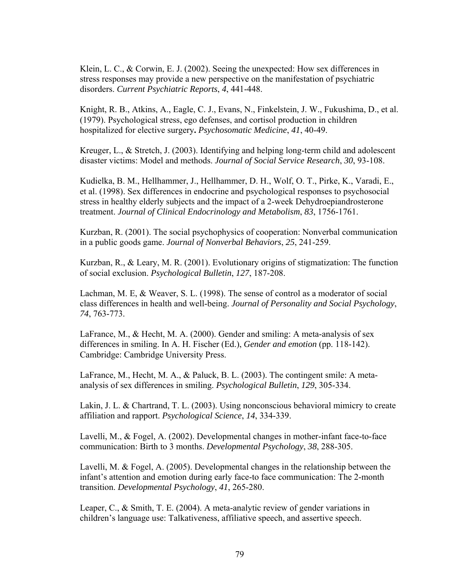Klein, L. C., & Corwin, E. J. (2002). Seeing the unexpected: How sex differences in stress responses may provide a new perspective on the manifestation of psychiatric disorders. *Current Psychiatric Reports*, *4*, 441-448.

Knight, R. B., Atkins, A., Eagle, C. J., Evans, N., Finkelstein, J. W., Fukushima, D., et al. (1979). Psychological stress, ego defenses, and cortisol production in children hospitalized for elective surgery**.** *Psychosomatic Medicine*, *41*, 40-49.

Kreuger, L., & Stretch, J. (2003). Identifying and helping long-term child and adolescent disaster victims: Model and methods. *Journal of Social Service Research*, *30*, 93-108.

Kudielka, B. M., Hellhammer, J., Hellhammer, D. H., Wolf, O. T., Pirke, K., Varadi, E., et al. (1998). Sex differences in endocrine and psychological responses to psychosocial stress in healthy elderly subjects and the impact of a 2-week Dehydroepiandrosterone treatment. *Journal of Clinical Endocrinology and Metabolism*, *83*, 1756-1761.

Kurzban, R. (2001). The social psychophysics of cooperation: Nonverbal communication in a public goods game. *Journal of Nonverbal Behaviors*, *25*, 241-259.

Kurzban, R., & Leary, M. R. (2001). Evolutionary origins of stigmatization: The function of social exclusion. *Psychological Bulletin*, *127*, 187-208.

Lachman, M. E, & Weaver, S. L. (1998). The sense of control as a moderator of social class differences in health and well-being. *Journal of Personality and Social Psychology*, *74*, 763-773.

LaFrance, M., & Hecht, M. A. (2000). Gender and smiling: A meta-analysis of sex differences in smiling. In A. H. Fischer (Ed.), *Gender and emotion* (pp. 118-142). Cambridge: Cambridge University Press.

LaFrance, M., Hecht, M. A., & Paluck, B. L. (2003). The contingent smile: A metaanalysis of sex differences in smiling. *Psychological Bulletin*, *129*, 305-334.

Lakin, J. L. & Chartrand, T. L. (2003). Using nonconscious behavioral mimicry to create affiliation and rapport. *Psychological Science*, *14*, 334-339.

Lavelli, M., & Fogel, A. (2002). Developmental changes in mother-infant face-to-face communication: Birth to 3 months. *Developmental Psychology*, *38*, 288-305.

Lavelli, M. & Fogel, A. (2005). Developmental changes in the relationship between the infant's attention and emotion during early face-to face communication: The 2-month transition. *Developmental Psychology*, *41*, 265-280.

Leaper, C., & Smith, T. E. (2004). A meta-analytic review of gender variations in children's language use: Talkativeness, affiliative speech, and assertive speech.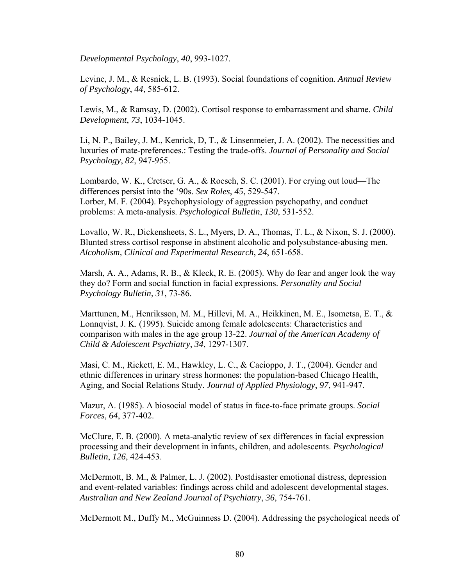*Developmental Psychology*, *40*, 993-1027.

Levine, J. M., & Resnick, L. B. (1993). Social foundations of cognition. *Annual Review of Psychology*, *44*, 585-612.

Lewis, M., & Ramsay, D. (2002). Cortisol response to embarrassment and shame. *Child Development*, *73*, 1034-1045.

Li, N. P., Bailey, J. M., Kenrick, D, T., & Linsenmeier, J. A. (2002). The necessities and luxuries of mate-preferences.: Testing the trade-offs. *Journal of Personality and Social Psychology*, *82*, 947-955.

Lombardo, W. K., Cretser, G. A., & Roesch, S. C. (2001). For crying out loud—The differences persist into the '90s. *Sex Roles*, *45*, 529-547. Lorber, M. F. (2004). Psychophysiology of aggression psychopathy, and conduct problems: A meta-analysis. *Psychological Bulletin*, *130*, 531-552.

Lovallo, W. R., Dickensheets, S. L., Myers, D. A., Thomas, T. L., & Nixon, S. J. (2000). Blunted stress cortisol response in abstinent alcoholic and polysubstance-abusing men. *Alcoholism, Clinical and Experimental Research*, *24*, 651-658.

Marsh, A. A., Adams, R. B., & Kleck, R. E. (2005). Why do fear and anger look the way they do? Form and social function in facial expressions. *Personality and Social Psychology Bulletin*, *31*, 73-86.

Marttunen, M., Henriksson, M. M., Hillevi, M. A., Heikkinen, M. E., Isometsa, E. T., & Lonnqvist, J. K. (1995). Suicide among female adolescents: Characteristics and comparison with males in the age group 13-22. *Journal of the American Academy of Child & Adolescent Psychiatry*, *34*, 1297-1307.

Masi, C. M., Rickett, E. M., Hawkley, L. C., & Cacioppo, J. T., (2004). Gender and ethnic differences in urinary stress hormones: the population-based Chicago Health, Aging, and Social Relations Study. *Journal of Applied Physiology*, *97*, 941-947.

Mazur, A. (1985). A biosocial model of status in face-to-face primate groups. *Social Forces*, *64*, 377-402.

McClure, E. B. (2000). A meta-analytic review of sex differences in facial expression processing and their development in infants, children, and adolescents. *Psychological Bulletin*, *126*, 424-453.

McDermott, B. M., & Palmer, L. J. (2002). Postdisaster emotional distress, depression and event-related variables: findings across child and adolescent developmental stages. *Australian and New Zealand Journal of Psychiatry*, *36*, 754-761.

McDermott M., Duffy M., McGuinness D. (2004). Addressing the psychological needs of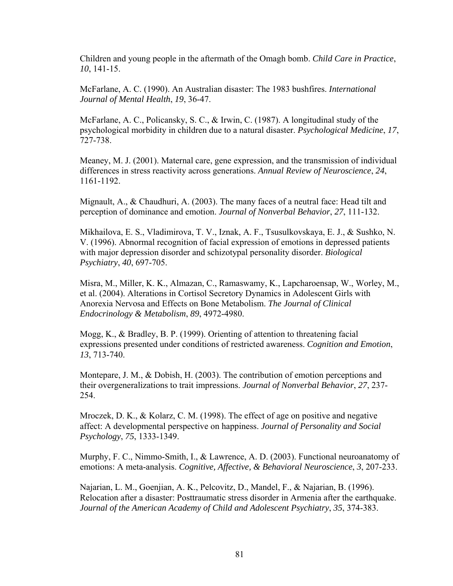Children and young people in the aftermath of the Omagh bomb. *Child Care in Practice*, *10*, 141-15.

McFarlane, A. C. (1990). An Australian disaster: The 1983 bushfires. *International Journal of Mental Health*, *19*, 36-47.

McFarlane, A. C., Policansky, S. C., & Irwin, C. (1987). A longitudinal study of the psychological morbidity in children due to a natural disaster. *Psychological Medicine*, *17*, 727-738.

Meaney, M. J. (2001). Maternal care, gene expression, and the transmission of individual differences in stress reactivity across generations. *Annual Review of Neuroscience*, *24*, 1161-1192.

Mignault, A., & Chaudhuri, A. (2003). The many faces of a neutral face: Head tilt and perception of dominance and emotion. *Journal of Nonverbal Behavior*, *27*, 111-132.

Mikhailova, E. S., Vladimirova, T. V., Iznak, A. F., Tsusulkovskaya, E. J., & Sushko, N. V. (1996). Abnormal recognition of facial expression of emotions in depressed patients with major depression disorder and schizotypal personality disorder. *Biological Psychiatry*, *40*, 697-705.

Misra, M., Miller, K. K., Almazan, C., Ramaswamy, K., Lapcharoensap, W., Worley, M., et al. (2004). Alterations in Cortisol Secretory Dynamics in Adolescent Girls with Anorexia Nervosa and Effects on Bone Metabolism. *The Journal of Clinical Endocrinology & Metabolism*, *89*, 4972-4980.

Mogg, K., & Bradley, B. P. (1999). Orienting of attention to threatening facial expressions presented under conditions of restricted awareness. *Cognition and Emotion*, *13*, 713-740.

Montepare, J. M., & Dobish, H. (2003). The contribution of emotion perceptions and their overgeneralizations to trait impressions. *Journal of Nonverbal Behavior*, *27*, 237- 254.

Mroczek, D. K., & Kolarz, C. M. (1998). The effect of age on positive and negative affect: A developmental perspective on happiness. *Journal of Personality and Social Psychology*, *75*, 1333-1349.

Murphy, F. C., Nimmo-Smith, I., & Lawrence, A. D. (2003). Functional neuroanatomy of emotions: A meta-analysis. *Cognitive, Affective, & Behavioral Neuroscience*, *3*, 207-233.

Najarian, L. M., Goenjian, A. K., Pelcovitz, D., Mandel, F., & Najarian, B. (1996). Relocation after a disaster: Posttraumatic stress disorder in Armenia after the earthquake. *Journal of the American Academy of Child and Adolescent Psychiatry*, *35*, 374-383.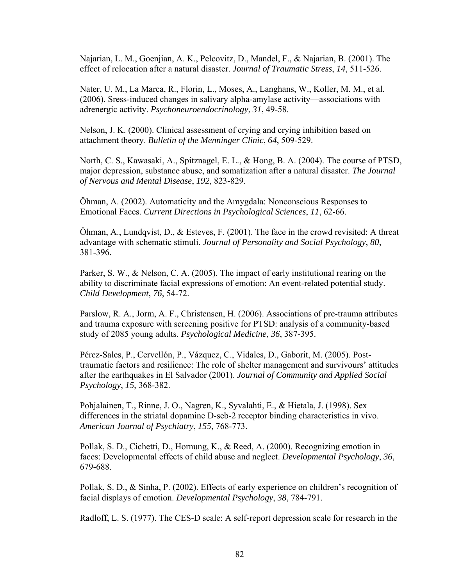Najarian, L. M., Goenjian, A. K., Pelcovitz, D., Mandel, F., & Najarian, B. (2001). The effect of relocation after a natural disaster. *Journal of Traumatic Stress*, *14*, 511-526.

Nater, U. M., La Marca, R., Florin, L., Moses, A., Langhans, W., Koller, M. M., et al. (2006). Sress-induced changes in salivary alpha-amylase activity—associations with adrenergic activity. *Psychoneuroendocrinology*, *31*, 49-58.

Nelson, J. K. (2000). Clinical assessment of crying and crying inhibition based on attachment theory. *Bulletin of the Menninger Clinic*, *64*, 509-529.

North, C. S., Kawasaki, A., Spitznagel, E. L., & Hong, B. A. (2004). The course of PTSD, major depression, substance abuse, and somatization after a natural disaster. *The Journal of Nervous and Mental Disease*, *192*, 823-829.

Öhman, A. (2002). Automaticity and the Amygdala: Nonconscious Responses to Emotional Faces. *Current Directions in Psychological Sciences*, *11*, 62-66.

Öhman, A., Lundqvist, D., & Esteves, F. (2001). The face in the crowd revisited: A threat advantage with schematic stimuli. *Journal of Personality and Social Psychology*, *80*, 381-396.

Parker, S. W., & Nelson, C. A. (2005). The impact of early institutional rearing on the ability to discriminate facial expressions of emotion: An event-related potential study. *Child Development*, *76*, 54-72.

Parslow, R. A., Jorm, A. F., Christensen, H. (2006). Associations of pre-trauma attributes and trauma exposure with screening positive for PTSD: analysis of a community-based study of 2085 young adults. *Psychological Medicine*, *36*, 387-395.

Pérez-Sales, P., Cervellón, P., Vázquez, C., Vidales, D., Gaborit, M. (2005). Posttraumatic factors and resilience: The role of shelter management and survivours' attitudes after the earthquakes in El Salvador (2001). *Journal of Community and Applied Social Psychology*, *15*, 368-382.

Pohjalainen, T., Rinne, J. O., Nagren, K., Syvalahti, E., & Hietala, J. (1998). Sex differences in the striatal dopamine D-seb-2 receptor binding characteristics in vivo. *American Journal of Psychiatry*, *155*, 768-773.

Pollak, S. D., Cichetti, D., Hornung, K., & Reed, A. (2000). Recognizing emotion in faces: Developmental effects of child abuse and neglect. *Developmental Psychology*, *36*, 679-688.

Pollak, S. D., & Sinha, P. (2002). Effects of early experience on children's recognition of facial displays of emotion. *Developmental Psychology*, *38*, 784-791.

Radloff, L. S. (1977). The CES-D scale: A self-report depression scale for research in the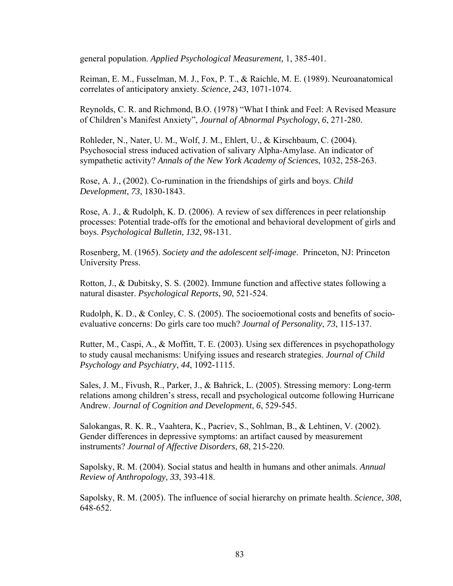general population. *Applied Psychological Measurement,* 1, 385-401.

Reiman, E. M., Fusselman, M. J., Fox, P. T., & Raichle, M. E. (1989). Neuroanatomical correlates of anticipatory anxiety. *Science*, *243*, 1071-1074.

Reynolds, C. R. and Richmond, B.O. (1978) "What I think and Feel: A Revised Measure of Children's Manifest Anxiety", *Journal of Abnormal Psychology*, *6*, 271-280.

Rohleder, N., Nater, U. M., Wolf, J. M., Ehlert, U., & Kirschbaum, C. (2004). Psychosocial stress induced activation of salivary Alpha-Amylase. An indicator of sympathetic activity? *Annals of the New York Academy of Sciences*, 1032, 258-263.

Rose, A. J., (2002). Co-rumination in the friendships of girls and boys. *Child Development*, *73*, 1830-1843.

Rose, A. J., & Rudolph, K. D. (2006). A review of sex differences in peer relationship processes: Potential trade-offs for the emotional and behavioral development of girls and boys. *Psychological Bulletin*, *132*, 98-131.

 Rosenberg, M. (1965). *Society and the adolescent self-image*. Princeton, NJ: Princeton University Press.

Rotton, J., & Dubitsky, S. S. (2002). Immune function and affective states following a natural disaster. *Psychological Reports*, *90*, 521-524.

Rudolph, K. D., & Conley, C. S. (2005). The socioemotional costs and benefits of socioevaluative concerns: Do girls care too much? *Journal of Personality*, *73*, 115-137.

Rutter, M., Caspi, A., & Moffitt, T. E. (2003). Using sex differences in psychopathology to study causal mechanisms: Unifying issues and research strategies. *Journal of Child Psychology and Psychiatry*, *44*, 1092-1115.

Sales, J. M., Fivush, R., Parker, J., & Bahrick, L. (2005). Stressing memory: Long-term relations among children's stress, recall and psychological outcome following Hurricane Andrew. *Journal of Cognition and Development*, *6*, 529-545.

Salokangas, R. K. R., Vaahtera, K., Pacriev, S., Sohlman, B., & Lehtinen, V. (2002). Gender differences in depressive symptoms: an artifact caused by measurement instruments? *Journal of Affective Disorders*, *68*, 215-220.

Sapolsky, R. M. (2004). Social status and health in humans and other animals. *Annual Review of Anthropology*, *33*, 393-418.

Sapolsky, R. M. (2005). The influence of social hierarchy on primate health. *Science*, *308*, 648-652.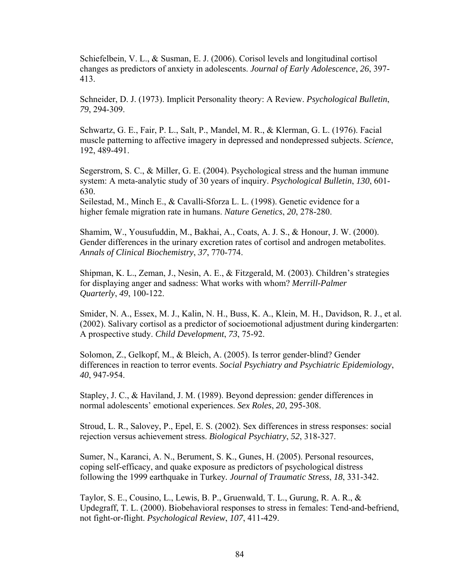Schiefelbein, V. L., & Susman, E. J. (2006). Corisol levels and longitudinal cortisol changes as predictors of anxiety in adolescents. *Journal of Early Adolescence*, *26*, 397- 413.

Schneider, D. J. (1973). Implicit Personality theory: A Review. *Psychological Bulletin*, *79*, 294-309.

Schwartz, G. E., Fair, P. L., Salt, P., Mandel, M. R., & Klerman, G. L. (1976). Facial muscle patterning to affective imagery in depressed and nondepressed subjects. *Science*, 192, 489-491.

Segerstrom, S. C., & Miller, G. E. (2004). Psychological stress and the human immune system: A meta-analytic study of 30 years of inquiry. *Psychological Bulletin*, *130*, 601- 630.

Seilestad, M., Minch E., & Cavalli-Sforza L. L. (1998). Genetic evidence for a higher female migration rate in humans. *Nature Genetics*, *20*, 278-280.

Shamim, W., Yousufuddin, M., Bakhai, A., Coats, A. J. S., & Honour, J. W. (2000). Gender differences in the urinary excretion rates of cortisol and androgen metabolites. *Annals of Clinical Biochemistry*, *37*, 770-774.

Shipman, K. L., Zeman, J., Nesin, A. E., & Fitzgerald, M. (2003). Children's strategies for displaying anger and sadness: What works with whom? *Merrill-Palmer Quarterly*, *49*, 100-122.

Smider, N. A., Essex, M. J., Kalin, N. H., Buss, K. A., Klein, M. H., Davidson, R. J., et al. (2002). Salivary cortisol as a predictor of socioemotional adjustment during kindergarten: A prospective study. *Child Development*, *73*, 75-92.

Solomon, Z., Gelkopf, M., & Bleich, A. (2005). Is terror gender-blind? Gender differences in reaction to terror events. *Social Psychiatry and Psychiatric Epidemiology*, *40*, 947-954.

Stapley, J. C., & Haviland, J. M. (1989). Beyond depression: gender differences in normal adolescents' emotional experiences. *Sex Roles*, *20*, 295-308.

Stroud, L. R., Salovey, P., Epel, E. S. (2002). Sex differences in stress responses: social rejection versus achievement stress. *Biological Psychiatry*, *52*, 318-327.

Sumer, N., Karanci, A. N., Berument, S. K., Gunes, H. (2005). Personal resources, coping self-efficacy, and quake exposure as predictors of psychological distress following the 1999 earthquake in Turkey*. Journal of Traumatic Stress*, *18*, 331-342.

Taylor, S. E., Cousino, L., Lewis, B. P., Gruenwald, T. L., Gurung, R. A. R., & Updegraff, T. L. (2000). Biobehavioral responses to stress in females: Tend-and-befriend, not fight-or-flight. *Psychological Review*, *107*, 411-429.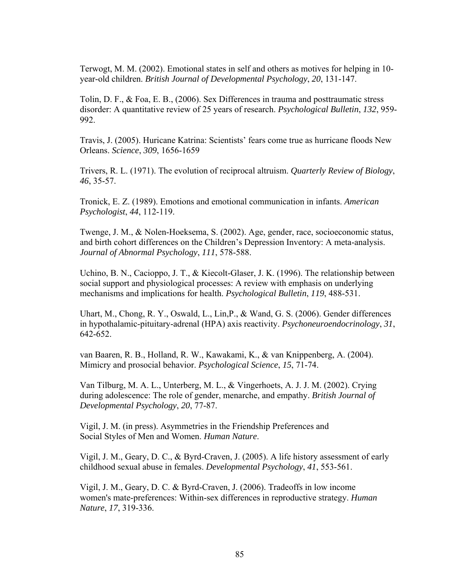Terwogt, M. M. (2002). Emotional states in self and others as motives for helping in 10 year-old children. *British Journal of Developmental Psychology*, *20*, 131-147.

Tolin, D. F., & Foa, E. B., (2006). Sex Differences in trauma and posttraumatic stress disorder: A quantitative review of 25 years of research. *Psychological Bulletin*, *132*, 959- 992.

Travis, J. (2005). Huricane Katrina: Scientists' fears come true as hurricane floods New Orleans. *Science*, *309*, 1656-1659

Trivers, R. L. (1971). The evolution of reciprocal altruism. *Quarterly Review of Biology*, *46*, 35-57.

Tronick, E. Z. (1989). Emotions and emotional communication in infants. *American Psychologist*, *44*, 112-119.

Twenge, J. M., & Nolen-Hoeksema, S. (2002). Age, gender, race, socioeconomic status, and birth cohort differences on the Children's Depression Inventory: A meta-analysis. *Journal of Abnormal Psychology*, *111*, 578-588.

Uchino, B. N., Cacioppo, J. T., & Kiecolt-Glaser, J. K. (1996). The relationship between social support and physiological processes: A review with emphasis on underlying mechanisms and implications for health. *Psychological Bulletin*, *119*, 488-531.

Uhart, M., Chong, R. Y., Oswald, L., Lin,P., & Wand, G. S. (2006). Gender differences in hypothalamic-pituitary-adrenal (HPA) axis reactivity. *Psychoneuroendocrinology*, *31*, 642-652.

van Baaren, R. B., Holland, R. W., Kawakami, K., & van Knippenberg, A. (2004). Mimicry and prosocial behavior. *Psychological Science*, *15*, 71-74.

Van Tilburg, M. A. L., Unterberg, M. L., & Vingerhoets, A. J. J. M. (2002). Crying during adolescence: The role of gender, menarche, and empathy. *British Journal of Developmental Psychology*, *20*, 77-87.

Vigil, J. M. (in press). Asymmetries in the Friendship Preferences and Social Styles of Men and Women. *Human Nature*.

Vigil, J. M., Geary, D. C., & Byrd-Craven, J. (2005). A life history assessment of early childhood sexual abuse in females. *Developmental Psychology*, *41*, 553-561.

Vigil, J. M., Geary, D. C. & Byrd-Craven, J. (2006). Tradeoffs in low income women's mate-preferences: Within-sex differences in reproductive strategy. *Human Nature*, *17*, 319-336.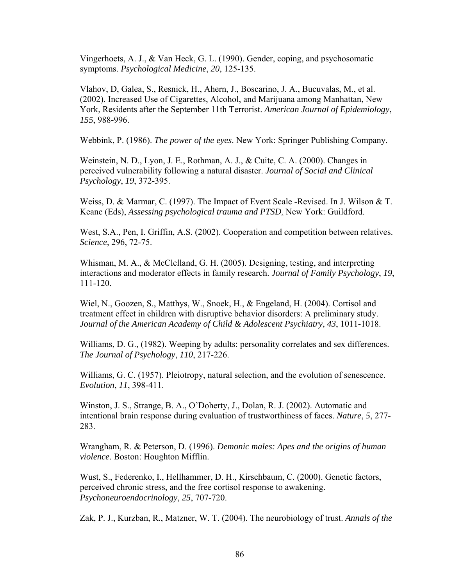Vingerhoets, A. J., & Van Heck, G. L. (1990). Gender, coping, and psychosomatic symptoms. *Psychological Medicine*, *20*, 125-135.

Vlahov, D, Galea, S., Resnick, H., Ahern, J., Boscarino, J. A., Bucuvalas, M., et al. (2002). Increased Use of Cigarettes, Alcohol, and Marijuana among Manhattan, New York, Residents after the September 11th Terrorist. *American Journal of Epidemiology*, *155*, 988-996.

Webbink, P. (1986). *The power of the eyes*. New York: Springer Publishing Company.

Weinstein, N. D., Lyon, J. E., Rothman, A. J., & Cuite, C. A. (2000). Changes in perceived vulnerability following a natural disaster. *Journal of Social and Clinical Psychology*, *19*, 372-395.

Weiss, D. & Marmar, C. (1997). The Impact of Event Scale -Revised. In J. Wilson & T. Keane (Eds), *Assessing psychological trauma and PTSD*. New York: Guildford.

West, S.A., Pen, I. Griffin, A.S. (2002). Cooperation and competition between relatives. *Science*, 296, 72-75.

Whisman, M. A., & McClelland, G. H. (2005). Designing, testing, and interpreting interactions and moderator effects in family research. *Journal of Family Psychology*, *19*, 111-120.

Wiel, N., Goozen, S., Matthys, W., Snoek, H., & Engeland, H. (2004). Cortisol and treatment effect in children with disruptive behavior disorders: A preliminary study. *Journal of the American Academy of Child & Adolescent Psychiatry*, *43*, 1011-1018.

Williams, D. G., (1982). Weeping by adults: personality correlates and sex differences. *The Journal of Psychology*, *110*, 217-226.

Williams, G. C. (1957). Pleiotropy, natural selection, and the evolution of senescence. *Evolution*, *11*, 398-411.

Winston, J. S., Strange, B. A., O'Doherty, J., Dolan, R. J. (2002). Automatic and intentional brain response during evaluation of trustworthiness of faces. *Nature*, *5*, 277- 283.

Wrangham, R. & Peterson, D. (1996). *Demonic males: Apes and the origins of human violence*. Boston: Houghton Mifflin.

Wust, S., Federenko, I., Hellhammer, D. H., Kirschbaum, C. (2000). Genetic factors, perceived chronic stress, and the free cortisol response to awakening. *Psychoneuroendocrinology*, *25*, 707-720.

Zak, P. J., Kurzban, R., Matzner, W. T. (2004). The neurobiology of trust. *Annals of the*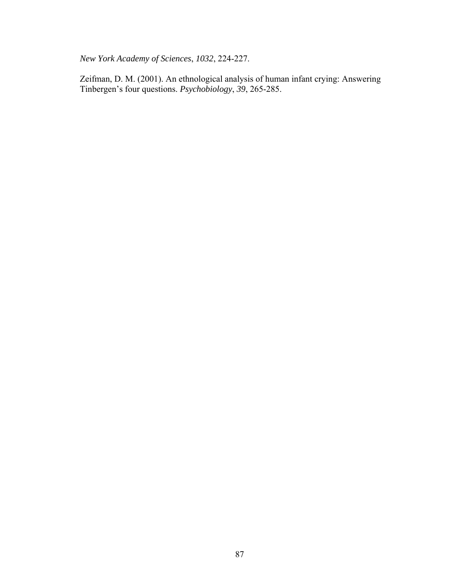*New York Academy of Sciences*, *1032*, 224-227.

Zeifman, D. M. (2001). An ethnological analysis of human infant crying: Answering Tinbergen's four questions. *Psychobiology*, *39*, 265-285.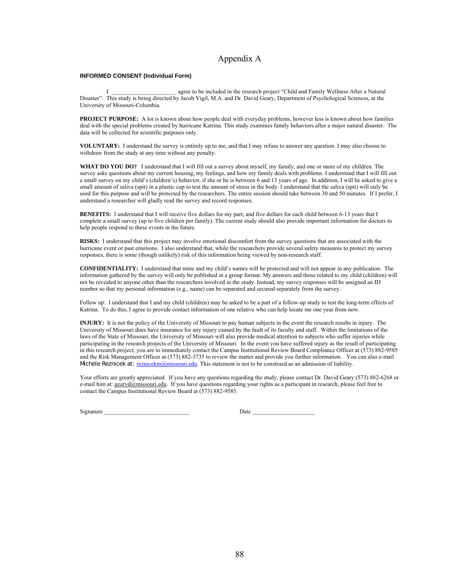### Appendix A

### **INFORMED CONSENT (Individual Form)**

agree to be included in the research project "Child and Family Wellness After a Natural Disaster". This study is being directed by Jacob Vigil, M.A. and Dr. David Geary, Department of Psychological Sciences, at the University of Missouri-Columbia.

**PROJECT PURPOSE:** A lot is known about how people deal with everyday problems, however less is known about how families deal with the special problems created by hurricane Katrina. This study examines family behaviors after a major natural disaster. The data will be collected for scientific purposes only.

**VOLUNTARY:** I understand the survey is entirely up to me, and that I may refuse to answer any question. I may also choose to withdraw from the study at any time without any penalty.

**WHAT DO YOU DO?** I understand that I will fill out a survey about myself, my family, and one or more of my children. The survey asks questions about my current housing, my feelings, and how my family deals with problems. I understand that I will fill out a small survey on my child's (children's) behavior, if she or he is between 6 and 13 years of age. In addition, I will be asked to give a small amount of saliva (spit) in a plastic cup to test the amount of stress in the body. I understand that the saliva (spit) will only be used for this purpose and will be protected by the researchers. The entire session should take between 30 and 50 minutes. If I prefer, I understand a researcher will gladly read the survey and record responses.

**BENEFITS:** I understand that I will receive five dollars for my part, and five dollars for each child between 6-13 years that I complete a small survey (up to five children per family). The current study should also provide important information for doctors to help people respond to these events in the future.

**RISKS:** I understand that this project may involve emotional discomfort from the survey questions that are associated with the hurricane event or past emotions. I also understand that, while the researchers provide several safety measures to protect my survey responses, there is some (though unlikely) risk of this information being viewed by non-research staff.

**CONFIDENTIALITY:** I understand that mine and my child's names will be protected and will not appear in any publication. The information gathered by the survey will only be published in a group format. My answers and those related to my child (children) will not be revealed to anyone other than the researchers involved in the study. Instead, my survey responses will be assigned an ID number so that my personal information (e.g., name) can be separated and secured separately from the survey.

Follow up: I understand that I and my child (children) may be asked to be a part of a follow-up study to test the long-term effects of Katrina. To do this, I agree to provide contact information of one relative who can help locate me one year from now.

**INJURY:** It is not the policy of the University of Missouri to pay human subjects in the event the research results in injury. The University of Missouri does have insurance for any injury caused by the fault of its faculty and staff. Within the limitations of the laws of the State of Missouri, the University of Missouri will also provide medical attention to subjects who suffer injuries while participating in the research projects of the University of Missouri. In the event you have suffered injury as the result of participating in this research project, you are to immediately contact the Campus Institutional Review Board Compliance Officer at (573) 882-9585 and the Risk Management Officer at (573) 882-3735 to review the matter and provide you further information. You can also e-mail Michele Reznicek at: reznicekm@missouri.edu. This statement is not to be construed as an admission of liability.

Your efforts are greatly appreciated. If you have any questions regarding the study, please contact Dr. David Geary (573) 882-6268 or e-mail him at: gearyd@missouri.edu. If you have questions regarding your rights as a participant in research, please feel free to contact the Campus Institutional Review Board at (573) 882-9585.

Signature \_\_\_\_\_\_\_\_\_\_\_\_\_\_\_\_\_\_\_\_\_\_\_\_\_\_\_\_\_ Date \_\_\_\_\_\_\_\_\_\_\_\_\_\_\_\_\_\_\_\_\_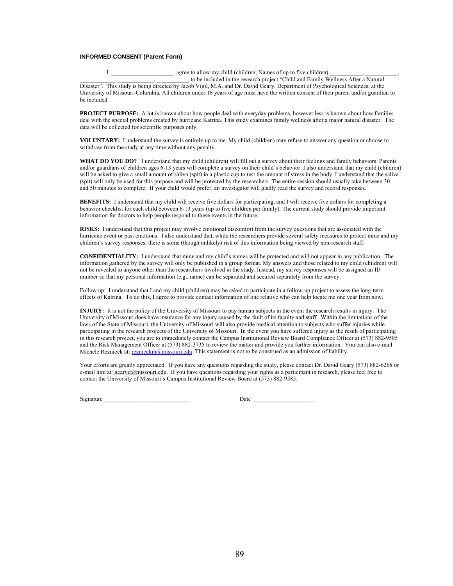### **INFORMED CONSENT (Parent Form)**

I \_\_\_\_\_\_\_\_\_\_\_\_\_\_\_\_\_\_\_\_\_\_ agree to allow my child (children; Names of up to five children) to be included in the research project "Child and Family Wellness After a Natural Disaster". This study is being directed by Jacob Vigil, M.A. and Dr. David Geary, Department of Psychological Sciences, at the University of Missouri-Columbia. All children under 18 years of age must have the written consent of their parent and/or guardian to be included.

**PROJECT PURPOSE:** A lot is known about how people deal with everyday problems, however less is known about how families deal with the special problems created by hurricane Katrina. This study examines family wellness after a major natural disaster. The data will be collected for scientific purposes only.

**VOLUNTARY:** I understand the survey is entirely up to me. My child (children) may refuse to answer any question or choose to withdraw from the study at any time without any penalty.

**WHAT DO YOU DO?** I understand that my child (children) will fill out a survey about their feelings and family behaviors. Parents and/or guardians of children ages 6-13 years will complete a survey on their child's behavior. I also understand that my child (children) will be asked to give a small amount of saliva (spit) in a plastic cup to test the amount of stress in the body. I understand that the saliva (spit) will only be used for this purpose and will be protected by the researchers. The entire session should usually take between 30 and 50 minutes to complete. If your child would prefer, an investigator will gladly read the survey and record responses.

**BENEFITS:** I understand that my child will receive five dollars for participating, and I will receive five dollars for completing a behavior checklist for each child between 6-13 years (up to five children per family). The current study should provide important information for doctors to help people respond to these events in the future.

**RISKS:** I understand that this project may involve emotional discomfort from the survey questions that are associated with the hurricane event or past emotions. I also understand that, while the researchers provide several safety measures to protect mine and my children's survey responses, there is some (though unlikely) risk of this information being viewed by non-research staff.

**CONFIDENTIALITY:** I understand that mine and my child's names will be protected and will not appear in any publication. The information gathered by the survey will only be published in a group format. My answers and those related to my child (children) will not be revealed to anyone other than the researchers involved in the study. Instead, my survey responses will be assigned an ID number so that my personal information (e.g., name) can be separated and secured separately from the survey.

Follow up: I understand that I and my child (children) may be asked to participate in a follow-up project to assess the long-term effects of Katrina. To do this, I agree to provide contact information of one relative who can help locate me one year from now.

**INJURY:** It is not the policy of the University of Missouri to pay human subjects in the event the research results in injury. The University of Missouri does have insurance for any injury caused by the fault of its faculty and staff. Within the limitations of the laws of the State of Missouri, the University of Missouri will also provide medical attention to subjects who suffer injuries while participating in the research projects of the University of Missouri. In the event you have suffered injury as the result of participating in this research project, you are to immediately contact the Campus Institutional Review Board Compliance Officer at (573) 882-9585 and the Risk Management Officer at (573) 882-3735 to review the matter and provide you further information. You can also e-mail Michele Reznicek at: reznicekm@missouri.edu. This statement is not to be construed as an admission of liability.

Your efforts are greatly appreciated. If you have any questions regarding the study, please contact Dr. David Geary (573) 882-6268 or e-mail him at: gearyd@missouri.edu. If you have questions regarding your rights as a participant in research, please feel free to contact the University of Missouri's Campus Institutional Review Board at (573) 882-9585.

Signature \_\_\_\_\_\_\_\_\_\_\_\_\_\_\_\_\_\_\_\_\_\_\_\_\_\_\_\_\_ Date \_\_\_\_\_\_\_\_\_\_\_\_\_\_\_\_\_\_\_\_\_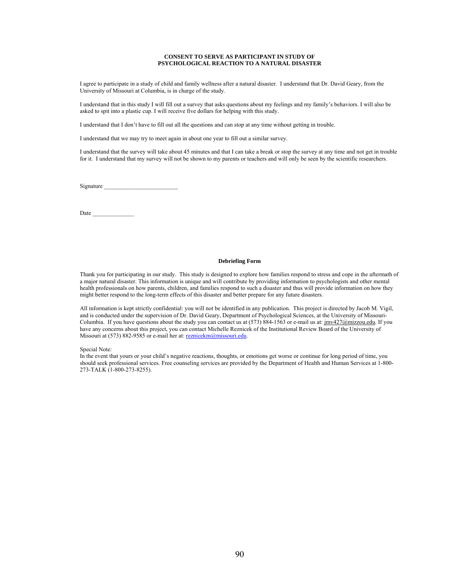#### **CONSENT TO SERVE AS PARTICIPANT IN STUDY OF PSYCHOLOGICAL REACTION TO A NATURAL DISASTER**

I agree to participate in a study of child and family wellness after a natural disaster. I understand that Dr. David Geary, from the University of Missouri at Columbia, is in charge of the study.

I understand that in this study I will fill out a survey that asks questions about my feelings and my family's behaviors. I will also be asked to spit into a plastic cup. I will receive five dollars for helping with this study.

I understand that I don't have to fill out all the questions and can stop at any time without getting in trouble.

I understand that we may try to meet again in about one year to fill out a similar survey.

I understand that the survey will take about 45 minutes and that I can take a break or stop the survey at any time and not get in trouble for it. I understand that my survey will not be shown to my parents or teachers and will only be seen by the scientific researchers.

Signature

Date \_\_\_\_\_\_\_\_\_\_\_\_\_\_

### **Debriefing Form**

Thank you for participating in our study. This study is designed to explore how families respond to stress and cope in the aftermath of a major natural disaster. This information is unique and will contribute by providing information to psychologists and other mental health professionals on how parents, children, and families respond to such a disaster and thus will provide information on how they might better respond to the long-term effects of this disaster and better prepare for any future disasters.

All information is kept strictly confidential: you will not be identified in any publication. This project is directed by Jacob M. Vigil, and is conducted under the supervision of Dr. David Geary, Department of Psychological Sciences, at the University of Missouri-Columbia. If you have questions about the study you can contact us at  $(573) 884-1563$  or e-mail us at:  $\frac{imv427@mizzou.edu}{Imv427@mizzou.edu}$ . If you have any concerns about this project, you can contact Michelle Reznicek of the Institutional Review Board of the University of Missouri at (573) 882-9585 or e-mail her at: reznicekm@missouri.edu.

Special Note:

In the event that yours or your child's negative reactions, thoughts, or emotions get worse or continue for long period of time, you should seek professional services. Free counseling services are provided by the Department of Health and Human Services at 1-800- 273-TALK (1-800-273-8255).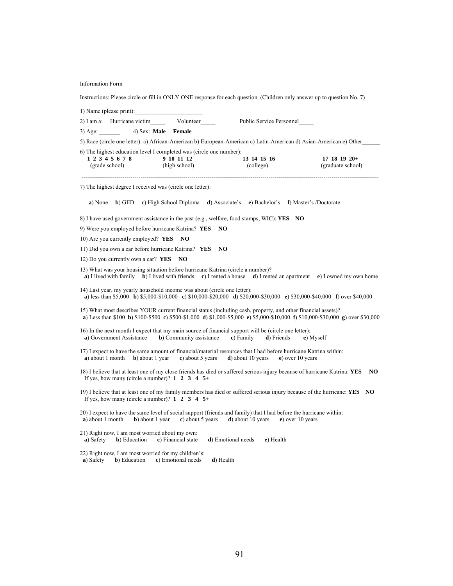Information Form

Instructions: Please circle or fill in ONLY ONE response for each question. (Children only answer up to question No. 7) 1) Name (please print): 2) I am a: Hurricane victim Volunteer Public Service Personnel 3) Age: \_\_\_\_\_\_\_ 4) Sex: **Male Female** 5) Race (circle one letter): a) African-American b) European-American c) Latin-American d) Asian-American e) Other\_\_\_\_\_\_ 6) The highest education level I completed was (circle one number):<br>1 2 3 4 5 6 7 8 9 10 11 12 13 14 15 16 **1 2 3 4 5 6 7 8 9 10 11 12 13 14 15 16 17 18 19 20+**  (grade school) (high school) (college) (graduate school) (graduate school) ------------------------------------------------------------------------------------------------------------------------------------------------------- 7) The highest degree I received was (circle one letter): **a**) None **b**) GED **c**) High School Diploma **d**) Associate's **e**) Bachelor's **f**) Master's /Doctorate 8) I have used government assistance in the past (e.g., welfare, food stamps, WIC): **YES NO** 9) Were you employed before hurricane Katrina? **YES NO** 10) Are you currently employed? **YES NO** 11) Did you own a car before hurricane Katrina? **YES NO** 12) Do you currently own a car? **YES NO** 13) What was your housing situation before hurricane Katrina (circle a number)? **a**) I lived with family **b**) I lived with friends **c**) I rented a house **d**) I rented an apartment **e**) I owned my own home 14) Last year, my yearly household income was about (circle one letter): **a**) less than \$5,000 **b**) \$5,000-\$10,000 **c**) \$10,000-\$20,000 **d**) \$20,000-\$30,000 **e**) \$30,000-\$40,000 **f**) over \$40,000 15) What most describes YOUR current financial status (including cash, property, and other financial assets)? **a**) Less than \$100 **b**) \$100-\$500 **c**) \$500-\$1,000 **d**) \$1,000-\$5,000 **e**) \$5,000-\$10,000 **f**) \$10,000-\$30,000 **g**) over \$30,000 16) In the next month I expect that my main source of financial support will be (circle one letter): **a**) Government Assistance **b**) Community assistance **c**) Family **d**) Friends **e**) Myself 17) I expect to have the same amount of financial/material resources that I had before hurricane Katrina within: **a**) about 1 month **b**) about 1 year **c**) about 5 years **d**) about 10 years **e**) over 10 years 18) I believe that at least one of my close friends has died or suffered serious injury because of hurricane Katrina: **YES NO** If yes, how many (circle a number)? **1 2 3 4 5+** 19) I believe that at least one of my family members has died or suffered serious injury because of the hurricane: **YES NO** If yes, how many (circle a number)? **1 2 3 4 5+**  20) I expect to have the same level of social support (friends and family) that I had before the hurricane within: **a**) about 1 month **b**) about 1 year **c**) about 5 years **d**) about 10 years **e**) over 10 years 21) Right now, I am most worried about my own: **a**) Safety **b**) Education **c**) Financial state **d**) Emotional needs **e**) Health 22) Right now, I am most worried for my children's: **a**) Safety **b**) Education **c**) Emotional needs **d**) Health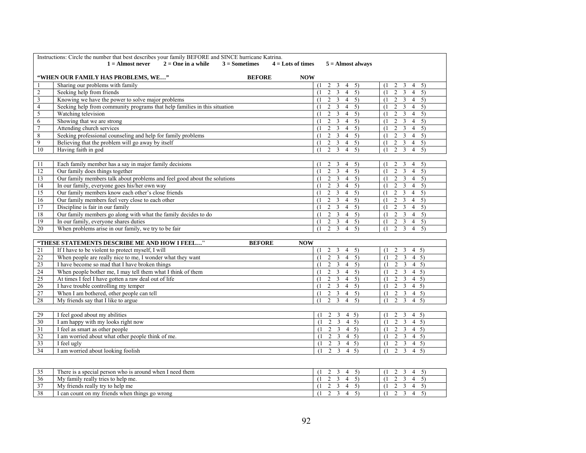|                         | Instructions: Circle the number that best describes your family BEFORE and SINCE hurricane Katrina.<br>$1 =$ Almost never<br>$2 =$ One in a while<br>$3 =$ Sometimes |               | $4 =$ Lots of times | $5 =$ Almost always                                       |                                                                        |
|-------------------------|----------------------------------------------------------------------------------------------------------------------------------------------------------------------|---------------|---------------------|-----------------------------------------------------------|------------------------------------------------------------------------|
|                         | "WHEN OUR FAMILY HAS PROBLEMS, WE"                                                                                                                                   | <b>BEFORE</b> | <b>NOW</b>          |                                                           |                                                                        |
| 1                       | Sharing our problems with family                                                                                                                                     |               | $(1 -$              | 2<br>3<br>$4 \quad 5)$                                    | 5)<br>2<br>$\overline{\mathbf{3}}$<br>$\overline{4}$<br>(1)            |
| $\sqrt{2}$              | Seeking help from friends                                                                                                                                            |               | (1)                 | $\overline{2}$<br>$\overline{4}$<br>$\overline{5}$<br>3   | $\overline{2}$<br>$\overline{5}$<br>3<br>$\overline{4}$<br>(1)         |
| $\overline{\mathbf{3}}$ | Knowing we have the power to solve major problems                                                                                                                    |               | (1)                 | $\overline{2}$ $\overline{3}$<br>$\overline{4}$ 5)        | $2 \overline{3}$<br>$\overline{4}$<br>5)<br>(1)                        |
| $\overline{4}$          | Seeking help from community programs that help families in this situation                                                                                            |               | (1)                 | $\overline{4}$<br>5)<br>$\overline{2}$<br>3               | $2 \quad 3$<br>4<br>5)<br>(1)                                          |
| 5                       | Watching television                                                                                                                                                  |               | (1)                 | $\overline{2}$<br>3<br>$\overline{4}$<br>5)               | $\overline{2}$<br>$\overline{5}$<br>3<br>$\overline{4}$<br>(1)         |
| 6                       | Showing that we are strong                                                                                                                                           |               | (1)                 | $\overline{2}$<br>3<br>$4 \quad 5)$                       | $2 \quad 3$<br>$4 \quad 5)$<br>$(1 -$                                  |
| $\tau$                  | Attending church services                                                                                                                                            |               | (1)                 | $\overline{2}$<br>3<br>$4 \quad 5)$                       | $2 \overline{3}$<br>$\overline{4}$<br>5)<br>(1)                        |
| 8                       | Seeking professional counseling and help for family problems                                                                                                         |               | (1)                 | $4 \quad 5)$<br>2<br>3                                    | 2<br>$\overline{3}$<br>$\overline{4}$<br>5)<br>(1)                     |
| $\overline{9}$          | Believing that the problem will go away by itself                                                                                                                    |               | (1)                 | $\overline{2}$<br>$\overline{4}$<br>5)<br>3               | $\overline{2}$<br>3<br>5)<br>$\overline{4}$<br>(1)                     |
| 10                      | Having faith in god                                                                                                                                                  |               | (1)                 | $2 \quad 3$<br>$\overline{4}$<br>5)                       | $2 \quad 3 \quad 4$<br>5)<br>(1)                                       |
| 11                      | Each family member has a say in major family decisions                                                                                                               |               |                     | 3<br>$\overline{4}$<br>5)                                 | 2<br>3<br>$\overline{4}$<br>5)                                         |
| 12                      | Our family does things together                                                                                                                                      |               | (1)<br>(1)          | 2<br>$4 \overline{5}$<br>2<br>3                           | (1)<br>2<br>$\overline{5)}$<br>$\overline{3}$<br>$\overline{4}$<br>(1) |
| 13                      | Our family members talk about problems and feel good about the solutions                                                                                             |               | (1)                 | $\overline{2}$<br>3<br>$\overline{4}$<br>5)               | $2 \overline{3}$<br>$\overline{4}$<br>5)<br>(1)                        |
| 14                      | In our family, everyone goes his/her own way                                                                                                                         |               |                     | $\overline{4}$<br>5)<br>2<br>3                            | $\overline{2}$<br>$\overline{\mathbf{3}}$<br>5)<br>$\overline{4}$      |
| 15                      | Our family members know each other's close friends                                                                                                                   |               | (1)<br>(1)          | $\overline{2}$<br>3<br>$\overline{4}$<br>5)               | (1)<br>$\overline{2}$<br>$\mathfrak{Z}$<br>$\overline{4}$<br>5)<br>(1) |
| 16                      | Our family members feel very close to each other                                                                                                                     |               | (1)                 | $\overline{2}$<br>3<br>$4 \quad 5)$                       | $2 \overline{3}$<br>$4 \quad 5)$<br>(1)                                |
| 17                      | Discipline is fair in our family                                                                                                                                     |               | (1)                 | $\overline{4}$<br>5)<br>$\overline{2}$<br>3               | $2 \quad 3$<br>$\overline{4}$<br>5)<br>$(1 -$                          |
| 18                      | Our family members go along with what the family decides to do                                                                                                       |               | (1)                 | $\overline{4}$<br>5)<br>2<br>3                            | $\overline{2}$<br>3<br>$\overline{4}$<br>5)<br>(1)                     |
| 19                      | In our family, everyone shares duties                                                                                                                                |               | (1)                 | 2<br>3<br>$4 \quad 5)$                                    | $2 \overline{3}$<br>$4 \quad 5)$<br>(1)                                |
| $\overline{20}$         | When problems arise in our family, we try to be fair                                                                                                                 |               | (1)                 | $\overline{2}$ $\overline{3}$<br>$\overline{4}$<br>5)     | $\overline{2}$ $\overline{3}$<br>(1)<br>$\overline{4}$<br>5)           |
|                         |                                                                                                                                                                      |               |                     |                                                           |                                                                        |
|                         | "THESE STATEMENTS DESCRIBE ME AND HOW I FEEL"                                                                                                                        | <b>BEFORE</b> | <b>NOW</b>          |                                                           |                                                                        |
| 21                      | If I have to be violent to protect myself, I will                                                                                                                    |               | (1)                 | $\overline{2}$<br>3<br>4<br>5)                            | 2 <sup>3</sup><br>$4 \quad 5)$<br>$\left(1\right)$                     |
| 22                      | When people are really nice to me, I wonder what they want                                                                                                           |               | (1)                 | $2 \quad 3$<br>$4 \quad 5)$                               | $2 \quad 3$<br>$4 \quad 5)$<br>(1)                                     |
| 23                      | I have become so mad that I have broken things                                                                                                                       |               | (1)                 | 2<br>3<br>4 <sub>5</sub>                                  | $2 \quad 3$<br>$4 \quad 5)$<br>(1)                                     |
| 24                      | When people bother me, I may tell them what I think of them                                                                                                          |               | (1)                 | $\overline{4}$ 5)<br>2<br>3                               | $2 \overline{3}$<br>$4 \quad 5)$<br>(1)                                |
| 25                      | At times I feel I have gotten a raw deal out of life                                                                                                                 |               | (1)                 | $\overline{2}$<br>3<br>$\overline{4}$<br>5)               | $\overline{2}$ $\overline{3}$<br>$4 \quad 5)$<br>(1)                   |
| 26                      | I have trouble controlling my temper                                                                                                                                 |               | (1)                 | 3<br>$\overline{4}$<br>5)<br>2                            | $2 \quad 3$<br>$4 \quad 5)$<br>(1)                                     |
| 27                      | When I am bothered, other people can tell                                                                                                                            |               | (1)                 | $\overline{4}$<br>$\overline{2}$<br>3<br>5)               | 2<br>3<br>$4 \quad 5)$<br>(1)                                          |
| 28                      | My friends say that I like to argue                                                                                                                                  |               | (1)                 | $\overline{2}$<br>$\overline{4}$<br>3<br>5)               | $\overline{2}$<br>$\overline{3}$<br>$\overline{4}$ 5)<br>(1)           |
| 29                      | I feel good about my abilities                                                                                                                                       |               | (1)                 | $\overline{2}$<br>3<br>$4 \quad 5)$                       | $\overline{2}$<br>3<br>$4 \quad 5)$<br>(1)                             |
| 30                      | I am happy with my looks right now                                                                                                                                   |               | (1)                 | $\overline{2}$<br>$\overline{\mathbf{3}}$<br>$4 \quad 5)$ | $\overline{2}$<br>$\overline{\mathbf{3}}$<br>$4 \quad 5)$<br>(1)       |
| 31                      | I feel as smart as other people                                                                                                                                      |               | (1)                 | $2 \quad 3$<br>4 <sub>5</sub>                             | $2 \quad 3$<br>$4 \quad 5)$<br>(1)                                     |
| $\overline{32}$         | I am worried about what other people think of me.                                                                                                                    |               | (1)                 | $2 \quad 3$<br>$4 \quad 5)$                               | $2 \quad 3$<br>$4 \quad 5)$<br>(1)                                     |
| 33                      | I feel ugly                                                                                                                                                          |               | (1)                 | 2<br>$4 \quad 5)$<br>3                                    | 2<br>3<br>$4 \quad 5)$<br>(1)                                          |
| $\overline{34}$         | I am worried about looking foolish                                                                                                                                   |               | (1)                 | $\overline{2}$ $\overline{3}$<br>(4, 5)                   | $2 \overline{3}$<br>$\overline{4}$ 5)<br>(1)                           |
|                         |                                                                                                                                                                      |               |                     |                                                           |                                                                        |
|                         |                                                                                                                                                                      |               |                     |                                                           |                                                                        |

| $\sim$ $\sim$<br>-- | there is a special person who is around when I need them |  |
|---------------------|----------------------------------------------------------|--|
| 36                  | tamily really tries to help me.<br><b>NIV</b>            |  |
| $\sim$              | friends really try to help me<br><b>NIV</b>              |  |
| 38<br>⊇ບ            | triends when things go<br>l can count on mv<br>wrong     |  |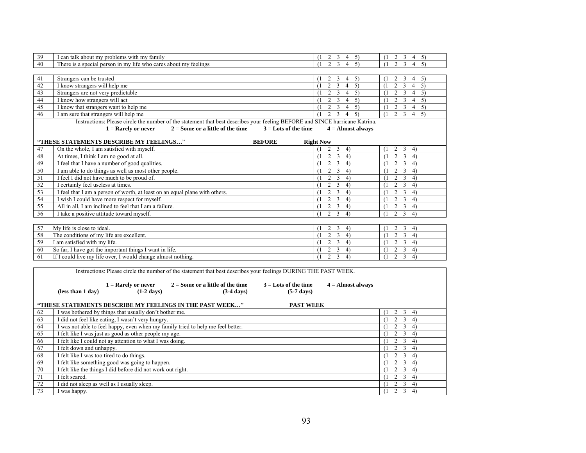| 39 | I can talk about my problems with my family                                                                                  | 2<br>3<br>5)<br>$\left(1\right)$<br>$\overline{4}$              | 2<br>3<br>5)<br>4<br>$\left(1\right)$                                       |  |  |  |  |  |
|----|------------------------------------------------------------------------------------------------------------------------------|-----------------------------------------------------------------|-----------------------------------------------------------------------------|--|--|--|--|--|
| 40 | There is a special person in my life who cares about my feelings                                                             | $\overline{c}$<br>3<br>5)<br>$\overline{4}$<br>$\left(1\right)$ | 2<br>3<br>5)<br>4<br>(1)                                                    |  |  |  |  |  |
|    |                                                                                                                              |                                                                 |                                                                             |  |  |  |  |  |
| 41 | Strangers can be trusted                                                                                                     | 2<br>3<br>(1)<br>$\overline{4}$<br>5)                           | 2<br>3<br>$\overline{4}$<br>5)<br>$\left(1\right)$                          |  |  |  |  |  |
| 42 | I know strangers will help me                                                                                                | $\overline{c}$<br>$\mathbf{3}$<br>5)<br>(1)<br>$\overline{4}$   | $\mathfrak{Z}$<br>(1)<br>$\overline{c}$<br>5)<br>$\overline{4}$             |  |  |  |  |  |
| 43 | Strangers are not very predictable                                                                                           | 2<br>3<br>5)<br>$\overline{4}$<br>(1)                           | $\overline{2}$<br>3<br>$\overline{4}$<br>5)<br>(1)                          |  |  |  |  |  |
| 44 | I know how strangers will act                                                                                                | 2<br>$\mathbf{3}$<br>$\overline{4}$<br>5)<br>(1)                | $\overline{3}$<br>$\overline{4}$<br>$\overline{2}$<br>5)<br>(1)             |  |  |  |  |  |
| 45 | I know that strangers want to help me                                                                                        | 5)                                                              |                                                                             |  |  |  |  |  |
|    |                                                                                                                              | 2<br>3<br>$\overline{4}$<br>(1)                                 | $\mathfrak{Z}$<br>$\mathfrak{2}$<br>$\overline{4}$<br>5)<br>(1)             |  |  |  |  |  |
| 46 | I am sure that strangers will help me                                                                                        | $\overline{2}$<br>$\overline{3}$<br>$\overline{4}$<br>5)<br>(1) | $\overline{3}$<br>$\overline{2}$<br>$\overline{4}$<br>$\overline{5}$<br>(1) |  |  |  |  |  |
|    | Instructions: Please circle the number of the statement that best describes your feeling BEFORE and SINCE hurricane Katrina. |                                                                 |                                                                             |  |  |  |  |  |
|    | $2 =$ Some or a little of the time<br>$3 =$ Lots of the time<br>$1 =$ Rarely or never                                        | $4 =$ Almost always                                             |                                                                             |  |  |  |  |  |
|    |                                                                                                                              |                                                                 |                                                                             |  |  |  |  |  |
|    | "THESE STATEMENTS DESCRIBE MY FEELINGS"<br><b>BEFORE</b>                                                                     | <b>Right Now</b>                                                |                                                                             |  |  |  |  |  |
| 47 | On the whole, I am satisfied with myself.                                                                                    | $\overline{2}$<br>(1)<br>$\mathfrak{Z}$<br>4)                   | 2<br>3<br>4)<br>$\left(1\right)$                                            |  |  |  |  |  |
| 48 | At times, I think I am no good at all.                                                                                       | $\overline{2}$<br>$\mathfrak{Z}$<br>4)<br>(1)                   | $\overline{3}$<br>$\overline{c}$<br>4)<br>(1)                               |  |  |  |  |  |
| 49 | I feel that I have a number of good qualities.                                                                               | $\overline{c}$<br>$3 \quad 4)$<br>(1)                           | $\overline{2}$<br>3<br>4)<br>(1)                                            |  |  |  |  |  |
| 50 | I am able to do things as well as most other people.                                                                         | $\overline{2}$<br>$\mathfrak{Z}$<br>4)<br>(1)                   | $\overline{c}$<br>3<br>4)<br>(1)                                            |  |  |  |  |  |
| 51 | I feel I did not have much to be proud of.                                                                                   | $\overline{\mathbf{3}}$<br>$\overline{2}$<br>4)<br>(1)          | $\overline{2}$<br>$\overline{3}$<br>4)<br>(1)                               |  |  |  |  |  |
| 52 | I certainly feel useless at times.                                                                                           | $\overline{2}$<br>3<br>4)<br>(1)                                | 2<br>3<br>4)<br>(1)                                                         |  |  |  |  |  |
| 53 | I feel that I am a person of worth, at least on an equal plane with others.                                                  | $\overline{\mathbf{3}}$<br>2<br>4)<br>(1)                       | $\mathfrak{Z}$<br>2<br>4)<br>(1)                                            |  |  |  |  |  |
| 54 | I wish I could have more respect for myself.                                                                                 | 2<br>$\overline{3}$<br>(1)<br>4)                                | 2<br>3<br>(1)<br>4)                                                         |  |  |  |  |  |
| 55 | All in all, I am inclined to feel that I am a failure.                                                                       | $\overline{2}$<br>3<br>4)<br>(1)                                | $\overline{c}$<br>$\mathfrak{Z}$<br>(1)<br>4)                               |  |  |  |  |  |
| 56 | I take a positive attitude toward myself.                                                                                    | $\overline{\mathbf{3}}$<br>$\overline{2}$<br>4)<br>(1)          | $\mathfrak{Z}$<br>$\overline{2}$<br>(1)<br>4)                               |  |  |  |  |  |
|    |                                                                                                                              |                                                                 |                                                                             |  |  |  |  |  |
| 57 | My life is close to ideal.                                                                                                   | $2 \quad 3$<br>4)<br>(1)                                        | $2 \quad 3$<br>4)<br>(1)                                                    |  |  |  |  |  |
| 58 | The conditions of my life are excellent.                                                                                     | $\overline{2}$<br>$3 \quad 4)$<br>(1)                           | $\overline{2}$<br>3 <sup>7</sup><br>4)<br>(1)                               |  |  |  |  |  |
| 59 | I am satisfied with my life.                                                                                                 | $\overline{\mathbf{3}}$<br>$\overline{c}$<br>4)<br>(1)          | $\overline{\mathbf{3}}$<br>2<br>4)<br>(1)                                   |  |  |  |  |  |
| 60 | So far, I have got the important things I want in life.                                                                      | $\overline{2}$<br>3<br>(1)<br>4)                                | $\overline{c}$<br>3<br>4)<br>(1)                                            |  |  |  |  |  |
| 61 | If I could live my life over, I would change almost nothing.                                                                 | 3<br>2<br>4)<br>(1)                                             | $\overline{c}$<br>3<br>4)<br>(1)                                            |  |  |  |  |  |
|    |                                                                                                                              |                                                                 |                                                                             |  |  |  |  |  |
|    | Instructions: Please circle the number of the statement that best describes your feelings DURING THE PAST WEEK.              |                                                                 |                                                                             |  |  |  |  |  |
|    |                                                                                                                              |                                                                 |                                                                             |  |  |  |  |  |
|    | $1 =$ Rarely or never<br>$2 =$ Some or a little of the time<br>$3 =$ Lots of the time                                        | $4 =$ Almost always                                             |                                                                             |  |  |  |  |  |
|    | $(1-2 \text{ days})$<br>$(5-7$ days)<br>(less than 1 day)<br>$(3-4 \text{ days})$                                            |                                                                 |                                                                             |  |  |  |  |  |
|    |                                                                                                                              |                                                                 |                                                                             |  |  |  |  |  |
|    | "THESE STATEMENTS DESCRIBE MY FEELINGS IN THE PAST WEEK"<br><b>PAST WEEK</b>                                                 |                                                                 |                                                                             |  |  |  |  |  |
| 62 | I was bothered by things that usually don't bother me.                                                                       |                                                                 | $\overline{2}$<br>3<br>4)<br>(1)                                            |  |  |  |  |  |
| 63 | I did not feel like eating, I wasn't very hungry.                                                                            |                                                                 | $\overline{2}$<br>$\overline{3}$<br>(1)<br>4)                               |  |  |  |  |  |
| 64 | I was not able to feel happy, even when my family tried to help me feel better.                                              |                                                                 | 2<br>$3 \quad 4)$<br>(1)                                                    |  |  |  |  |  |
| 65 | I felt like I was just as good as other people my age.                                                                       |                                                                 | 3<br>2<br>4)<br>(1)                                                         |  |  |  |  |  |
| 66 | I felt like I could not ay attention to what I was doing.                                                                    |                                                                 | $\overline{2}$<br>$\mathfrak{Z}$<br>4)<br>(1)                               |  |  |  |  |  |
| 67 | I felt down and unhappy.                                                                                                     |                                                                 | $\mathfrak{Z}$<br>$\overline{c}$<br>4)<br>(1)                               |  |  |  |  |  |
| 68 | I felt like I was too tired to do things.                                                                                    |                                                                 | 2<br>3<br>(1)<br>4)                                                         |  |  |  |  |  |
| 69 | I felt like something good was going to happen.                                                                              |                                                                 | $\overline{2}$<br>$\mathfrak{Z}$<br>4)<br>(1)                               |  |  |  |  |  |
| 70 | I felt like the things I did before did not work out right.                                                                  |                                                                 | $\overline{2}$<br>$\overline{3}$<br>4)<br>(1)                               |  |  |  |  |  |
| 71 | I felt scared.                                                                                                               |                                                                 | $\overline{2}$<br>3<br>4)<br>(1)                                            |  |  |  |  |  |
| 72 | I did not sleep as well as I usually sleep.                                                                                  |                                                                 | $\overline{2}$<br>3<br>4)                                                   |  |  |  |  |  |
|    |                                                                                                                              |                                                                 | (1)                                                                         |  |  |  |  |  |
| 73 | I was happy.                                                                                                                 |                                                                 | $\overline{3}$<br>$\overline{2}$<br>4)<br>(1)                               |  |  |  |  |  |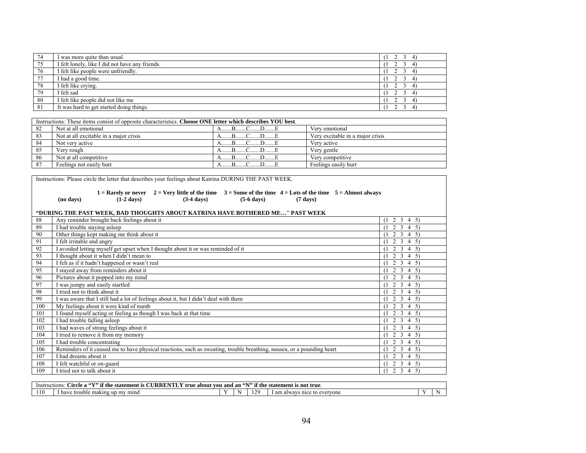| 74 | I was more quite than usual.                    |  |
|----|-------------------------------------------------|--|
| 75 | I felt lonely, like I did not have any friends. |  |
| 76 | I felt like people were unfriendly.             |  |
| 77 | I had a good time.                              |  |
| 78 | I felt like crying.                             |  |
| 79 | felt sad                                        |  |
| 80 | I felt like people did not like me              |  |
| 81 | It was hard to get started doing things.        |  |

|    | Instructions: These items consist of opposite characteristics. Choose ONE letter which describes YOU best. |                         |                                  |  |  |  |  |
|----|------------------------------------------------------------------------------------------------------------|-------------------------|----------------------------------|--|--|--|--|
| 82 | Not at all emotional                                                                                       | $A \t B \t C \t D \t E$ | Very emotional                   |  |  |  |  |
| 83 | Not at all excitable in a major crisis                                                                     | $A$ $B$ $C$ $D$ $E$     | Very excitable in a major crisis |  |  |  |  |
| 84 | Not very active                                                                                            | $A$ $B$ $C$ $D$ $E$     | Very active                      |  |  |  |  |
| 85 | Verv rough                                                                                                 | BCDE                    | Very gentle                      |  |  |  |  |
| 86 | Not at all competitive                                                                                     | $D_{\cdots}$            | Very competitive                 |  |  |  |  |
| 87 | Feelings not easily hurt                                                                                   |                         | Feelings easily hurt             |  |  |  |  |

|     | Instructions: Please circle the letter that describes your feelings about Katrina DURING THE PAST WEEK. |                                                |                                                                                                                                         |                      |                    |                       |  |  |
|-----|---------------------------------------------------------------------------------------------------------|------------------------------------------------|-----------------------------------------------------------------------------------------------------------------------------------------|----------------------|--------------------|-----------------------|--|--|
|     | (no days)                                                                                               | $(1-2 \text{ days})$                           | 1 = Rarely or never 2 = Very little of the time $3 =$ Some of the time 4 = Lots of the time $5 =$ Almost always<br>$(3-4 \text{ days})$ | $(5-6 \text{ days})$ | $(7 \text{ days})$ |                       |  |  |
|     |                                                                                                         |                                                | "DURING THE PAST WEEK, BAD THOUGHTS ABOUT KATRINA HAVE BOTHERED ME" PAST WEEK                                                           |                      |                    |                       |  |  |
| 88  |                                                                                                         | Any reminder brought back feelings about it    |                                                                                                                                         |                      |                    | $(1 \t2 \t3 \t4 \t5)$ |  |  |
| 89  | I had trouble staying asleep                                                                            |                                                |                                                                                                                                         |                      |                    | $2 \t3 \t4 \t5)$      |  |  |
| 90  |                                                                                                         | Other things kept making me think about it     |                                                                                                                                         |                      |                    | $(1 \t2 \t3 \t4 \t5)$ |  |  |
| 91  | I felt irritable and angry                                                                              |                                                |                                                                                                                                         |                      |                    | 2 3 4 5)              |  |  |
| 92  |                                                                                                         |                                                | I avoided letting myself get upset when I thought about it or was reminded of it                                                        |                      |                    | $(1 \t2 \t3 \t4 \t5)$ |  |  |
| 93  |                                                                                                         | I thought about it when I didn't mean to       |                                                                                                                                         |                      |                    | $(1 \t2 \t3 \t4 \t5)$ |  |  |
| 94  |                                                                                                         | I felt as if it hadn't happened or wasn't real |                                                                                                                                         |                      |                    | $(1 \t2 \t3 \t4 \t5)$ |  |  |
| 95  |                                                                                                         | I stayed away from reminders about it          |                                                                                                                                         |                      |                    | $(1 \t2 \t3 \t4 \t5)$ |  |  |
| 96  |                                                                                                         | Pictures about it popped into my mind          |                                                                                                                                         |                      |                    | $2 \t3 \t4 \t5)$      |  |  |
| 97  |                                                                                                         | I was jumpy and easily startled                |                                                                                                                                         |                      |                    | $(1 \t2 \t3 \t4 \t5)$ |  |  |
| 98  | I tried not to think about it                                                                           |                                                |                                                                                                                                         |                      |                    | $(1 \t2 \t3 \t4 \t5)$ |  |  |
| 99  |                                                                                                         |                                                | I was aware that I still had a lot of feelings about it, but I didn't deal with them                                                    |                      |                    | $(1 \t2 \t3 \t4 \t5)$ |  |  |
| 100 |                                                                                                         | My feelings about it were kind of numb         |                                                                                                                                         |                      |                    | $(1 \t2 \t3 \t4 \t5)$ |  |  |
| 101 |                                                                                                         |                                                | I found myself acting or feeling as though I was back at that time                                                                      |                      |                    | $(1 \t2 \t3 \t4 \t5)$ |  |  |
| 102 | I had trouble falling asleep                                                                            |                                                |                                                                                                                                         |                      |                    | $(1 \t2 \t3 \t4 \t5)$ |  |  |
| 103 |                                                                                                         | I had waves of strong feelings about it        |                                                                                                                                         |                      |                    | $2 \t3 \t4 \t5)$      |  |  |
| 104 |                                                                                                         | I tried to remove it from my memory            |                                                                                                                                         |                      |                    | $(1 \t2 \t3 \t4 \t5)$ |  |  |
| 105 | I had trouble concentrating                                                                             |                                                |                                                                                                                                         |                      |                    | $(1 \t2 \t3 \t4 \t5)$ |  |  |
| 106 |                                                                                                         |                                                | Reminders of it caused me to have physical reactions, such as sweating, trouble breathing, nausea, or a pounding heart                  |                      |                    | $2 \t3 \t4 \t5)$      |  |  |
| 107 | I had dreams about it                                                                                   |                                                |                                                                                                                                         |                      |                    | $(1 \t2 \t3 \t4 \t5)$ |  |  |
| 108 | I felt watchful or on-guard                                                                             |                                                |                                                                                                                                         |                      |                    | $(1 \t2 \t3 \t4 \t5)$ |  |  |
| 109 | I tried not to talk about it                                                                            |                                                |                                                                                                                                         |                      |                    | $(1 \t2 \t3 \t4 \t5)$ |  |  |

| $\sim$ $\sim$ $\sim$<br>$-1$<br><b>ALL THEFT</b><br><b>OTT1</b><br>' if the l<br>$-0.00127$<br><br>not true<br>Instructions<br>statement is<br>arcie<br>the<br>`statement<br>about<br>and an<br>true<br>t vou |                                                      |  |   |                           |                                      |  |   |
|---------------------------------------------------------------------------------------------------------------------------------------------------------------------------------------------------------------|------------------------------------------------------|--|---|---------------------------|--------------------------------------|--|---|
|                                                                                                                                                                                                               | mind<br>trouble<br>have<br>: makıng<br>. m<br>up<br> |  | N | $1^{\prime}$<br>,,<br>. . | am<br>nice<br>to evervone<br>. alway |  | N |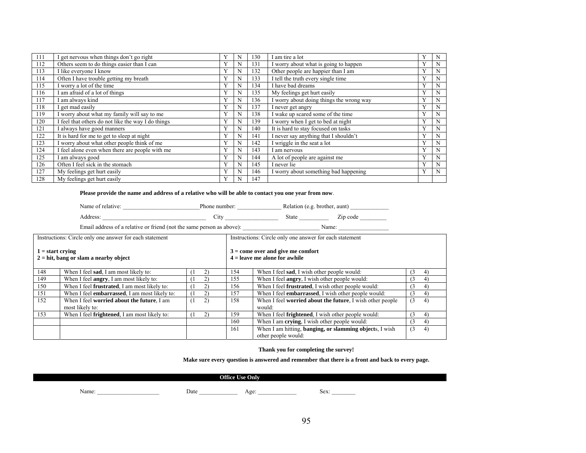| 111 | get nervous when things don't go right             |   | N | 130 | I am tire a lot                          | N |
|-----|----------------------------------------------------|---|---|-----|------------------------------------------|---|
| 112 | Others seem to do things easier than I can         | Y |   | 131 | I worry about what is going to happen    | N |
| 113 | I like everyone I know                             | Y | N | 132 | Other people are happier than I am       | N |
| 114 | Often I have trouble getting my breath             | Y | N | 133 | I tell the truth every single time       | N |
| 115 | I worry a lot of the time                          | Y | N | 134 | I have bad dreams                        | N |
| 116 | I am afraid of a lot of things                     | Y |   | 135 | My feelings get hurt easily              | N |
| 117 | I am always kind                                   | Y |   | 136 | I worry about doing things the wrong way | N |
| 118 | I get mad easily                                   |   | N | 137 | I never get angry                        | N |
| 119 | I worry about what my family will say to me        | Y | N | 138 | I wake up scared some of the time        | N |
| 120 | I feel that others do not like the way I do things | Y | N | 139 | I worry when I get to bed at night       | N |
| 121 | I always have good manners                         | Y | N | 140 | It is hard to stay focused on tasks      | N |
| 122 | It is hard for me to get to sleep at night         | Y | N | 141 | I never say anything that I shouldn't    | N |
| 123 | I worry about what other people think of me        | Y | N | 142 | I wriggle in the seat a lot              | N |
| 124 | I feel alone even when there are people with me    | Y | N | 143 | I am nervous                             | N |
| 125 | I am always good                                   | Y | N | 144 | A lot of people are against me           | N |
| 126 | Often I feel sick in the stomach                   | Y | N | 145 | I never lie                              | N |
| 127 | My feelings get hurt easily                        | Y | N | 146 | I worry about something bad happening    | N |
| 128 | My feelings get hurt easily                        | Y |   | 147 |                                          |   |

#### **Please provide the name and address of a relative who will be able to contact you one year from now**.

Name of relative: \_\_\_\_\_\_\_\_\_\_\_\_\_\_\_\_\_\_\_\_\_\_\_\_\_\_Phone number: \_\_\_\_\_\_\_\_\_\_\_\_\_\_\_ Relation (e.g. brother, aunt) \_\_\_\_\_\_\_\_\_\_\_\_\_

Address: \_\_\_\_\_\_\_\_\_\_\_\_\_\_\_\_\_\_\_\_\_\_\_\_\_\_\_\_\_\_\_\_\_\_\_ City \_\_\_\_\_\_\_\_\_\_\_\_\_\_\_\_\_\_ State \_\_\_\_\_\_\_\_\_\_ Zip code \_\_\_\_\_\_\_\_\_

Email address of a relative or friend (not the same person as above): \_\_\_\_\_\_\_\_\_\_\_\_\_\_\_\_\_\_\_\_\_\_\_\_\_\_ Name: \_\_\_\_\_\_\_\_\_\_\_\_\_\_\_\_\_

| Instructions: Circle only one answer for each statement        |                                                       | Instructions: Circle only one answer for each statement |                                                                        |                                                                                        |     |    |  |
|----------------------------------------------------------------|-------------------------------------------------------|---------------------------------------------------------|------------------------------------------------------------------------|----------------------------------------------------------------------------------------|-----|----|--|
| $1 = start$ crying<br>$2 = hit$ , bang or slam a nearby object |                                                       |                                                         | $3 =$ come over and give me comfort<br>$4 =$ leave me alone for awhile |                                                                                        |     |    |  |
| 148                                                            | When I feel sad, I am most likely to:                 |                                                         | 154                                                                    | When I feel sad, I wish other people would:                                            | (3  |    |  |
| 149                                                            | When I feel <b>angry</b> , I am most likely to:       | $\mathbf{2}$                                            | 155                                                                    | When I feel <b>angry</b> , I wish other people would:                                  | (3) | 4) |  |
| 150                                                            | When I feel <b>frustrated</b> , I am most likely to:  |                                                         | 156                                                                    | When I feel <b>frustrated</b> , I wish other people would:                             | (3) |    |  |
| 151                                                            | When I feel <b>embarrassed</b> , I am most likely to: | $\mathbf{2}$                                            | 157                                                                    | When I feel <b>embarrassed</b> , I wish other people would:                            | (3) | 4) |  |
| 152                                                            | When I feel worried about the future, I am            | 2)                                                      | 158                                                                    | When I feel <b>worried about the future</b> , I wish other people                      | (3) | 4) |  |
|                                                                | most likely to:                                       |                                                         |                                                                        | would:                                                                                 |     |    |  |
| 153                                                            | When I feel <b>frightened</b> , I am most likely to:  | $\mathbf{2}$                                            | 159                                                                    | When I feel <b>frightened</b> , I wish other people would:                             | (3  |    |  |
|                                                                |                                                       |                                                         | 160                                                                    | When I am crying, I wish other people would:                                           | (3) | 4) |  |
|                                                                |                                                       |                                                         | 161                                                                    | When I am hitting, <b>banging</b> , or slamming objects, I wish<br>other people would: | (3) | 4) |  |

**Thank you for completing the survey!** 

**Make sure every question is answered and remember that there is a front and back to every page.** 

### **Office Use Only**

Name: \_\_\_\_\_\_\_\_\_\_\_\_\_\_\_\_\_\_\_\_\_ Date \_\_\_\_\_\_\_\_\_\_\_\_\_ Age: \_\_\_\_\_\_\_\_\_\_\_\_\_ Sex: \_\_\_\_\_\_\_\_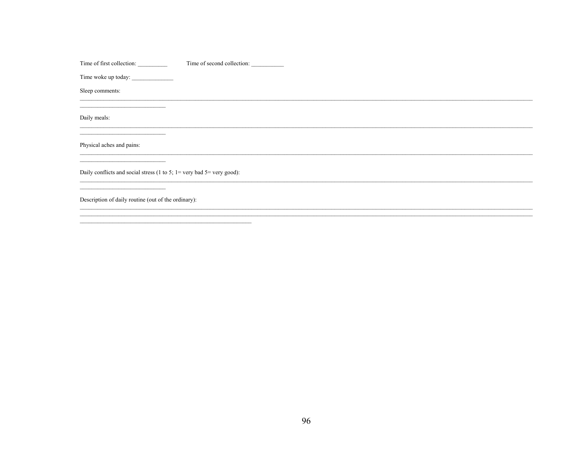Time of first collection: Time of second collection:

Time woke up today:

Sleep comments:

Daily meals:

 $\overline{\phantom{a}}$ 

 $\frac{1}{2}$ 

Physical aches and pains:

Daily conflicts and social stress (1 to 5;  $1 =$  very bad 5= very good):

<u> 1989 - Johann Barn, fransk politik (\* 1958)</u>

Description of daily routine (out of the ordinary):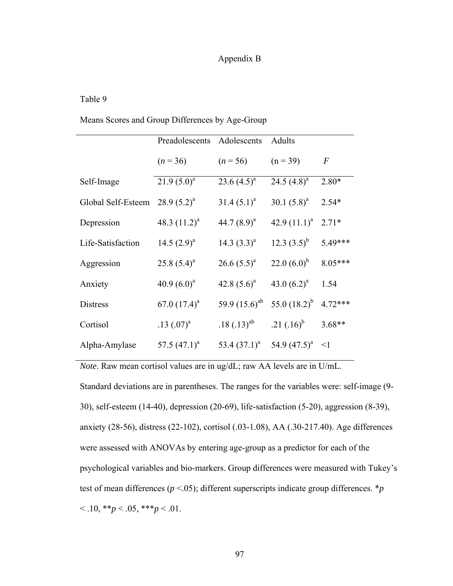## Appendix B

## Table 9

## Means Scores and Group Differences by Age-Group

|                    | Preadolescents  | Adolescents        | Adults            |           |
|--------------------|-----------------|--------------------|-------------------|-----------|
|                    | $(n = 36)$      | $(n = 56)$         | $(n = 39)$        | $\,F$     |
| Self-Image         | $21.9(5.0)^a$   | 23.6 $(4.5)^a$     | 24.5 $(4.8)^a$    | $2.80*$   |
| Global Self-Esteem | $28.9(5.2)^{a}$ | $31.4 (5.1)^a$     | 30.1 $(5.8)^a$    | $2.54*$   |
| Depression         | 48.3 $(11.2)^a$ | 44.7 $(8.9)^a$     | 42.9 $(11.1)^a$   | $2.71*$   |
| Life-Satisfaction  | 14.5 $(2.9)^a$  | 14.3 $(3.3)^a$     | 12.3 $(3.5)^b$    | 5.49***   |
| Aggression         | $25.8(5.4)^a$   | $26.6(5.5)^{a}$    | 22.0 $(6.0)^b$    | 8.05***   |
| Anxiety            | 40.9 $(6.0)^a$  | 42.8 $(5.6)^a$     | 43.0 $(6.2)^a$    | 1.54      |
| <b>Distress</b>    | 67.0 $(17.4)^a$ | 59.9 $(15.6)^{ab}$ | 55.0 $(18.2)^{b}$ | $4.72***$ |
| Cortisol           | .13 $(.07)^{a}$ | $.18(.13)^{ab}$    | .21 $(.16)^{b}$   | $3.68**$  |
| Alpha-Amylase      | 57.5 $(47.1)^a$ | 53.4 $(37.1)^a$    | 54.9 $(47.5)^a$   | $\leq$ 1  |

*Note*. Raw mean cortisol values are in ug/dL; raw AA levels are in U/mL. Standard deviations are in parentheses. The ranges for the variables were: self-image (9- 30), self-esteem (14-40), depression (20-69), life-satisfaction (5-20), aggression (8-39), anxiety (28-56), distress (22-102), cortisol (.03-1.08), AA (.30-217.40). Age differences were assessed with ANOVAs by entering age-group as a predictor for each of the psychological variables and bio-markers. Group differences were measured with Tukey's test of mean differences ( $p < .05$ ); different superscripts indicate group differences. \* $p$  $< 0.10, **p < 0.05, **p < 0.01.$